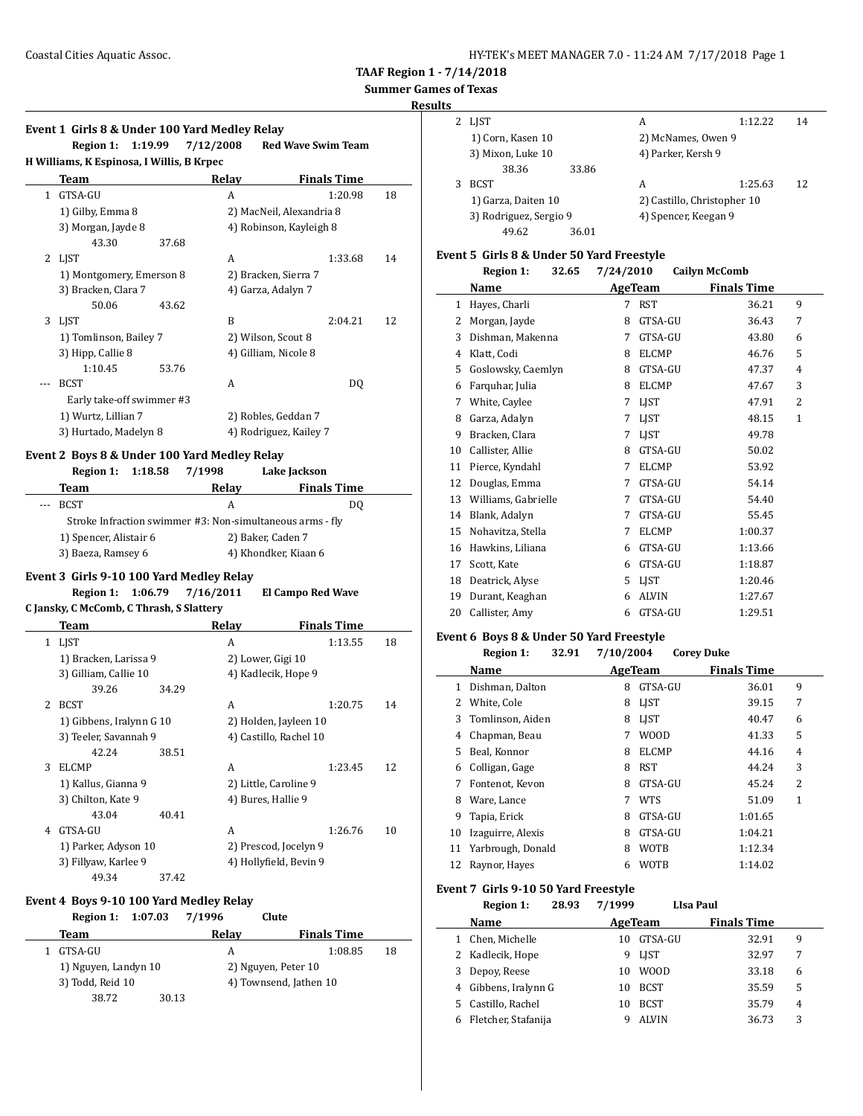**Event 1 Girls 8 & Under 100 Yard Medley Relay**

**TAAF Region 1 - 7/14/2018**

## **Summer Games of Texas**

| <b>LIST</b>            |       | А                           | 1:12.22 | 14 |
|------------------------|-------|-----------------------------|---------|----|
| 1) Corn, Kasen 10      |       | 2) McNames, Owen 9          |         |    |
| 3) Mixon, Luke 10      |       | 4) Parker, Kersh 9          |         |    |
| 38.36                  | 33.86 |                             |         |    |
| <b>BCST</b>            |       | А                           | 1:25.63 | 12 |
| 1) Garza, Daiten 10    |       | 2) Castillo, Christopher 10 |         |    |
| 3) Rodriguez, Sergio 9 |       | 4) Spencer, Keegan 9        |         |    |
| 49.62                  | 36.01 |                             |         |    |
|                        |       |                             |         |    |

### **Event 5 Girls 8 & Under 50 Yard Freestyle**

|    | <b>Region 1:</b><br>32.65 | 7/24/2010         | <b>Cailyn McComb</b> |              |
|----|---------------------------|-------------------|----------------------|--------------|
|    | Name                      | AgeTeam           | <b>Finals Time</b>   |              |
| 1  | Hayes, Charli             | <b>RST</b><br>7   | 36.21                | 9            |
| 2  | Morgan, Jayde             | GTSA-GU<br>8      | 36.43                | 7            |
| 3  | Dishman, Makenna          | GTSA-GU<br>7      | 43.80                | 6            |
| 4  | Klatt, Codi               | <b>ELCMP</b><br>8 | 46.76                | 5            |
| 5  | Goslowsky, Caemlyn        | GTSA-GU<br>8      | 47.37                | 4            |
| 6  | Farquhar, Julia           | <b>ELCMP</b><br>8 | 47.67                | 3            |
| 7  | White, Caylee             | <b>LIST</b><br>7  | 47.91                | 2            |
| 8  | Garza, Adalyn             | LIST<br>7         | 48.15                | $\mathbf{1}$ |
| 9  | Bracken, Clara            | LIST<br>7         | 49.78                |              |
| 10 | Callister, Allie          | GTSA-GU<br>8      | 50.02                |              |
| 11 | Pierce, Kyndahl           | <b>ELCMP</b><br>7 | 53.92                |              |
| 12 | Douglas, Emma             | GTSA-GU<br>7      | 54.14                |              |
| 13 | Williams, Gabrielle       | GTSA-GU<br>7      | 54.40                |              |
| 14 | Blank, Adalyn             | GTSA-GU<br>7      | 55.45                |              |
| 15 | Nohavitza, Stella         | <b>ELCMP</b><br>7 | 1:00.37              |              |
| 16 | Hawkins, Liliana          | GTSA-GU<br>6      | 1:13.66              |              |
| 17 | Scott, Kate               | GTSA-GU<br>6      | 1:18.87              |              |
| 18 | Deatrick, Alyse           | LIST<br>5         | 1:20.46              |              |
| 19 | Durant, Keaghan           | <b>ALVIN</b><br>6 | 1:27.67              |              |
| 20 | Callister, Amy            | GTSA-GU<br>6      | 1:29.51              |              |

### **Event 6 Boys 8 & Under 50 Yard Freestyle**

|    | 32.91<br><b>Region 1:</b> | 7/10/2004         | <b>Corey Duke</b>  |   |
|----|---------------------------|-------------------|--------------------|---|
|    | Name                      | <b>AgeTeam</b>    | <b>Finals Time</b> |   |
| 1  | Dishman, Dalton           | GTSA-GU<br>8      | 36.01              | 9 |
| 2  | White, Cole               | <b>LIST</b><br>8  | 39.15              | 7 |
| 3  | Tomlinson, Aiden          | <b>LIST</b><br>8  | 40.47              | 6 |
| 4  | Chapman, Beau             | <b>WOOD</b><br>7  | 41.33              | 5 |
| 5. | Beal, Konnor              | <b>ELCMP</b><br>8 | 44.16              | 4 |
| 6  | Colligan, Gage            | <b>RST</b><br>8   | 44.24              | 3 |
| 7  | Fontenot, Kevon           | GTSA-GU<br>8      | 45.24              | 2 |
| 8  | Ware, Lance               | 7<br><b>WTS</b>   | 51.09              | 1 |
| 9  | Tapia, Erick              | GTSA-GU<br>8      | 1:01.65            |   |
| 10 | Izaguirre, Alexis         | GTSA-GU<br>8      | 1:04.21            |   |
| 11 | Yarbrough, Donald         | <b>WOTB</b><br>8  | 1:12.34            |   |
| 12 | Raynor, Hayes             | <b>WOTB</b><br>6  | 1:14.02            |   |

#### **Event 7 Girls 9-10 50 Yard Freestyle**

| 28.93<br><b>Region 1:</b> |                  |              |                    |                  |
|---------------------------|------------------|--------------|--------------------|------------------|
| Name                      |                  |              | <b>Finals Time</b> |                  |
| Chen, Michelle            | 10               | GTSA-GU      | 32.91              | 9                |
|                           | 9                | <b>LIST</b>  | 32.97              | 7                |
| Depoy, Reese              | 10               | <b>WOOD</b>  | 33.18              | 6                |
| Gibbens, Iralynn G        | 10               | <b>BCST</b>  | 35.59              | 5                |
| Castillo, Rachel          | 10               | <b>BCST</b>  | 35.79              | 4                |
| Fletcher, Stafanija       |                  | <b>ALVIN</b> | 36.73              | 3                |
|                           | 2 Kadlecik, Hope |              | 7/1999<br>AgeTeam  | <b>LIsa Paul</b> |

|              | Region 1:                                 | 1:19.99 | 7/12/2008                                    | <b>Red Wave Swim Team</b> |    |
|--------------|-------------------------------------------|---------|----------------------------------------------|---------------------------|----|
|              | H Williams, K Espinosa, I Willis, B Krpec |         |                                              |                           |    |
|              | Team                                      |         | Relay                                        | <b>Finals Time</b>        |    |
| $\mathbf{1}$ | GTSA-GU                                   |         | A                                            | 1:20.98                   | 18 |
|              | 1) Gilby, Emma 8                          |         |                                              | 2) MacNeil, Alexandria 8  |    |
|              | 3) Morgan, Jayde 8                        |         |                                              | 4) Robinson, Kayleigh 8   |    |
|              | 43.30                                     | 37.68   |                                              |                           |    |
| 2            | LJST                                      |         | A                                            | 1:33.68                   | 14 |
|              | 1) Montgomery, Emerson 8                  |         |                                              | 2) Bracken, Sierra 7      |    |
|              | 3) Bracken, Clara 7                       |         |                                              | 4) Garza, Adalyn 7        |    |
|              | 50.06                                     | 43.62   |                                              |                           |    |
| 3            | LIST                                      |         | B                                            | 2:04.21                   | 12 |
|              | 1) Tomlinson, Bailey 7                    |         |                                              | 2) Wilson, Scout 8        |    |
|              | 3) Hipp, Callie 8                         |         |                                              | 4) Gilliam, Nicole 8      |    |
|              | 1:10.45                                   | 53.76   |                                              |                           |    |
|              | <b>BCST</b>                               |         | A                                            | DQ                        |    |
|              | Early take-off swimmer #3                 |         |                                              |                           |    |
|              | 1) Wurtz, Lillian 7                       |         |                                              | 2) Robles, Geddan 7       |    |
|              | 3) Hurtado, Madelyn 8                     |         |                                              | 4) Rodriguez, Kailey 7    |    |
|              |                                           |         | Event 2 Boys 8 & Under 100 Yard Medley Relay |                           |    |
|              | <b>Region 1:</b>                          | 1:18.58 | 7/1998                                       | Lake Jackson              |    |
|              | Team                                      |         | Relay                                        | <b>Finals Time</b>        |    |

|                                                           | ------               |    |  |
|-----------------------------------------------------------|----------------------|----|--|
| <b>BCST</b>                                               | A                    | D0 |  |
| Stroke Infraction swimmer #3: Non-simultaneous arms - fly |                      |    |  |
| 1) Spencer, Alistair 6                                    | 2) Baker, Caden 7    |    |  |
| 3) Baeza, Ramsey 6                                        | 4) Khondker, Kiaan 6 |    |  |
|                                                           |                      |    |  |

### **Event 3 Girls 9-10 100 Yard Medley Relay**

**Region 1: 1:06.79 7/16/2011 El Campo Red Wave**

**C Jansky, C McComb, C Thrash, S Slattery**

|   | Team                     |       | Relay                  | <b>Finals Time</b> |    |
|---|--------------------------|-------|------------------------|--------------------|----|
|   | 1 LJST                   |       | A                      | 1:13.55            | 18 |
|   | 1) Bracken, Larissa 9    |       | 2) Lower, Gigi 10      |                    |    |
|   | 3) Gilliam, Callie 10    |       | 4) Kadlecik, Hope 9    |                    |    |
|   | 39.26                    | 34.29 |                        |                    |    |
| 2 | <b>BCST</b>              |       | A                      | 1:20.75            | 14 |
|   | 1) Gibbens, Iralynn G 10 |       | 2) Holden, Jayleen 10  |                    |    |
|   | 3) Teeler, Savannah 9    |       | 4) Castillo, Rachel 10 |                    |    |
|   | 42.24                    | 38.51 |                        |                    |    |
| 3 | <b>ELCMP</b>             |       | A                      | 1:23.45            | 12 |
|   | 1) Kallus, Gianna 9      |       | 2) Little, Caroline 9  |                    |    |
|   | 3) Chilton, Kate 9       |       | 4) Bures, Hallie 9     |                    |    |
|   | 43.04                    | 40.41 |                        |                    |    |
| 4 | GTSA-GU                  |       | A                      | 1:26.76            | 10 |
|   | 1) Parker, Adyson 10     |       | 2) Prescod, Jocelyn 9  |                    |    |
|   | 3) Fillyaw, Karlee 9     |       | 4) Hollyfield, Bevin 9 |                    |    |
|   | 49.34                    | 37.42 |                        |                    |    |

#### **Event 4 Boys 9-10 100 Yard Medley Relay**

| Region 1: 1:07.03    | 7/1996 | Clute                  |    |
|----------------------|--------|------------------------|----|
| Team                 | Relay  | <b>Finals Time</b>     |    |
| GTSA-GU              | А      | 1:08.85                | 18 |
| 1) Nguyen, Landyn 10 |        | 2) Nguyen, Peter 10    |    |
| 3) Todd, Reid 10     |        | 4) Townsend, Jathen 10 |    |
| 38.72                | 30.13  |                        |    |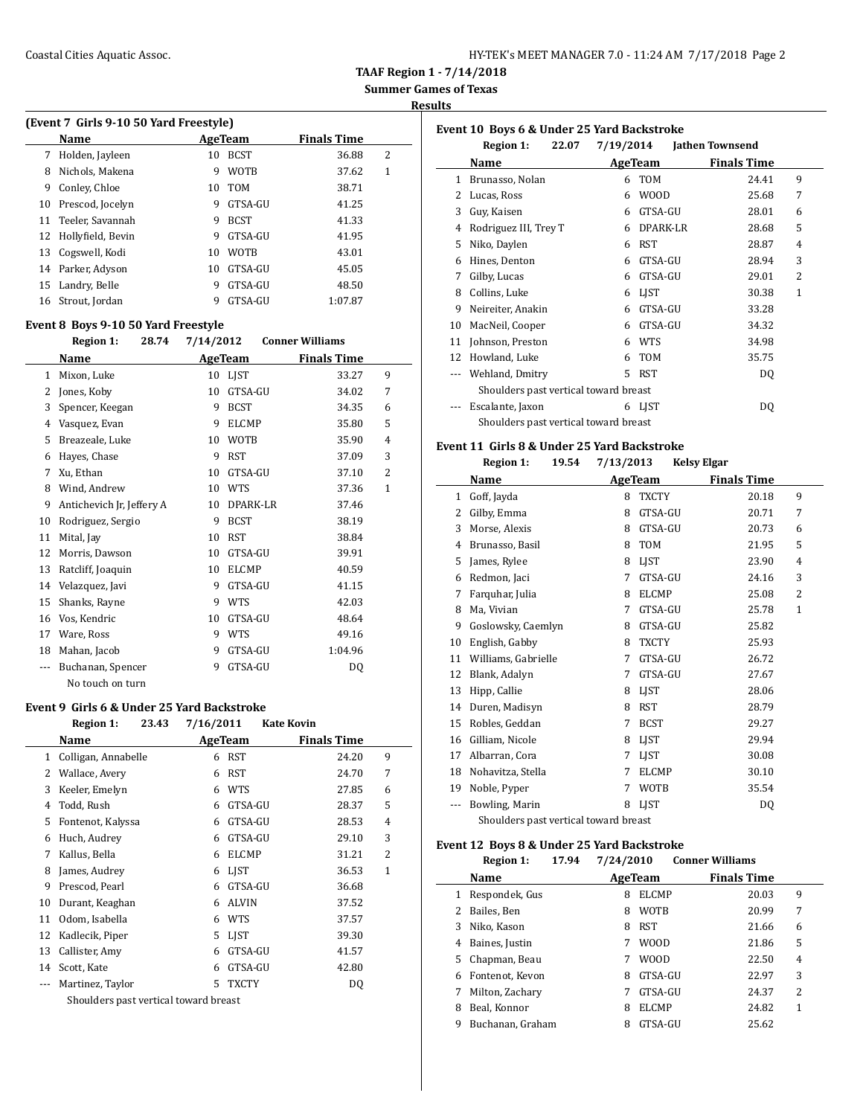| HY-TEK's MEET MANAGER 7.0 - 11:24 AM 7/17/2018 Page 2 |  |
|-------------------------------------------------------|--|
|-------------------------------------------------------|--|

**Results**

### **(Event 7 Girls 9-10 50 Yard Freestyle)**

|    | <b>Name</b>          |    | AgeTeam     | <b>Finals Time</b> |   |
|----|----------------------|----|-------------|--------------------|---|
| 7  | Holden, Jayleen      | 10 | <b>BCST</b> | 36.88              | 2 |
| 8  | Nichols, Makena      | 9  | <b>WOTB</b> | 37.62              | 1 |
| 9  | Conley, Chloe        | 10 | <b>TOM</b>  | 38.71              |   |
| 10 | Prescod, Jocelyn     | 9  | GTSA-GU     | 41.25              |   |
|    | 11 Teeler, Savannah  | 9  | <b>BCST</b> | 41.33              |   |
|    | 12 Hollyfield, Bevin | 9  | GTSA-GU     | 41.95              |   |
|    | 13 Cogswell, Kodi    | 10 | <b>WOTB</b> | 43.01              |   |
|    | 14 Parker, Adyson    | 10 | GTSA-GU     | 45.05              |   |
|    | 15 Landry, Belle     | 9  | GTSA-GU     | 48.50              |   |
|    | 16 Strout, Jordan    | 9  | GTSA-GU     | 1:07.87            |   |

### **Event 8 Boys 9-10 50 Yard Freestyle**

|     | <b>Region 1:</b><br>28.74 | 7/14/2012 |              | <b>Conner Williams</b> |   |
|-----|---------------------------|-----------|--------------|------------------------|---|
|     | Name                      | AgeTeam   |              | <b>Finals Time</b>     |   |
| 1   | Mixon, Luke               | 10        | LJST         | 33.27                  | 9 |
| 2   | Jones, Koby               | 10        | GTSA-GU      | 34.02                  | 7 |
| 3   | Spencer, Keegan           | 9         | <b>BCST</b>  | 34.35                  | 6 |
| 4   | Vasquez, Evan             | 9         | <b>ELCMP</b> | 35.80                  | 5 |
| 5   | Breazeale, Luke           | 10        | <b>WOTB</b>  | 35.90                  | 4 |
| 6   | Hayes, Chase              | 9         | <b>RST</b>   | 37.09                  | 3 |
| 7   | Xu, Ethan                 | 10        | GTSA-GU      | 37.10                  | 2 |
| 8   | Wind, Andrew              | 10        | <b>WTS</b>   | 37.36                  | 1 |
| 9   | Antichevich Jr, Jeffery A | 10        | DPARK-LR     | 37.46                  |   |
| 10  | Rodriguez, Sergio         | 9         | <b>BCST</b>  | 38.19                  |   |
| 11  | Mital, Jay                | 10        | <b>RST</b>   | 38.84                  |   |
| 12  | Morris, Dawson            | 10        | GTSA-GU      | 39.91                  |   |
| 13  | Ratcliff, Joaquin         | 10        | <b>ELCMP</b> | 40.59                  |   |
| 14  | Velazquez, Javi           | 9         | GTSA-GU      | 41.15                  |   |
| 15  | Shanks, Rayne             | 9         | <b>WTS</b>   | 42.03                  |   |
| 16  | Vos, Kendric              | 10        | GTSA-GU      | 48.64                  |   |
| 17  | Ware, Ross                | 9         | <b>WTS</b>   | 49.16                  |   |
| 18  | Mahan, Jacob              | 9         | GTSA-GU      | 1:04.96                |   |
| --- | Buchanan, Spencer         | 9         | GTSA-GU      | DQ                     |   |
|     | No touch on turn          |           |              |                        |   |

#### **Event 9 Girls 6 & Under 25 Yard Backstroke**

 $\overline{a}$ 

|     | <b>Region 1:</b><br>23.43             | 7/16/2011 |                | <b>Kate Kovin</b>  |                |
|-----|---------------------------------------|-----------|----------------|--------------------|----------------|
|     | Name                                  |           | <b>AgeTeam</b> | <b>Finals Time</b> |                |
| 1   | Colligan, Annabelle                   | 6         | <b>RST</b>     | 24.20              | 9              |
| 2   | Wallace, Avery                        | 6         | <b>RST</b>     | 24.70              | 7              |
| 3   | Keeler, Emelyn                        | 6         | <b>WTS</b>     | 27.85              | 6              |
| 4   | Todd, Rush                            | 6         | GTSA-GU        | 28.37              | 5              |
| 5   | Fontenot, Kalyssa                     | 6         | GTSA-GU        | 28.53              | 4              |
| 6   | Huch, Audrey                          | 6         | GTSA-GU        | 29.10              | 3              |
| 7   | Kallus, Bella                         | 6         | <b>ELCMP</b>   | 31.21              | $\overline{c}$ |
| 8   | James, Audrey                         | 6         | <b>LIST</b>    | 36.53              | 1              |
| 9   | Prescod, Pearl                        | 6         | GTSA-GU        | 36.68              |                |
| 10  | Durant, Keaghan                       | 6         | <b>ALVIN</b>   | 37.52              |                |
| 11  | Odom, Isabella                        | 6         | <b>WTS</b>     | 37.57              |                |
| 12  | Kadlecik, Piper                       | 5         | LIST           | 39.30              |                |
| 13  | Callister, Amy                        | 6         | GTSA-GU        | 41.57              |                |
| 14  | Scott, Kate                           | 6         | GTSA-GU        | 42.80              |                |
| --- | Martinez, Taylor                      | 5         | <b>TXCTY</b>   | DQ                 |                |
|     | Shoulders past vertical toward breast |           |                |                    |                |

|          | Event 10 Boys 6 & Under 25 Yard Backstroke |                |             |                        |   |  |  |
|----------|--------------------------------------------|----------------|-------------|------------------------|---|--|--|
|          | 22.07<br>Region 1:                         | 7/19/2014      |             | <b>Jathen Townsend</b> |   |  |  |
|          | Name                                       | <b>AgeTeam</b> |             | <b>Finals Time</b>     |   |  |  |
| 1        | Brunasso, Nolan                            | 6              | <b>TOM</b>  | 24.41                  | 9 |  |  |
| 2        | Lucas, Ross                                | 6              | <b>WOOD</b> | 25.68                  | 7 |  |  |
| 3        | Guy, Kaisen                                | 6              | GTSA-GU     | 28.01                  | 6 |  |  |
| 4        | Rodriguez III, Trey T                      | 6              | DPARK-LR    | 28.68                  | 5 |  |  |
| 5        | Niko, Daylen                               | 6              | <b>RST</b>  | 28.87                  | 4 |  |  |
| 6        | Hines, Denton                              | 6              | GTSA-GU     | 28.94                  | 3 |  |  |
| 7        | Gilby, Lucas                               | 6              | GTSA-GU     | 29.01                  | 2 |  |  |
| 8        | Collins, Luke                              | 6              | LIST        | 30.38                  | 1 |  |  |
| 9        | Neireiter, Anakin                          | 6              | GTSA-GU     | 33.28                  |   |  |  |
| 10       | MacNeil, Cooper                            | 6              | GTSA-GU     | 34.32                  |   |  |  |
| 11       | Johnson, Preston                           | 6              | WTS         | 34.98                  |   |  |  |
| 12       | Howland, Luke                              | 6              | <b>TOM</b>  | 35.75                  |   |  |  |
| $\cdots$ | Wehland, Dmitry                            | 5.             | <b>RST</b>  | DQ                     |   |  |  |
|          | Shoulders past vertical toward breast      |                |             |                        |   |  |  |
|          | Escalante, Jaxon                           | 6              | LJST        | DQ                     |   |  |  |
|          | Shoulders past vertical toward breast      |                |             |                        |   |  |  |

#### **Event 11 Girls 8 & Under 25 Yard Backstroke**

|              | 19.54<br><b>Region 1:</b>                               | 7/13/2013         | <b>Kelsy Elgar</b>      |
|--------------|---------------------------------------------------------|-------------------|-------------------------|
|              | Name                                                    | AgeTeam           | <b>Finals Time</b>      |
| $\mathbf{1}$ | Goff, Jayda                                             | <b>TXCTY</b><br>8 | 20.18<br>9              |
| 2            | Gilby, Emma                                             | GTSA-GU<br>8      | 20.71<br>7              |
| 3            | Morse, Alexis                                           | GTSA-GU<br>8      | 20.73<br>6              |
| 4            | Brunasso, Basil                                         | TOM<br>8          | 5<br>21.95              |
| 5            | James, Rylee                                            | LIST<br>8         | 23.90<br>4              |
| 6            | Redmon, Jaci                                            | GTSA-GU<br>7      | 3<br>24.16              |
| 7            | Farquhar, Julia                                         | <b>ELCMP</b><br>8 | $\overline{2}$<br>25.08 |
| 8            | Ma, Vivian                                              | GTSA-GU<br>7      | 25.78<br>$\mathbf{1}$   |
| 9            | Goslowsky, Caemlyn                                      | GTSA-GU<br>8      | 25.82                   |
| 10           | English, Gabby                                          | <b>TXCTY</b><br>8 | 25.93                   |
| 11           | Williams, Gabrielle                                     | GTSA-GU<br>7      | 26.72                   |
| 12           | Blank, Adalyn                                           | GTSA-GU<br>7      | 27.67                   |
| 13           | Hipp, Callie                                            | <b>LIST</b><br>8  | 28.06                   |
| 14           | Duren, Madisyn                                          | <b>RST</b><br>8   | 28.79                   |
| 15           | Robles, Geddan                                          | <b>BCST</b><br>7  | 29.27                   |
| 16           | Gilliam, Nicole                                         | <b>LIST</b><br>8  | 29.94                   |
| 17           | Albarran, Cora                                          | LIST<br>7         | 30.08                   |
| 18           | Nohavitza, Stella                                       | <b>ELCMP</b><br>7 | 30.10                   |
| 19           | Noble, Pyper                                            | <b>WOTB</b><br>7  | 35.54                   |
|              | Bowling, Marin                                          | <b>LIST</b><br>8  | DQ                      |
|              | Charlel dans a sample could sell more could have sample |                   |                         |

Shoulders past vertical toward breast

### **Event 12 Boys 8 & Under 25 Yard Backstroke**

|    | <b>Region 1:</b> | 17.94 | 7/24/2010 |              | <b>Conner Williams</b> |       |   |
|----|------------------|-------|-----------|--------------|------------------------|-------|---|
|    | Name             |       |           | AgeTeam      | <b>Finals Time</b>     |       |   |
| 1  | Respondek, Gus   |       | 8         | <b>ELCMP</b> |                        | 20.03 | 9 |
|    | Bailes, Ben      |       | 8         | <b>WOTB</b>  |                        | 20.99 | 7 |
| 3  | Niko, Kason      |       | 8         | <b>RST</b>   |                        | 21.66 | 6 |
| 4  | Baines, Justin   |       |           | <b>WOOD</b>  |                        | 21.86 | 5 |
| 5. | Chapman, Beau    |       |           | <b>WOOD</b>  |                        | 22.50 | 4 |
| 6  | Fontenot, Kevon  |       | 8         | GTSA-GU      |                        | 22.97 | 3 |
| 7  | Milton, Zachary  |       |           | GTSA-GU      |                        | 24.37 | 2 |
| 8  | Beal, Konnor     |       | 8         | <b>ELCMP</b> |                        | 24.82 | 1 |
| 9  | Buchanan, Graham |       | 8         | GTSA-GU      |                        | 25.62 |   |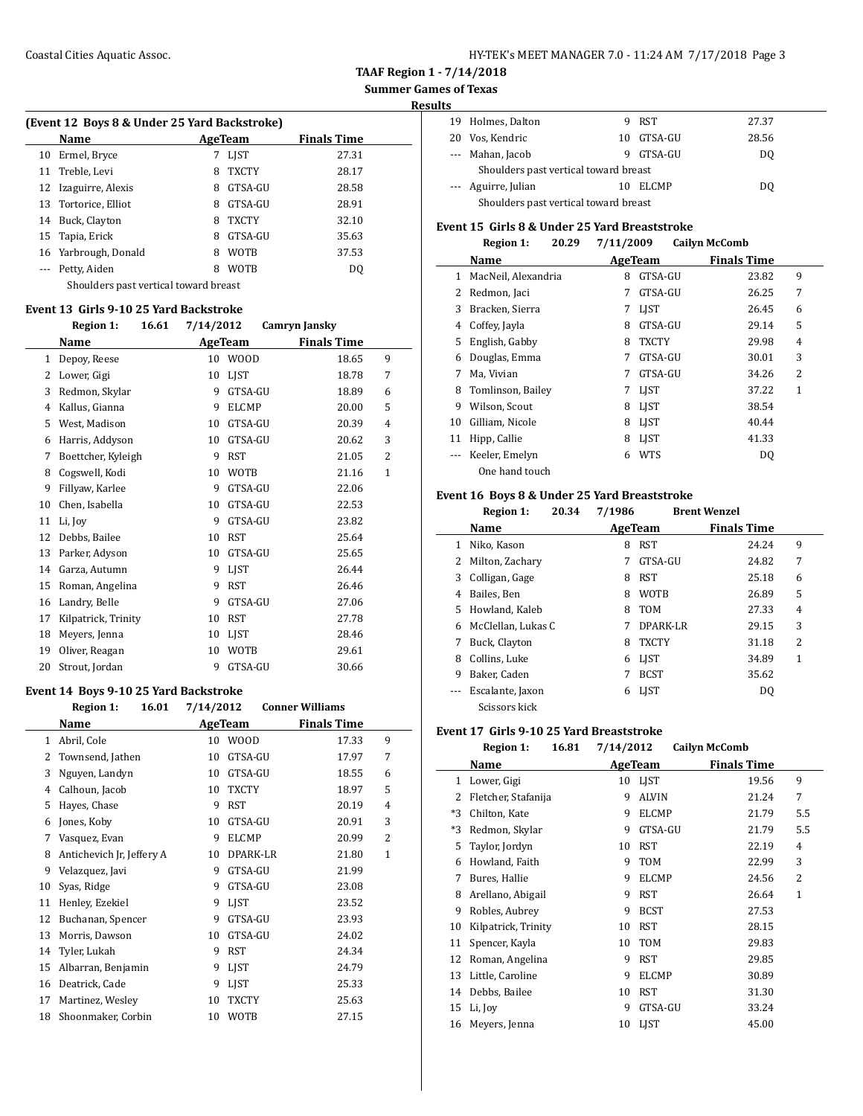## **Summer Games of Texas**

**Results**

 $\overline{\phantom{a}}$ 

|    | (Event 12 Boys 8 & Under 25 Yard Backstroke) |   |              |                    |  |  |  |  |
|----|----------------------------------------------|---|--------------|--------------------|--|--|--|--|
|    | Name                                         |   | AgeTeam      | <b>Finals Time</b> |  |  |  |  |
| 10 | Ermel, Bryce                                 | 7 | <b>LIST</b>  | 27.31              |  |  |  |  |
|    | 11 Treble, Levi                              | 8 | <b>TXCTY</b> | 28.17              |  |  |  |  |
|    | 12 Izaguirre, Alexis                         | 8 | GTSA-GU      | 28.58              |  |  |  |  |
|    | 13 Tortorice, Elliot                         | 8 | GTSA-GU      | 28.91              |  |  |  |  |
| 14 | Buck, Clayton                                | 8 | <b>TXCTY</b> | 32.10              |  |  |  |  |
|    | 15 Tapia, Erick                              | 8 | GTSA-GU      | 35.63              |  |  |  |  |
|    | 16 Yarbrough, Donald                         | 8 | <b>WOTB</b>  | 37.53              |  |  |  |  |
|    | Petty, Aiden                                 | 8 | <b>WOTB</b>  | D <sub>0</sub>     |  |  |  |  |
|    | Shoulders past vertical toward breast        |   |              |                    |  |  |  |  |

### **Event 13 Girls 9-10 25 Yard Backstroke**

|    | 16.61<br><b>Region 1:</b> | 7/14/2012         | Camryn Jansky           |
|----|---------------------------|-------------------|-------------------------|
|    | Name                      | AgeTeam           | <b>Finals Time</b>      |
| 1  | Depoy, Reese              | <b>WOOD</b><br>10 | 9<br>18.65              |
| 2  | Lower, Gigi               | LIST<br>10        | 18.78<br>7              |
| 3  | Redmon, Skylar            | GTSA-GU<br>9      | 18.89<br>6              |
| 4  | Kallus, Gianna            | <b>ELCMP</b><br>9 | 5<br>20.00              |
| 5  | West, Madison             | GTSA-GU<br>10     | 20.39<br>4              |
| 6  | Harris, Addyson           | GTSA-GU<br>10     | 3<br>20.62              |
| 7  | Boettcher, Kyleigh        | <b>RST</b><br>9   | $\overline{2}$<br>21.05 |
| 8  | Cogswell, Kodi            | <b>WOTB</b><br>10 | $\mathbf{1}$<br>21.16   |
| 9  | Fillyaw, Karlee           | 9<br>GTSA-GU      | 22.06                   |
| 10 | Chen, Isabella            | GTSA-GU<br>10     | 22.53                   |
| 11 | Li, Joy                   | 9<br>GTSA-GU      | 23.82                   |
| 12 | Debbs, Bailee             | <b>RST</b><br>10  | 25.64                   |
| 13 | Parker, Adyson            | GTSA-GU<br>10     | 25.65                   |
| 14 | Garza, Autumn             | <b>LIST</b><br>9  | 26.44                   |
| 15 | Roman, Angelina           | <b>RST</b><br>9   | 26.46                   |
| 16 | Landry, Belle             | 9<br>GTSA-GU      | 27.06                   |
| 17 | Kilpatrick, Trinity       | <b>RST</b><br>10  | 27.78                   |
| 18 | Meyers, Jenna             | <b>LIST</b><br>10 | 28.46                   |
| 19 | Oliver, Reagan            | <b>WOTB</b><br>10 | 29.61                   |
| 20 | Strout, Jordan            | GTSA-GU<br>9      | 30.66                   |

#### **Event 14 Boys 9-10 25 Yard Backstroke**

|    | 16.01<br><b>Region 1:</b> | 7/14/2012 |              | <b>Conner Williams</b> |                |
|----|---------------------------|-----------|--------------|------------------------|----------------|
|    | Name                      |           | AgeTeam      | <b>Finals Time</b>     |                |
| 1  | Abril, Cole               | 10        | <b>WOOD</b>  | 17.33                  | 9              |
| 2  | Townsend, Jathen          | 10        | GTSA-GU      | 17.97                  | 7              |
| 3  | Nguyen, Landyn            | 10        | GTSA-GU      | 18.55                  | 6              |
| 4  | Calhoun, Jacob            | 10        | <b>TXCTY</b> | 18.97                  | 5              |
| 5  | Hayes, Chase              | 9         | <b>RST</b>   | 20.19                  | 4              |
| 6  | Jones, Koby               | 10        | GTSA-GU      | 20.91                  | 3              |
| 7  | Vasquez, Evan             | 9         | <b>ELCMP</b> | 20.99                  | $\overline{2}$ |
| 8  | Antichevich Jr, Jeffery A | 10        | DPARK-LR     | 21.80                  | $\mathbf{1}$   |
| 9  | Velazquez, Javi           | 9         | GTSA-GU      | 21.99                  |                |
| 10 | Syas, Ridge               | 9         | GTSA-GU      | 23.08                  |                |
| 11 | Henley, Ezekiel           | 9         | LIST         | 23.52                  |                |
| 12 | Buchanan, Spencer         | 9         | GTSA-GU      | 23.93                  |                |
| 13 | Morris, Dawson            | 10        | GTSA-GU      | 24.02                  |                |
| 14 | Tyler, Lukah              | 9         | <b>RST</b>   | 24.34                  |                |
| 15 | Albarran, Benjamin        | 9         | LIST         | 24.79                  |                |
| 16 | Deatrick, Cade            | 9         | <b>LIST</b>  | 25.33                  |                |
| 17 | Martinez, Wesley          | 10        | <b>TXCTY</b> | 25.63                  |                |
| 18 | Shoonmaker, Corbin        | 10        | <b>WOTB</b>  | 27.15                  |                |

| LЭ                                    |                                       |     |              |       |  |
|---------------------------------------|---------------------------------------|-----|--------------|-------|--|
|                                       | 19 Holmes, Dalton                     |     | 9 RST        | 27.37 |  |
|                                       | 20 Vos, Kendric                       | 10. | GTSA-GU      | 28.56 |  |
|                                       | --- Mahan, Jacob                      | 9   | GTSA-GU      | DO.   |  |
| Shoulders past vertical toward breast |                                       |     |              |       |  |
|                                       | --- Aguirre, Julian                   |     | <b>ELCMP</b> | DO.   |  |
|                                       | Shoulders past vertical toward breast |     |              |       |  |

### **Event 15 Girls 8 & Under 25 Yard Breaststroke**

|    | <b>Region 1:</b><br>20.29 | 7/11/2009 |              | <b>Cailyn McComb</b> |   |
|----|---------------------------|-----------|--------------|----------------------|---|
|    | Name                      | AgeTeam   |              | <b>Finals Time</b>   |   |
| 1  | MacNeil, Alexandria       | 8         | GTSA-GU      | 23.82                | 9 |
| 2  | Redmon, Jaci              | 7         | GTSA-GU      | 26.25                | 7 |
| 3  | Bracken, Sierra           | 7         | <b>LIST</b>  | 26.45                | 6 |
| 4  | Coffey, Jayla             | 8         | GTSA-GU      | 29.14                | 5 |
| 5  | English, Gabby            | 8         | <b>TXCTY</b> | 29.98                | 4 |
| 6  | Douglas, Emma             | 7         | GTSA-GU      | 30.01                | 3 |
| 7  | Ma, Vivian                | 7         | GTSA-GU      | 34.26                | 2 |
| 8  | Tomlinson, Bailey         | 7         | <b>LIST</b>  | 37.22                | 1 |
| 9  | Wilson, Scout             | 8         | <b>LIST</b>  | 38.54                |   |
| 10 | Gilliam, Nicole           | 8         | <b>LIST</b>  | 40.44                |   |
| 11 | Hipp, Callie              | 8         | <b>LIST</b>  | 41.33                |   |
|    | Keeler, Emelyn            | 6         | <b>WTS</b>   | DQ                   |   |
|    | One hand touch            |           |              |                      |   |

### **Event 16 Boys 8 & Under 25 Yard Breaststroke**

#### **Region 1: 20.34 7/1986 Brent Wenzel**

|   | Name               |   | AgeTeam      | <b>Finals Time</b> |   |  |
|---|--------------------|---|--------------|--------------------|---|--|
| 1 | Niko, Kason        | 8 | <b>RST</b>   | 24.24              | 9 |  |
| 2 | Milton, Zachary    | 7 | GTSA-GU      | 24.82              | 7 |  |
| 3 | Colligan, Gage     | 8 | <b>RST</b>   | 25.18              | 6 |  |
| 4 | Bailes. Ben        | 8 | <b>WOTB</b>  | 26.89              | 5 |  |
| 5 | Howland, Kaleb     | 8 | <b>TOM</b>   | 27.33              | 4 |  |
| 6 | McClellan, Lukas C | 7 | DPARK-LR     | 29.15              | 3 |  |
| 7 | Buck, Clayton      | 8 | <b>TXCTY</b> | 31.18              | 2 |  |
| 8 | Collins, Luke      | 6 | <b>LIST</b>  | 34.89              | 1 |  |
| 9 | Baker, Caden       |   | <b>BCST</b>  | 35.62              |   |  |
|   | Escalante, Jaxon   | 6 | <b>LIST</b>  | DQ                 |   |  |
|   | Scissors kick      |   |              |                    |   |  |

# **Event 17 Girls 9-10 25 Yard Breaststroke**

|      | <b>Region 1:</b><br>16.81 | 7/14/2012 |                | <b>Cailyn McComb</b> |                |
|------|---------------------------|-----------|----------------|----------------------|----------------|
|      | Name                      |           | <b>AgeTeam</b> | <b>Finals Time</b>   |                |
| 1    | Lower, Gigi               | 10        | LJST           | 19.56                | 9              |
| 2    | Fletcher, Stafanija       | 9         | <b>ALVIN</b>   | 21.24                | 7              |
| $*3$ | Chilton, Kate             | 9         | <b>ELCMP</b>   | 21.79                | 5.5            |
| *3   | Redmon, Skylar            | 9         | GTSA-GU        | 21.79                | 5.5            |
| 5    | Taylor, Jordyn            | 10        | <b>RST</b>     | 22.19                | 4              |
| 6    | Howland, Faith            | 9         | <b>TOM</b>     | 22.99                | 3              |
| 7    | Bures, Hallie             | 9         | <b>ELCMP</b>   | 24.56                | $\overline{2}$ |
| 8    | Arellano, Abigail         | 9         | <b>RST</b>     | 26.64                | $\mathbf{1}$   |
| 9    | Robles, Aubrey            | 9         | <b>BCST</b>    | 27.53                |                |
| 10   | Kilpatrick, Trinity       | 10        | <b>RST</b>     | 28.15                |                |
| 11   | Spencer, Kayla            | 10        | <b>TOM</b>     | 29.83                |                |
| 12   | Roman, Angelina           | 9         | <b>RST</b>     | 29.85                |                |
| 13   | Little, Caroline          | 9         | <b>ELCMP</b>   | 30.89                |                |
| 14   | Debbs, Bailee             | 10        | <b>RST</b>     | 31.30                |                |
| 15   | Li, Joy                   | 9         | GTSA-GU        | 33.24                |                |
| 16   | Meyers, Jenna             | 10        | LIST           | 45.00                |                |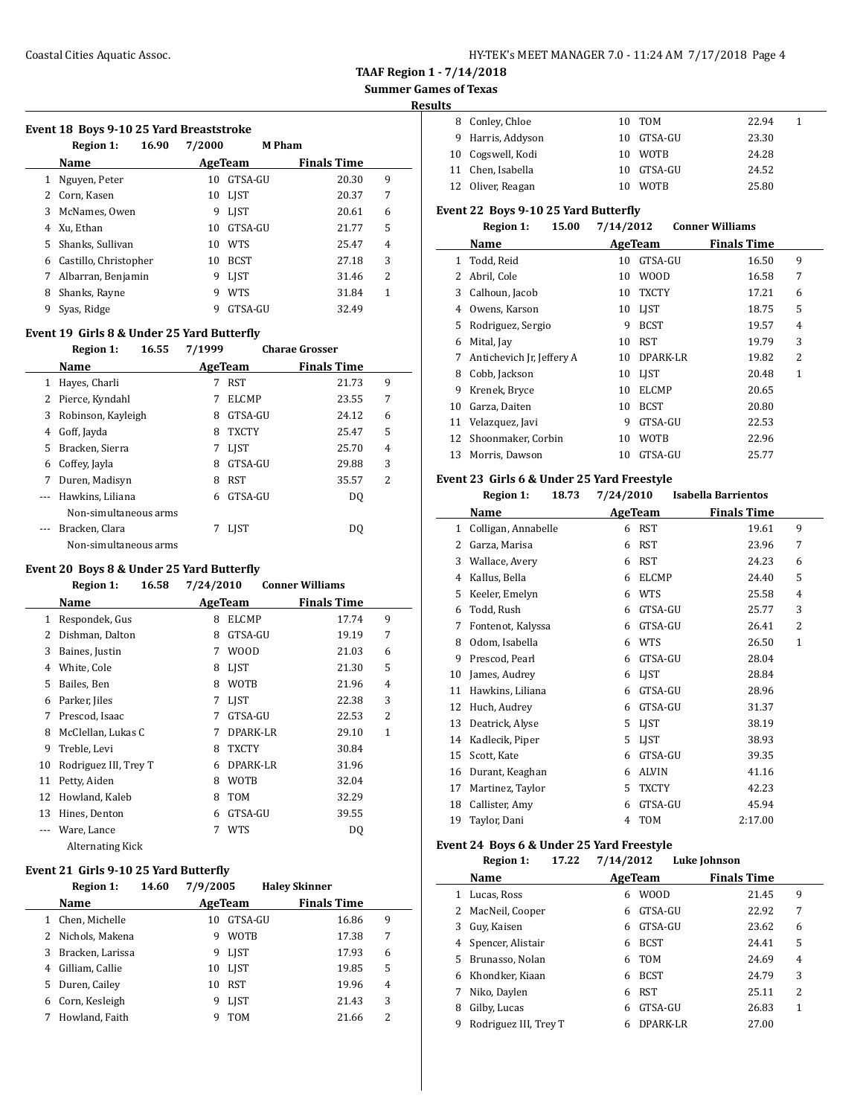### **Summer Games of Texas**

#### **Results**

|  |  |  |  | Event 18 Boys 9-10 25 Yard Breaststroke |
|--|--|--|--|-----------------------------------------|
|--|--|--|--|-----------------------------------------|

|    | 16.90<br><b>Region 1:</b> | 7/2000 |             | <b>M</b> Pham      |   |
|----|---------------------------|--------|-------------|--------------------|---|
|    | Name                      |        | AgeTeam     | <b>Finals Time</b> |   |
| 1  | Nguyen, Peter             | 10     | GTSA-GU     | 20.30              | 9 |
| 2  | Corn, Kasen               | 10     | <b>LIST</b> | 20.37              | 7 |
| 3  | McNames, Owen             | 9      | <b>LIST</b> | 20.61              | 6 |
| 4  | Xu, Ethan                 | 10     | GTSA-GU     | 21.77              | 5 |
| 5. | Shanks, Sullivan          | 10     | <b>WTS</b>  | 25.47              | 4 |
| 6  | Castillo, Christopher     | 10     | <b>BCST</b> | 27.18              | 3 |
| 7  | Albarran, Benjamin        | 9      | <b>LIST</b> | 31.46              | 2 |
| 8  | Shanks, Rayne             | 9      | <b>WTS</b>  | 31.84              | 1 |
| 9  | Syas, Ridge               | 9      | GTSA-GU     | 32.49              |   |

### **Event 19 Girls 8 & Under 25 Yard Butterfly**

|   | <b>Region 1:</b>      | 16.55 | 7/1999 |              | <b>Charae Grosser</b> |   |
|---|-----------------------|-------|--------|--------------|-----------------------|---|
|   | Name                  |       |        | AgeTeam      | <b>Finals Time</b>    |   |
| 1 | Hayes, Charli         |       |        | <b>RST</b>   | 21.73                 | 9 |
| 2 | Pierce, Kyndahl       |       |        | <b>ELCMP</b> | 23.55                 | 7 |
| 3 | Robinson, Kayleigh    |       | 8      | GTSA-GU      | 24.12                 | 6 |
| 4 | Goff, Jayda           |       | 8      | <b>TXCTY</b> | 25.47                 | 5 |
| 5 | Bracken, Sierra       |       |        | <b>LIST</b>  | 25.70                 | 4 |
| 6 | Coffey, Jayla         |       | 8      | GTSA-GU      | 29.88                 | 3 |
| 7 | Duren, Madisyn        |       | 8      | <b>RST</b>   | 35.57                 | 2 |
|   | Hawkins, Liliana      |       | 6      | GTSA-GU      | DO.                   |   |
|   | Non-simultaneous arms |       |        |              |                       |   |
|   | Bracken, Clara        |       |        | <b>LIST</b>  | D <sub>0</sub>        |   |
|   | Non-simultaneous arms |       |        |              |                       |   |

### **Event 20 Boys 8 & Under 25 Yard Butterfly**

|    | <b>Region 1:</b><br>16.58 | 7/24/2010 |              | <b>Conner Williams</b> |              |
|----|---------------------------|-----------|--------------|------------------------|--------------|
|    | Name                      |           | AgeTeam      | <b>Finals Time</b>     |              |
| 1  | Respondek, Gus            | 8         | <b>ELCMP</b> | 17.74                  | 9            |
| 2  | Dishman, Dalton           | 8         | GTSA-GU      | 19.19                  | 7            |
| 3  | Baines, Justin            | 7         | <b>WOOD</b>  | 21.03                  | 6            |
| 4  | White, Cole               | 8         | <b>LIST</b>  | 21.30                  | 5            |
| 5  | Bailes, Ben               | 8         | <b>WOTB</b>  | 21.96                  | 4            |
| 6  | Parker, Jiles             | 7         | LIST         | 22.38                  | 3            |
| 7  | Prescod, Isaac            | 7         | GTSA-GU      | 22.53                  | 2            |
| 8  | McClellan, Lukas C        | 7         | DPARK-LR     | 29.10                  | $\mathbf{1}$ |
| 9  | Treble, Levi              | 8         | <b>TXCTY</b> | 30.84                  |              |
| 10 | Rodriguez III, Trey T     | 6         | DPARK-LR     | 31.96                  |              |
| 11 | Petty, Aiden              | 8         | <b>WOTB</b>  | 32.04                  |              |
| 12 | Howland, Kaleb            | 8         | <b>TOM</b>   | 32.29                  |              |
| 13 | Hines, Denton             | 6         | GTSA-GU      | 39.55                  |              |
|    | Ware, Lance               | 7         | <b>WTS</b>   | DQ                     |              |
|    | Alternating Kick          |           |              |                        |              |

#### **Event 21 Girls 9-10 25 Yard Butterfly**

|    | <b>Region 1:</b>  | 14.60 | 7/9/2005 |             | <b>Haley Skinner</b> |                         |
|----|-------------------|-------|----------|-------------|----------------------|-------------------------|
|    | Name              |       |          | AgeTeam     | <b>Finals Time</b>   |                         |
| 1. | Chen, Michelle    |       | 10       | GTSA-GU     | 16.86                | 9                       |
|    | 2 Nichols, Makena |       | 9        | <b>WOTB</b> | 17.38                | 7                       |
| 3  | Bracken, Larissa  |       | 9        | <b>LIST</b> | 17.93                | 6                       |
| 4  | Gilliam, Callie   |       | 10       | <b>LIST</b> | 19.85                | 5                       |
| 5  | Duren, Cailey     |       | 10       | <b>RST</b>  | 19.96                | 4                       |
| 6  | Corn, Kesleigh    |       | 9        | <b>LIST</b> | 21.43                | 3                       |
|    | Howland, Faith    |       | 9        | TOM         | 21.66                | $\overline{\mathbf{c}}$ |

| 8 Conley, Chloe   |    | 10 TOM      | 22.94 |  |
|-------------------|----|-------------|-------|--|
| 9 Harris, Addyson |    | 10 GTSA-GU  | 23.30 |  |
| 10 Cogswell, Kodi |    | 10 WOTB     | 24.28 |  |
| 11 Chen, Isabella |    | 10 GTSA-GU  | 24.52 |  |
| 12 Oliver, Reagan | 10 | <b>WOTB</b> | 25.80 |  |

### **Event 22 Boys 9-10 25 Yard Butterfly**

|  |  | Region 1: | 15.00 | 7/14/2012 | <b>Conner Williams</b> |
|--|--|-----------|-------|-----------|------------------------|
|--|--|-----------|-------|-----------|------------------------|

|    | Name                      |    | AgeTeam      | <b>Finals Time</b> |              |  |
|----|---------------------------|----|--------------|--------------------|--------------|--|
| 1  | Todd, Reid                | 10 | GTSA-GU      | 16.50              | 9            |  |
| 2  | Abril, Cole               | 10 | <b>WOOD</b>  | 16.58              | 7            |  |
| 3  | Calhoun, Jacob            | 10 | <b>TXCTY</b> | 17.21              | 6            |  |
| 4  | Owens, Karson             | 10 | LIST         | 18.75              | 5            |  |
| 5  | Rodriguez, Sergio         | 9  | <b>BCST</b>  | 19.57              | 4            |  |
| 6  | Mital, Jay                | 10 | RST          | 19.79              | 3            |  |
| 7  | Antichevich Jr, Jeffery A | 10 | DPARK-LR     | 19.82              | 2            |  |
| 8  | Cobb, Jackson             | 10 | LIST         | 20.48              | $\mathbf{1}$ |  |
| 9  | Krenek, Bryce             | 10 | <b>ELCMP</b> | 20.65              |              |  |
| 10 | Garza, Daiten             | 10 | <b>BCST</b>  | 20.80              |              |  |
| 11 | Velazquez, Javi           | 9  | GTSA-GU      | 22.53              |              |  |
|    | 12 Shoonmaker, Corbin     | 10 | <b>WOTB</b>  | 22.96              |              |  |
| 13 | Morris, Dawson            | 10 | GTSA-GU      | 25.77              |              |  |
|    |                           |    |              |                    |              |  |

### **Event 23 Girls 6 & Under 25 Yard Freestyle**

|    | <b>Region 1:</b><br>18.73 | 7/24/2010         | <b>Isabella Barrientos</b> |              |
|----|---------------------------|-------------------|----------------------------|--------------|
|    | Name                      | <b>AgeTeam</b>    | <b>Finals Time</b>         |              |
| 1  | Colligan, Annabelle       | <b>RST</b><br>6   | 19.61                      | 9            |
| 2  | Garza, Marisa             | <b>RST</b><br>6   | 23.96                      | 7            |
| 3  | Wallace, Avery            | <b>RST</b><br>6   | 24.23                      | 6            |
| 4  | Kallus, Bella             | <b>ELCMP</b><br>6 | 24.40                      | 5            |
| 5  | Keeler, Emelyn            | <b>WTS</b><br>6   | 25.58                      | 4            |
| 6  | Todd, Rush                | GTSA-GU<br>6      | 25.77                      | 3            |
| 7  | Fontenot, Kalyssa         | GTSA-GU<br>6      | 26.41                      | 2            |
| 8  | Odom, Isabella            | <b>WTS</b><br>6   | 26.50                      | $\mathbf{1}$ |
| 9  | Prescod, Pearl            | GTSA-GU<br>6      | 28.04                      |              |
| 10 | James, Audrey             | <b>LIST</b><br>6  | 28.84                      |              |
| 11 | Hawkins, Liliana          | GTSA-GU<br>6      | 28.96                      |              |
| 12 | Huch, Audrey              | GTSA-GU<br>6      | 31.37                      |              |
| 13 | Deatrick, Alyse           | <b>LIST</b><br>5  | 38.19                      |              |
| 14 | Kadlecik, Piper           | <b>LIST</b><br>5  | 38.93                      |              |
| 15 | Scott, Kate               | GTSA-GU<br>6      | 39.35                      |              |
| 16 | Durant, Keaghan           | <b>ALVIN</b><br>6 | 41.16                      |              |
| 17 | Martinez, Taylor          | <b>TXCTY</b><br>5 | 42.23                      |              |
| 18 | Callister, Amy            | GTSA-GU<br>6      | 45.94                      |              |
| 19 | Taylor, Dani              | <b>TOM</b><br>4   | 2:17.00                    |              |

## **Event 24 Boys 6 & Under 25 Yard Freestyle**

|    | <b>Region 1:</b>      | 17.22 | 7/14/2012 |             | <b>Luke Johnson</b> |                    |       |                |
|----|-----------------------|-------|-----------|-------------|---------------------|--------------------|-------|----------------|
|    | Name                  |       |           | AgeTeam     |                     | <b>Finals Time</b> |       |                |
| 1  | Lucas, Ross           |       | 6         | <b>WOOD</b> |                     |                    | 21.45 | 9              |
|    | 2 MacNeil, Cooper     |       | 6         | GTSA-GU     |                     |                    | 22.92 | 7              |
| 3  | Guy, Kaisen           |       | 6         | GTSA-GU     |                     |                    | 23.62 | 6              |
| 4  | Spencer, Alistair     |       | 6         | <b>BCST</b> |                     |                    | 24.41 | 5              |
| 5. | Brunasso. Nolan       |       | 6         | <b>TOM</b>  |                     |                    | 24.69 | $\overline{4}$ |
| 6  | Khondker, Kiaan       |       | 6         | <b>BCST</b> |                     |                    | 24.79 | 3              |
| 7  | Niko, Daylen          |       | 6         | <b>RST</b>  |                     |                    | 25.11 | 2              |
| 8  | Gilby, Lucas          |       | 6         | GTSA-GU     |                     |                    | 26.83 | 1              |
| 9  | Rodriguez III, Trey T |       |           | DPARK-LR    |                     |                    | 27.00 |                |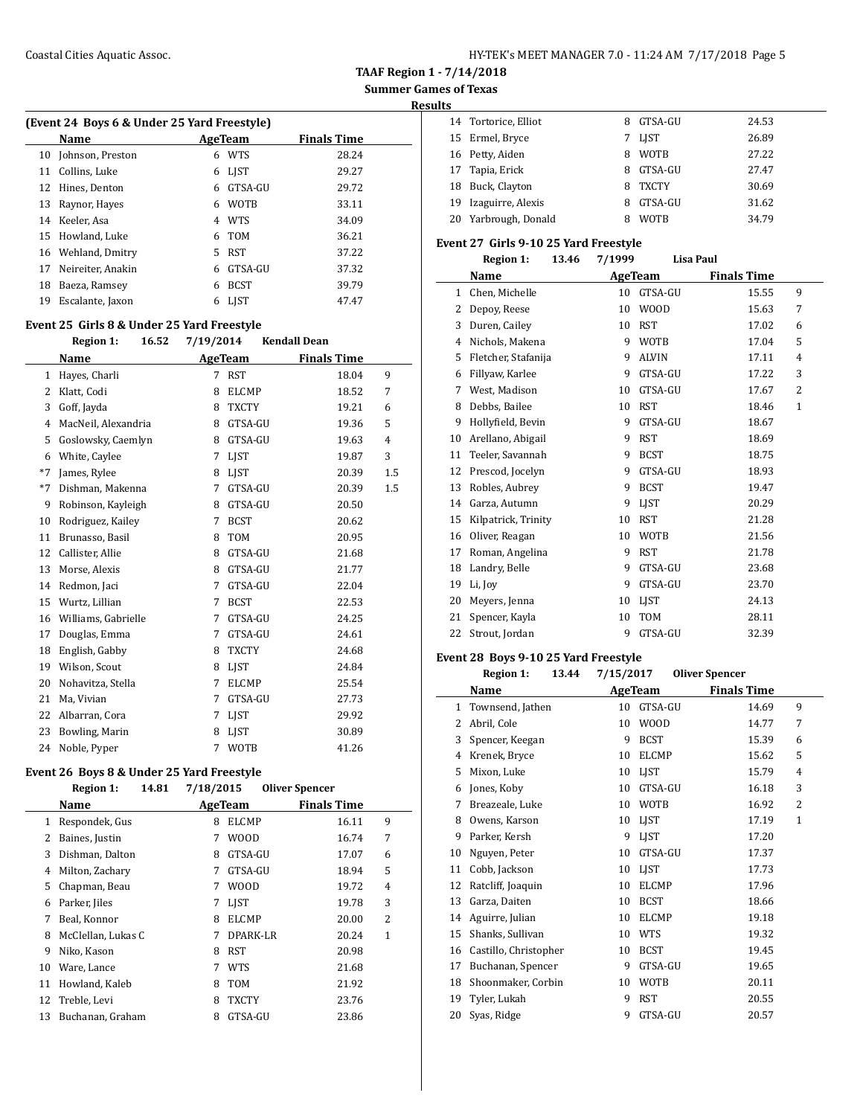### **Summer Games of Texas**

**Results**

 $\overline{a}$ 

 $\overline{a}$ 

|  | (Event 24 Boys 6 & Under 25 Yard Freestyle) |  |
|--|---------------------------------------------|--|
|  |                                             |  |

| Name               |    |             | <b>Finals Time</b> |
|--------------------|----|-------------|--------------------|
| Johnson, Preston   | 6  | <b>WTS</b>  | 28.24              |
| Collins, Luke      | 6  | LJST        | 29.27              |
| Hines, Denton      | 6  | GTSA-GU     | 29.72              |
| Raynor, Hayes      | 6  | <b>WOTB</b> | 33.11              |
| 14 Keeler, Asa     | 4  | WTS         | 34.09              |
| 15 Howland, Luke   | 6. |             | 36.21              |
| 16 Wehland, Dmitry | 5. | <b>RST</b>  | 37.22              |
| Neireiter, Anakin  | 6  | GTSA-GU     | 37.32              |
| Baeza, Ramsey      | 6  | <b>BCST</b> | 39.79              |
| Escalante, Jaxon   | 6  | LIST        | 47.47              |
|                    |    |             | AgeTeam<br>TOM     |

#### **Event 25 Girls 8 & Under 25 Yard Freestyle**

### **Region 1: 16.52 7/19/2014 Kendall Dean Name Age Team Finals Time** 1 Hayes, Charli 7 RST 18.04 9 Klatt, Codi 8 ELCMP 18.52 7 Goff, Jayda 8 TXCTY 19.21 6 MacNeil, Alexandria 8 GTSA-GU 19.36 5 5 Goslowsky, Caemlyn 8 GTSA-GU 19.63 4 6 White, Caylee 7 LJST 19.87 3  $*7$  James, Rylee 8 LJST 20.39 1.5 \*7 Dishman, Makenna 7 GTSA-GU 20.39 1.5 Robinson, Kayleigh 8 GTSA-GU 20.50 10 Rodriguez, Kailey 7 BCST 20.62 11 Brunasso, Basil 8 TOM 20.95 12 Callister, Allie 8 GTSA-GU 21.68 13 Morse, Alexis 8 GTSA-GU 21.77 14 Redmon, Jaci 7 GTSA-GU 22.04 15 Wurtz, Lillian 7 BCST 22.53 16 Williams, Gabrielle 7 GTSA-GU 24.25 17 Douglas, Emma 7 GTSA-GU 24.61 English, Gabby 8 TXCTY 24.68 Wilson, Scout 8 LJST 24.84 Nohavitza, Stella 7 ELCMP 25.54 21 Ma, Vivian 7 GTSA-GU 27.73 22 Albarran, Cora 7 LJST 29.92 23 Bowling, Marin 8 LJST 30.89 24 Noble, Pyper 7 WOTB 41.26

#### **Event 26 Boys 8 & Under 25 Yard Freestyle Region 1: 14.81 7/18/2015 Oliver Spencer**

|    | REEIVIL 1.<br>17.VL | $11012013$ Unver Spencer |                         |
|----|---------------------|--------------------------|-------------------------|
|    | Name                | AgeTeam                  | <b>Finals Time</b>      |
| 1  | Respondek, Gus      | <b>ELCMP</b><br>8        | 9<br>16.11              |
| 2  | Baines, Justin      | W00D<br>7                | 7<br>16.74              |
| 3  | Dishman, Dalton     | GTSA-GU<br>8             | 17.07<br>6              |
| 4  | Milton, Zachary     | GTSA-GU<br>7             | 5<br>18.94              |
| 5  | Chapman, Beau       | <b>WOOD</b><br>7         | 4<br>19.72              |
| 6  | Parker, Jiles       | <b>LIST</b><br>7         | 3<br>19.78              |
| 7  | Beal, Konnor        | <b>ELCMP</b><br>8        | $\overline{c}$<br>20.00 |
| 8  | McClellan, Lukas C  | DPARK-LR<br>7            | 1<br>20.24              |
| 9  | Niko, Kason         | <b>RST</b><br>8          | 20.98                   |
| 10 | Ware, Lance         | <b>WTS</b><br>7          | 21.68                   |
| 11 | Howland, Kaleb      | <b>TOM</b><br>8          | 21.92                   |
| 12 | Treble, Levi        | <b>TXCTY</b><br>8        | 23.76                   |
| 13 | Buchanan, Graham    | GTSA-GU<br>8             | 23.86                   |

| .  |                      |   |              |       |
|----|----------------------|---|--------------|-------|
|    | 14 Tortorice, Elliot | 8 | GTSA-GU      | 24.53 |
|    | 15 Ermel, Bryce      |   | 7 LIST       | 26.89 |
|    | 16 Petty, Aiden      | 8 | <b>WOTB</b>  | 27.22 |
| 17 | Tapia, Erick         | 8 | GTSA-GU      | 27.47 |
| 18 | Buck, Clayton        | 8 | <b>TXCTY</b> | 30.69 |
| 19 | Izaguirre, Alexis    | 8 | GTSA-GU      | 31.62 |
| 20 | Yarbrough, Donald    |   | <b>WOTB</b>  | 34.79 |

#### **Event 27 Girls 9-10 25 Yard Freestyle**

|    | <b>Region 1:</b><br>13.46 | 7/1999 | <b>Lisa Paul</b> |                    |                |
|----|---------------------------|--------|------------------|--------------------|----------------|
|    | Name                      |        | <b>AgeTeam</b>   | <b>Finals Time</b> |                |
| 1  | Chen, Michelle            | 10     | GTSA-GU          | 15.55              | 9              |
| 2  | Depoy, Reese              | 10     | <b>WOOD</b>      | 15.63              | 7              |
| 3  | Duren, Cailey             | 10     | <b>RST</b>       | 17.02              | 6              |
| 4  | Nichols, Makena           | 9      | <b>WOTB</b>      | 17.04              | 5              |
| 5  | Fletcher, Stafanija       | 9      | <b>ALVIN</b>     | 17.11              | $\overline{4}$ |
| 6  | Fillyaw, Karlee           | 9      | GTSA-GU          | 17.22              | 3              |
| 7  | West, Madison             | 10     | GTSA-GU          | 17.67              | 2              |
| 8  | Debbs, Bailee             | 10     | <b>RST</b>       | 18.46              | $\mathbf{1}$   |
| 9  | Hollyfield, Bevin         | 9      | GTSA-GU          | 18.67              |                |
| 10 | Arellano, Abigail         | 9      | <b>RST</b>       | 18.69              |                |
| 11 | Teeler, Savannah          | 9      | <b>BCST</b>      | 18.75              |                |
| 12 | Prescod, Jocelyn          | 9      | GTSA-GU          | 18.93              |                |
| 13 | Robles, Aubrey            | 9      | <b>BCST</b>      | 19.47              |                |
| 14 | Garza, Autumn             | 9      | LIST             | 20.29              |                |
| 15 | Kilpatrick, Trinity       | 10     | <b>RST</b>       | 21.28              |                |
| 16 | Oliver, Reagan            | 10     | <b>WOTB</b>      | 21.56              |                |
| 17 | Roman, Angelina           | 9      | <b>RST</b>       | 21.78              |                |
| 18 | Landry, Belle             | 9      | GTSA-GU          | 23.68              |                |
| 19 | Li, Joy                   | 9      | GTSA-GU          | 23.70              |                |
| 20 | Meyers, Jenna             | 10     | LIST             | 24.13              |                |
| 21 | Spencer, Kayla            | 10     | <b>TOM</b>       | 28.11              |                |
| 22 | Strout, Jordan            | 9      | GTSA-GU          | 32.39              |                |

#### **Event 28 Boys 9-10 25 Yard Freestyle**

|    | <b>Region 1:</b>      | 13.44 | 7/15/2017 |              | <b>Oliver Spencer</b> |       |              |
|----|-----------------------|-------|-----------|--------------|-----------------------|-------|--------------|
|    | Name                  |       |           | AgeTeam      | <b>Finals Time</b>    |       |              |
| 1  | Townsend, Jathen      |       | 10        | GTSA-GU      |                       | 14.69 | 9            |
| 2  | Abril, Cole           |       | 10        | <b>WOOD</b>  |                       | 14.77 | 7            |
| 3  | Spencer, Keegan       |       | 9         | <b>BCST</b>  |                       | 15.39 | 6            |
| 4  | Krenek, Bryce         |       | 10        | <b>ELCMP</b> |                       | 15.62 | 5            |
| 5  | Mixon, Luke           |       | 10        | LIST         |                       | 15.79 | 4            |
| 6  | Jones, Koby           |       | 10        | GTSA-GU      |                       | 16.18 | 3            |
| 7  | Breazeale, Luke       |       | 10        | WOTB         |                       | 16.92 | 2            |
| 8  | Owens, Karson         |       | 10        | LIST         |                       | 17.19 | $\mathbf{1}$ |
| 9  | Parker, Kersh         |       | 9         | <b>LIST</b>  |                       | 17.20 |              |
| 10 | Nguyen, Peter         |       | 10        | GTSA-GU      |                       | 17.37 |              |
| 11 | Cobb, Jackson         |       | 10        | <b>LIST</b>  |                       | 17.73 |              |
| 12 | Ratcliff, Joaquin     |       | 10        | <b>ELCMP</b> |                       | 17.96 |              |
| 13 | Garza, Daiten         |       | 10        | <b>BCST</b>  |                       | 18.66 |              |
| 14 | Aguirre, Julian       |       | 10        | <b>ELCMP</b> |                       | 19.18 |              |
| 15 | Shanks, Sullivan      |       | 10        | <b>WTS</b>   |                       | 19.32 |              |
| 16 | Castillo, Christopher |       | 10        | <b>BCST</b>  |                       | 19.45 |              |
| 17 | Buchanan, Spencer     |       | 9         | GTSA-GU      |                       | 19.65 |              |
| 18 | Shoonmaker, Corbin    |       | 10        | <b>WOTB</b>  |                       | 20.11 |              |
| 19 | Tyler, Lukah          |       | 9         | <b>RST</b>   |                       | 20.55 |              |
| 20 | Syas, Ridge           |       | 9         | GTSA-GU      |                       | 20.57 |              |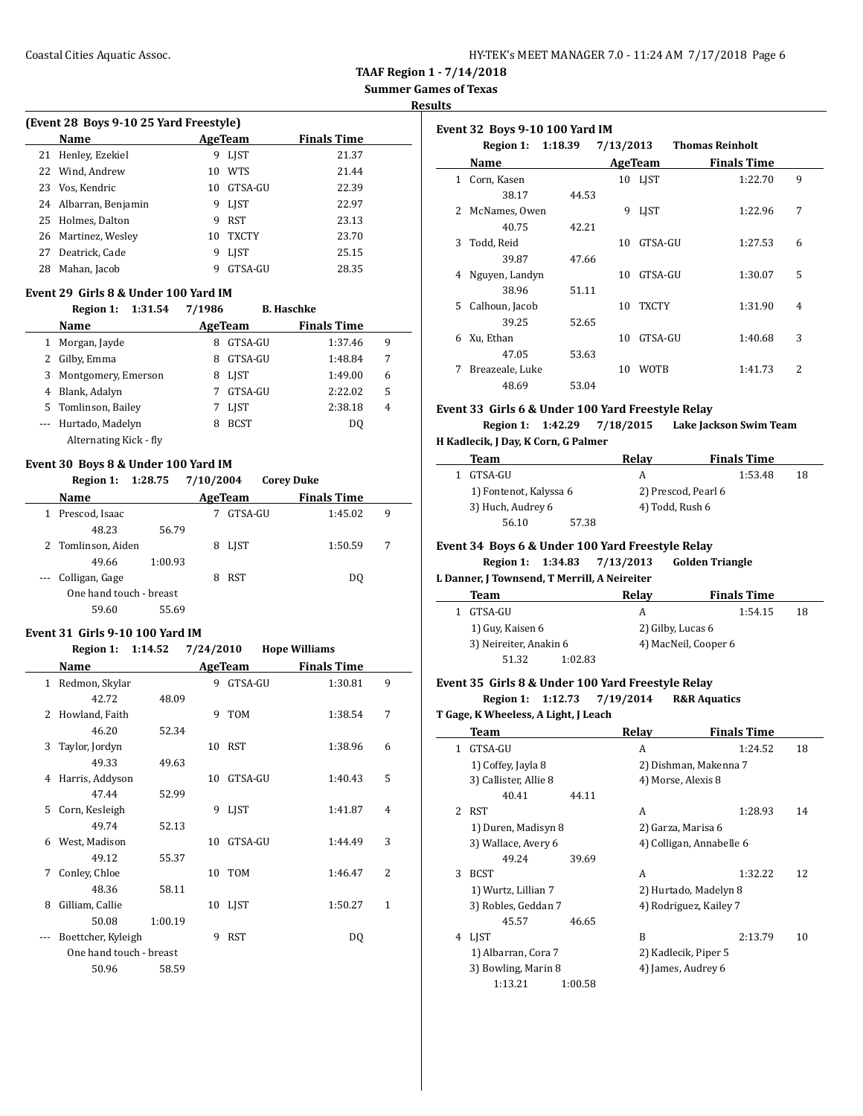| HY-TEK's MEET MANAGER 7.0 - 11:24 AM 7/17/2018 Page 6 |  |
|-------------------------------------------------------|--|
|-------------------------------------------------------|--|

**Summer Games of Texas**

**Results**

 $\overline{\phantom{a}}$ 

 $\frac{1}{2}$ 

| (Event 28 Boys 9-10 25 Yard Freestyle) |                       |    |              |                    |  |  |  |  |  |  |
|----------------------------------------|-----------------------|----|--------------|--------------------|--|--|--|--|--|--|
|                                        | Name                  |    | AgeTeam      | <b>Finals Time</b> |  |  |  |  |  |  |
|                                        | 21 Henley, Ezekiel    | 9  | <b>LIST</b>  | 21.37              |  |  |  |  |  |  |
|                                        | 22 Wind, Andrew       | 10 | <b>WTS</b>   | 21.44              |  |  |  |  |  |  |
|                                        | 23 Vos, Kendric       | 10 | GTSA-GU      | 22.39              |  |  |  |  |  |  |
|                                        | 24 Albarran, Benjamin | 9  | LIST         | 22.97              |  |  |  |  |  |  |
|                                        | 25 Holmes, Dalton     | 9  | <b>RST</b>   | 23.13              |  |  |  |  |  |  |
|                                        | 26 Martinez, Wesley   | 10 | <b>TXCTY</b> | 23.70              |  |  |  |  |  |  |
| 27                                     | Deatrick. Cade        |    | <b>LIST</b>  | 25.15              |  |  |  |  |  |  |

28 Mahan, Jacob 9 GTSA-GU 28.35

#### **Event 29 Girls 8 & Under 100 Yard IM**

|                          | 1:31.54<br>Region 1:   | 7/1986  | <b>B.</b> Haschke |                    |   |
|--------------------------|------------------------|---------|-------------------|--------------------|---|
|                          | <b>Name</b>            | AgeTeam |                   | <b>Finals Time</b> |   |
| 1                        | Morgan, Jayde          | 8       | GTSA-GU           | 1:37.46            | 9 |
| 2                        | Gilby, Emma            | 8       | GTSA-GU           | 1:48.84            | 7 |
| 3                        | Montgomery, Emerson    | 8       | <b>LIST</b>       | 1:49.00            | 6 |
| 4                        | Blank, Adalyn          |         | GTSA-GU           | 2:22.02            | 5 |
|                          | 5 Tomlinson, Bailey    |         | <b>LIST</b>       | 2:38.18            | 4 |
| $\overline{\phantom{a}}$ | Hurtado, Madelyn       | 8       | <b>BCST</b>       | DO.                |   |
|                          | Alternating Kick - fly |         |                   |                    |   |

#### **Event 30 Boys 8 & Under 100 Yard IM**

**Region 1: 1:28.75 7/10/2004 Corey Duke**

| Name                    |         | AgeTeam    | <b>Finals Time</b> |   |  |
|-------------------------|---------|------------|--------------------|---|--|
| Prescod, Isaac          |         | GTSA-GU    | 1:45.02            | 9 |  |
| 48.23                   | 56.79   |            |                    |   |  |
| 2 Tomlinson, Aiden      |         | 8 LJST     | 1:50.59            | 7 |  |
| 49.66                   | 1:00.93 |            |                    |   |  |
| --- Colligan, Gage      |         | <b>RST</b> | DO.                |   |  |
| One hand touch - breast |         |            |                    |   |  |
| 59.60                   | 55.69   |            |                    |   |  |

#### **Event 31 Girls 9-10 100 Yard IM**

#### **Region 1: 1:14.52 7/24/2010 Hope Williams**

|    | Name                    |         |    | AgeTeam     | <b>Finals Time</b> |   |
|----|-------------------------|---------|----|-------------|--------------------|---|
|    | 1 Redmon, Skylar        |         | 9  | GTSA-GU     | 1:30.81            | 9 |
|    | 42.72                   | 48.09   |    |             |                    |   |
| 2  | Howland, Faith          |         | 9  | <b>TOM</b>  | 1:38.54            | 7 |
|    | 46.20                   | 52.34   |    |             |                    |   |
| 3  | Taylor, Jordyn          |         | 10 | <b>RST</b>  | 1:38.96            | 6 |
|    | 49.33                   | 49.63   |    |             |                    |   |
| 4  | Harris, Addyson         |         | 10 | GTSA-GU     | 1:40.43            | 5 |
|    | 47.44                   | 52.99   |    |             |                    |   |
| 5. | Corn, Kesleigh          |         | 9  | <b>LIST</b> | 1:41.87            | 4 |
|    | 49.74                   | 52.13   |    |             |                    |   |
| 6  | West, Madison           |         | 10 | GTSA-GU     | 1:44.49            | 3 |
|    | 49.12                   | 55.37   |    |             |                    |   |
| 7  | Conley, Chloe           |         | 10 | <b>TOM</b>  | 1:46.47            | 2 |
|    | 48.36                   | 58.11   |    |             |                    |   |
| 8  | Gilliam, Callie         |         | 10 | <b>LIST</b> | 1:50.27            | 1 |
|    | 50.08                   | 1:00.19 |    |             |                    |   |
|    | Boettcher, Kyleigh      |         | 9  | <b>RST</b>  | DQ                 |   |
|    | One hand touch - breast |         |    |             |                    |   |
|    | 50.96                   | 58.59   |    |             |                    |   |

|    | Event 32 Boys 9-10 100 Yard IM |         |           |              |                        |                |  |  |
|----|--------------------------------|---------|-----------|--------------|------------------------|----------------|--|--|
|    | Region 1:                      | 1:18.39 | 7/13/2013 |              | <b>Thomas Reinholt</b> |                |  |  |
|    | Name                           |         |           | AgeTeam      | <b>Finals Time</b>     |                |  |  |
| 1  | Corn, Kasen                    |         |           | 10 LIST      | 1:22.70                | 9              |  |  |
|    | 38.17                          | 44.53   |           |              |                        |                |  |  |
| 2  | McNames, Owen                  |         | 9         | <b>LIST</b>  | 1:22.96                | 7              |  |  |
|    | 40.75                          | 42.21   |           |              |                        |                |  |  |
| 3  | Todd, Reid                     |         | 10        | GTSA-GU      | 1:27.53                | 6              |  |  |
|    | 39.87                          | 47.66   |           |              |                        |                |  |  |
| 4  | Nguyen, Landyn                 |         | 10        | GTSA-GU      | 1:30.07                | 5              |  |  |
|    | 38.96                          | 51.11   |           |              |                        |                |  |  |
| 5. | Calhoun, Jacob                 |         | 10        | <b>TXCTY</b> | 1:31.90                | $\overline{4}$ |  |  |
|    | 39.25                          | 52.65   |           |              |                        |                |  |  |
| 6  | Xu, Ethan                      |         | 10        | GTSA-GU      | 1:40.68                | 3              |  |  |
|    | 47.05                          | 53.63   |           |              |                        |                |  |  |
| 7  | Breazeale, Luke                |         | 10        | <b>WOTB</b>  | 1:41.73                | 2              |  |  |
|    | 48.69                          | 53.04   |           |              |                        |                |  |  |

#### **Event 33 Girls 6 & Under 100 Yard Freestyle Relay**

**Region 1: 1:42.29 7/18/2015 Lake Jackson Swim Team H Kadlecik, J Day, K Corn, G Palmer**

| Team                   |       | Relav               | <b>Finals Time</b> |    |
|------------------------|-------|---------------------|--------------------|----|
| GTSA-GU                |       | A                   | 1:53.48            | 18 |
| 1) Fontenot, Kalyssa 6 |       | 2) Prescod, Pearl 6 |                    |    |
| 3) Huch, Audrey 6      |       | 4) Todd, Rush 6     |                    |    |
| 56.10                  | 57.38 |                     |                    |    |
|                        |       |                     |                    |    |

#### **Event 34 Boys 6 & Under 100 Yard Freestyle Relay**

**Region 1: 1:34.83 7/13/2013 Golden Triangle**

#### **L Danner, J Townsend, T Merrill, A Neireiter**

| Team                   |         | Relav             | <b>Finals Time</b>   |    |
|------------------------|---------|-------------------|----------------------|----|
| GTSA-GU                |         |                   | 1:54.15              | 18 |
| 1) Guy, Kaisen 6       |         | 2) Gilby, Lucas 6 |                      |    |
| 3) Neireiter, Anakin 6 |         |                   | 4) MacNeil, Cooper 6 |    |
| 51.32                  | 1:02.83 |                   |                      |    |
|                        |         |                   |                      |    |

### **Event 35 Girls 8 & Under 100 Yard Freestyle Relay**

**Region 1: 1:12.73 7/19/2014 R&R Aquatics**

#### **T Gage, K Wheeless, A Light, J Leach**

|             | Team                  |         | Relay                    | <b>Finals Time</b> |    |
|-------------|-----------------------|---------|--------------------------|--------------------|----|
| 1           | GTSA-GU               |         | A                        | 1:24.52            | 18 |
|             | 1) Coffey, Jayla 8    |         | 2) Dishman, Makenna 7    |                    |    |
|             | 3) Callister, Allie 8 |         | 4) Morse, Alexis 8       |                    |    |
|             | 40.41                 | 44.11   |                          |                    |    |
| $2^{\circ}$ | <b>RST</b>            |         | A                        | 1:28.93            | 14 |
|             | 1) Duren, Madisyn 8   |         | 2) Garza, Marisa 6       |                    |    |
|             | 3) Wallace, Avery 6   |         | 4) Colligan, Annabelle 6 |                    |    |
|             | 49.24                 | 39.69   |                          |                    |    |
| 3           | <b>BCST</b>           |         | A                        | 1:32.22            | 12 |
|             | 1) Wurtz, Lillian 7   |         | 2) Hurtado, Madelyn 8    |                    |    |
|             | 3) Robles, Geddan 7   |         | 4) Rodriguez, Kailey 7   |                    |    |
|             | 45.57                 | 46.65   |                          |                    |    |
| 4           | <b>LIST</b>           |         | B                        | 2:13.79            | 10 |
|             | 1) Albarran, Cora 7   |         | 2) Kadlecik, Piper 5     |                    |    |
|             | 3) Bowling, Marin 8   |         | 4) James, Audrey 6       |                    |    |
|             | 1:13.21               | 1:00.58 |                          |                    |    |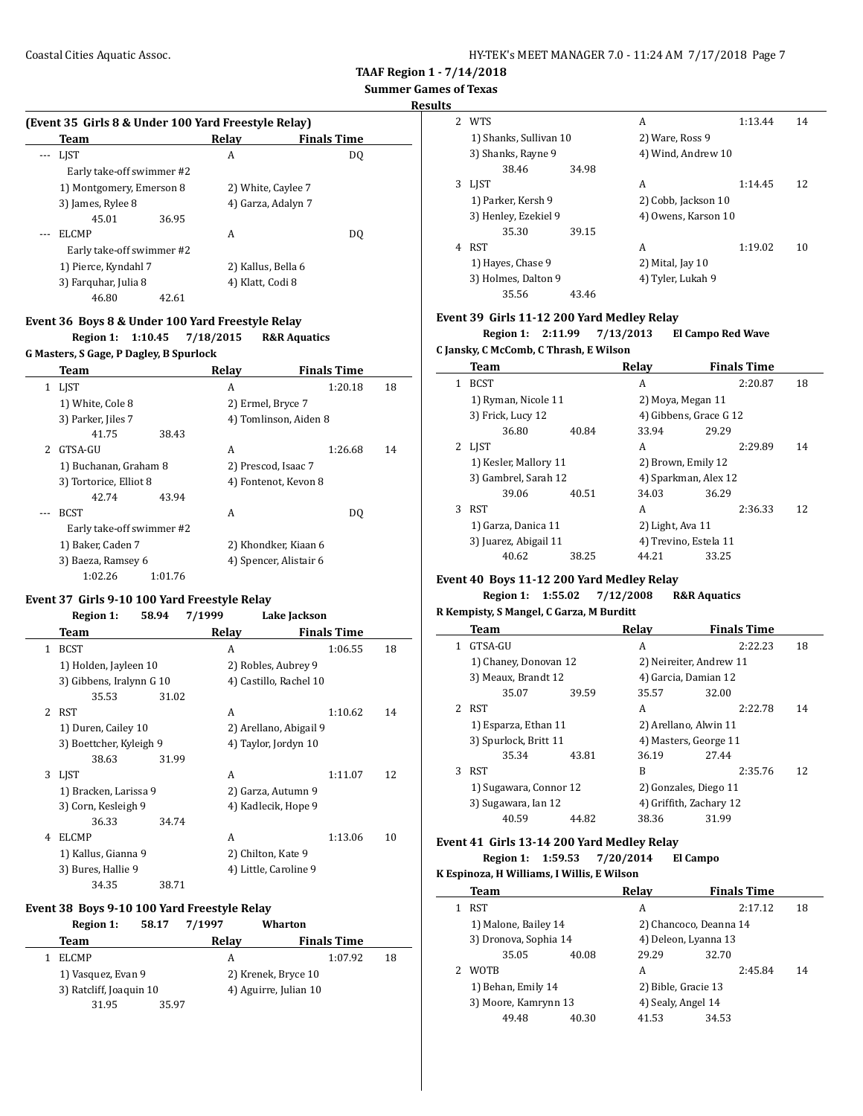**Results**

#### **(Event 35 Girls 8 & Under 100 Yard Freestyle Relay)**

| Team                      | Relay              | <b>Finals Time</b> |
|---------------------------|--------------------|--------------------|
| LIST                      | A                  | D <sub>0</sub>     |
| Early take-off swimmer #2 |                    |                    |
| 1) Montgomery, Emerson 8  | 2) White, Caylee 7 |                    |
| 3) James, Rylee 8         | 4) Garza, Adalyn 7 |                    |
| 45.01<br>36.95            |                    |                    |
| <b>ELCMP</b>              | A                  | DO.                |
| Early take-off swimmer #2 |                    |                    |
| 1) Pierce, Kyndahl 7      | 2) Kallus, Bella 6 |                    |
| 3) Farquhar, Julia 8      | 4) Klatt, Codi 8   |                    |
| 46.80<br>42.61            |                    |                    |

### **Event 36 Boys 8 & Under 100 Yard Freestyle Relay**

**Region 1: 1:10.45 7/18/2015 R&R Aquatics**

#### **G Masters, S Gage, P Dagley, B Spurlock**

|                          | Team                      |         | Relay                  | <b>Finals Time</b>    |    |
|--------------------------|---------------------------|---------|------------------------|-----------------------|----|
| 1                        | LJST                      |         | A                      | 1:20.18               | 18 |
|                          | 1) White, Cole 8          |         | 2) Ermel, Bryce 7      |                       |    |
|                          | 3) Parker, Jiles 7        |         |                        | 4) Tomlinson, Aiden 8 |    |
|                          | 41.75                     | 38.43   |                        |                       |    |
| $\overline{\mathcal{L}}$ | GTSA-GU                   |         | A                      | 1:26.68               | 14 |
|                          | 1) Buchanan, Graham 8     |         | 2) Prescod, Isaac 7    |                       |    |
|                          | 3) Tortorice, Elliot 8    |         | 4) Fontenot, Kevon 8   |                       |    |
|                          | 42.74                     | 43.94   |                        |                       |    |
|                          | <b>BCST</b>               |         | A                      | DO.                   |    |
|                          | Early take-off swimmer #2 |         |                        |                       |    |
|                          | 1) Baker, Caden 7         |         | 2) Khondker, Kiaan 6   |                       |    |
|                          | 3) Baeza, Ramsey 6        |         | 4) Spencer, Alistair 6 |                       |    |
|                          | 1:02.26                   | 1:01.76 |                        |                       |    |

#### **Event 37 Girls 9-10 100 Yard Freestyle Relay**

#### **Region 1: 58.94 7/1999 Lake Jackson**

|   | Team                     |       | Relay              | <b>Finals Time</b>     |    |
|---|--------------------------|-------|--------------------|------------------------|----|
| 1 | <b>BCST</b>              |       | A                  | 1:06.55                | 18 |
|   | 1) Holden, Jayleen 10    |       |                    | 2) Robles, Aubrey 9    |    |
|   | 3) Gibbens, Iralynn G 10 |       |                    | 4) Castillo, Rachel 10 |    |
|   | 35.53                    | 31.02 |                    |                        |    |
| 2 | <b>RST</b>               |       | A                  | 1:10.62                | 14 |
|   | 1) Duren, Cailey 10      |       |                    | 2) Arellano, Abigail 9 |    |
|   | 3) Boettcher, Kyleigh 9  |       |                    | 4) Taylor, Jordyn 10   |    |
|   | 38.63                    | 31.99 |                    |                        |    |
| 3 | <b>LIST</b>              |       | A                  | 1:11.07                | 12 |
|   | 1) Bracken, Larissa 9    |       |                    | 2) Garza, Autumn 9     |    |
|   | 3) Corn, Kesleigh 9      |       |                    | 4) Kadlecik, Hope 9    |    |
|   | 36.33                    | 34.74 |                    |                        |    |
| 4 | <b>ELCMP</b>             |       | A                  | 1:13.06                | 10 |
|   | 1) Kallus, Gianna 9      |       | 2) Chilton, Kate 9 |                        |    |
|   | 3) Bures, Hallie 9       |       |                    | 4) Little, Caroline 9  |    |
|   | 34.35                    | 38.71 |                    |                        |    |

#### **Event 38 Boys 9-10 100 Yard Freestyle Relay**

#### **Region 1: 58.17 7/1997 Wharton**

| Team                    |       | Relav                 | <b>Finals Time</b> |    |
|-------------------------|-------|-----------------------|--------------------|----|
| <b>ELCMP</b>            |       | А                     | 1:07.92            | 18 |
| 1) Vasquez, Evan 9      |       | 2) Krenek, Bryce 10   |                    |    |
| 3) Ratcliff, Joaquin 10 |       | 4) Aguirre, Julian 10 |                    |    |
| 31.95                   | 35.97 |                       |                    |    |

| 2 | <b>WTS</b>             |       | А                   | 1:13.44 | 14 |
|---|------------------------|-------|---------------------|---------|----|
|   | 1) Shanks, Sullivan 10 |       | 2) Ware, Ross 9     |         |    |
|   | 3) Shanks, Rayne 9     |       | 4) Wind, Andrew 10  |         |    |
|   | 38.46                  | 34.98 |                     |         |    |
| 3 | <b>LIST</b>            |       | А                   | 1:14.45 | 12 |
|   | 1) Parker, Kersh 9     |       | 2) Cobb, Jackson 10 |         |    |
|   | 3) Henley, Ezekiel 9   |       | 4) Owens, Karson 10 |         |    |
|   | 35.30                  | 39.15 |                     |         |    |
| 4 | RST                    |       | А                   | 1:19.02 | 10 |
|   | 1) Hayes, Chase 9      |       | 2) Mital, Jay 10    |         |    |
|   | 3) Holmes, Dalton 9    |       | 4) Tyler, Lukah 9   |         |    |
|   | 35.56                  | 43.46 |                     |         |    |

#### **Event 39 Girls 11-12 200 Yard Medley Relay**

**Region 1: 2:11.99 7/13/2013 El Campo Red Wave**

## **C Jansky, C McComb, C Thrash, E Wilson**

|   | Team                  |       | Relav                  | <b>Finals Time</b> |    |
|---|-----------------------|-------|------------------------|--------------------|----|
| 1 | <b>BCST</b>           |       | A                      | 2:20.87            | 18 |
|   | 1) Ryman, Nicole 11   |       | 2) Moya, Megan 11      |                    |    |
|   | 3) Frick, Lucy 12     |       | 4) Gibbens, Grace G 12 |                    |    |
|   | 36.80                 | 40.84 | 33.94                  | 29.29              |    |
| 2 | <b>LIST</b>           |       | A                      | 2:29.89            | 14 |
|   | 1) Kesler, Mallory 11 |       | 2) Brown, Emily 12     |                    |    |
|   | 3) Gambrel, Sarah 12  |       | 4) Sparkman, Alex 12   |                    |    |
|   | 39.06                 | 40.51 | 34.03                  | 36.29              |    |
| 3 | <b>RST</b>            |       | A                      | 2:36.33            | 12 |
|   | 1) Garza, Danica 11   |       | 2) Light, Ava 11       |                    |    |
|   | 3) Juarez, Abigail 11 |       | 4) Trevino, Estela 11  |                    |    |
|   | 40.62                 | 38.25 | 44.21                  | 33.25              |    |
|   |                       |       |                        |                    |    |

#### **Event 40 Boys 11-12 200 Yard Medley Relay Region 1: 1:55.02 7/12/2008 R&R Aquatics**

### **R Kempisty, S Mangel, C Garza, M Burditt**

|   | Team                   |       | Relay                   | <b>Finals Time</b> |    |
|---|------------------------|-------|-------------------------|--------------------|----|
|   | GTSA-GU                |       | А                       | 2:22.23            | 18 |
|   | 1) Chaney, Donovan 12  |       | 2) Neireiter, Andrew 11 |                    |    |
|   | 3) Meaux, Brandt 12    |       | 4) Garcia, Damian 12    |                    |    |
|   | 35.07                  | 39.59 | 35.57                   | 32.00              |    |
| 2 | <b>RST</b>             |       | A                       | 2:22.78            | 14 |
|   | 1) Esparza, Ethan 11   |       | 2) Arellano, Alwin 11   |                    |    |
|   | 3) Spurlock, Britt 11  |       | 4) Masters, George 11   |                    |    |
|   | 35.34                  | 43.81 | 36.19                   | 27.44              |    |
| 3 | <b>RST</b>             |       | B                       | 2:35.76            | 12 |
|   | 1) Sugawara, Connor 12 |       | 2) Gonzales, Diego 11   |                    |    |
|   | 3) Sugawara, Ian 12    |       | 4) Griffith, Zachary 12 |                    |    |
|   | 40.59                  | 44.82 | 38.36                   | 31.99              |    |

#### **Event 41 Girls 13-14 200 Yard Medley Relay Region 1: 1:59.53 7/20/2014 El Campo**

### **K Espinoza, H Williams, I Willis, E Wilson Team Relay Finals Time** 1 RST A 2:17.12 18 1) Malone, Bailey 14 2) Chancoco, Deanna 14 3) Dronova, Sophia 14 4 4) Deleon, Lyanna 13 35.05 40.08 29.29 32.70 2 WOTB A 2:45.84 14 1) Behan, Emily 14 2) Bible, Gracie 13 3) Moore, Kamrynn 13 4) Sealy, Angel 14 49.48 40.30 41.53 34.53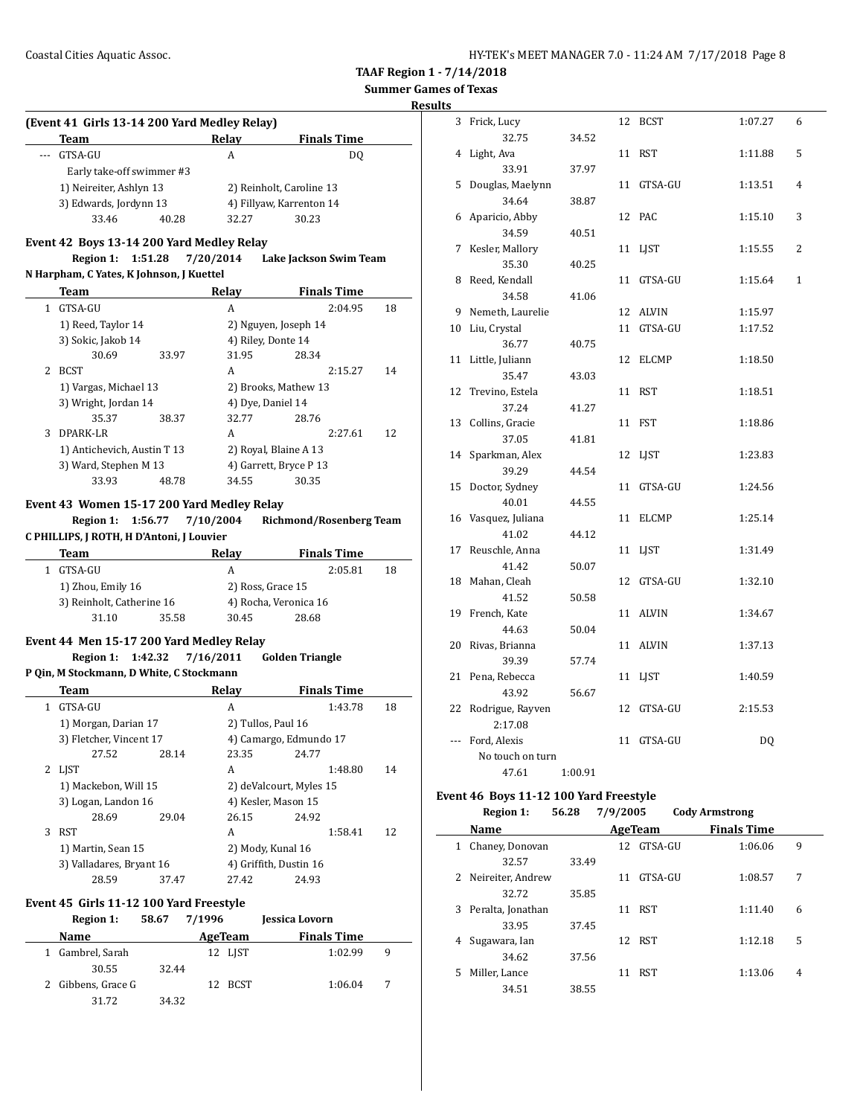**Results**

|              | (Event 41 Girls 13-14 200 Yard Medley Relay)<br>Team                 |       |           | <b>Relay</b>   |                                  | <b>Finals Time</b>            |    |
|--------------|----------------------------------------------------------------------|-------|-----------|----------------|----------------------------------|-------------------------------|----|
|              | GTSA-GU                                                              |       |           | A              |                                  | DQ                            |    |
|              | Early take-off swimmer #3                                            |       |           |                |                                  |                               |    |
|              | 1) Neireiter, Ashlyn 13                                              |       |           |                | 2) Reinholt, Caroline 13         |                               |    |
|              | 3) Edwards, Jordynn 13                                               |       |           |                | 4) Fillyaw, Karrenton 14         |                               |    |
|              | 33.46                                                                | 40.28 |           | 32.27          | 30.23                            |                               |    |
|              | Event 42 Boys 13-14 200 Yard Medley Relay                            |       |           |                |                                  |                               |    |
|              | <b>Region 1:</b><br>1:51.28                                          |       |           |                | 7/20/2014 Lake Jackson Swim Team |                               |    |
|              | N Harpham, C Yates, K Johnson, J Kuettel                             |       |           |                |                                  |                               |    |
|              | Team                                                                 |       |           | <b>Relay</b>   |                                  | <b>Finals Time</b>            |    |
|              | 1 GTSA-GU                                                            |       |           | A              |                                  | 2:04.95                       | 18 |
|              | 1) Reed, Taylor 14                                                   |       |           |                | 2) Nguyen, Joseph 14             |                               |    |
|              | 3) Sokic, Jakob 14                                                   |       |           |                | 4) Riley, Donte 14               |                               |    |
|              | 30.69                                                                | 33.97 |           | 31.95          | 28.34                            |                               |    |
| 2            | BCST                                                                 |       |           | A              |                                  | 2:15.27                       | 14 |
|              | 1) Vargas, Michael 13                                                |       |           |                | 2) Brooks, Mathew 13             |                               |    |
|              | 3) Wright, Jordan 14                                                 |       |           |                | 4) Dye, Daniel 14                |                               |    |
|              | 35.37                                                                | 38.37 |           | 32.77          | 28.76                            |                               |    |
| 3            | DPARK-LR                                                             |       |           | A              |                                  | 2:27.61                       | 12 |
|              | 1) Antichevich, Austin T 13                                          |       |           |                | 2) Royal, Blaine A 13            |                               |    |
|              | 3) Ward, Stephen M 13                                                |       |           |                | 4) Garrett, Bryce P 13           |                               |    |
|              | 33.93                                                                | 48.78 |           | 34.55          | 30.35                            |                               |    |
|              |                                                                      |       |           |                |                                  |                               |    |
|              | Team<br>1 GTSA-GU                                                    |       |           | Relay<br>A     |                                  | <b>Finals Time</b><br>2:05.81 | 18 |
|              | 1) Zhou, Emily 16                                                    |       |           |                | 2) Ross, Grace 15                |                               |    |
|              | 3) Reinholt, Catherine 16                                            |       |           |                | 4) Rocha, Veronica 16            |                               |    |
|              |                                                                      |       |           |                |                                  |                               |    |
|              | 31.10                                                                | 35.58 |           | 30.45          | 28.68                            |                               |    |
|              | Event 44 Men 15-17 200 Yard Medley Relay                             |       |           |                |                                  |                               |    |
|              | Region 1:<br>1:42.32                                                 |       | 7/16/2011 |                | <b>Golden Triangle</b>           |                               |    |
|              | P Qin, M Stockmann, D White, C Stockmann                             |       |           |                |                                  |                               |    |
|              | Team                                                                 |       |           | Relay          |                                  | <b>Finals Time</b>            |    |
| $\mathbf{1}$ | GTSA-GU                                                              |       |           | A              |                                  | 1:43.78                       | 18 |
|              | 1) Morgan, Darian 17                                                 |       |           |                | 2) Tullos, Paul 16               |                               |    |
|              | 3) Fletcher, Vincent 17                                              |       |           |                | 4) Camargo, Edmundo 17           |                               |    |
|              | 27.52                                                                | 28.14 |           | 23.35          | 24.77                            |                               |    |
|              | 2 LJST                                                               |       |           | A              |                                  | 1:48.80                       | 14 |
|              | 1) Mackebon, Will 15                                                 |       |           |                | 2) deValcourt, Myles 15          |                               |    |
|              | 3) Logan, Landon 16                                                  |       |           |                | 4) Kesler, Mason 15              |                               |    |
|              | 28.69                                                                | 29.04 |           | 26.15          | 24.92                            |                               |    |
|              | 3 RST                                                                |       |           | A              |                                  | 1:58.41                       | 12 |
|              | 1) Martin, Sean 15                                                   |       |           |                | 2) Mody, Kunal 16                |                               |    |
|              | 3) Valladares, Bryant 16                                             |       |           |                | 4) Griffith, Dustin 16           |                               |    |
|              | 28.59                                                                | 37.47 |           | 27.42          | 24.93                            |                               |    |
|              |                                                                      |       |           |                |                                  |                               |    |
|              | Event 45 Girls 11-12 100 Yard Freestyle<br>58.67<br><b>Region 1:</b> |       | 7/1996    |                | Jessica Lovorn                   |                               |    |
|              | Name                                                                 |       |           |                |                                  |                               |    |
| 1            |                                                                      |       |           | <b>AgeTeam</b> |                                  | <b>Finals Time</b>            | 9  |
|              | Gambrel, Sarah                                                       |       |           | 12 LJST        |                                  | 1:02.99                       |    |
| 2            | 30.55<br>Gibbens, Grace G                                            | 32.44 |           | 12 BCST        |                                  | 1:06.04                       | 7  |

| 3   | Frick, Lucy      |         |    | 12 BCST    | 1:07.27 | 6            |
|-----|------------------|---------|----|------------|---------|--------------|
|     | 32.75            | 34.52   |    |            |         |              |
| 4   | Light, Ava       |         |    | 11 RST     | 1:11.88 | 5            |
|     | 33.91            | 37.97   |    |            |         |              |
| 5   | Douglas, Maelynn |         | 11 | GTSA-GU    | 1:13.51 | 4            |
|     | 34.64            | 38.87   |    |            |         |              |
| 6   | Aparicio, Abby   |         | 12 | PAC        | 1:15.10 | 3            |
|     | 34.59            | 40.51   |    |            |         |              |
| 7   | Kesler, Mallory  |         |    | 11 LJST    | 1:15.55 | 2            |
|     | 35.30            | 40.25   |    |            |         |              |
| 8   | Reed, Kendall    |         | 11 | GTSA-GU    | 1:15.64 | $\mathbf{1}$ |
|     | 34.58            | 41.06   |    |            |         |              |
| 9   | Nemeth, Laurelie |         |    | 12 ALVIN   | 1:15.97 |              |
| 10  | Liu, Crystal     |         | 11 | GTSA-GU    | 1:17.52 |              |
|     | 36.77            | 40.75   |    |            |         |              |
| 11  | Little, Juliann  |         |    | 12 ELCMP   | 1:18.50 |              |
|     | 35.47            | 43.03   |    |            |         |              |
| 12  | Trevino, Estela  |         | 11 | RST        | 1:18.51 |              |
|     | 37.24            | 41.27   |    |            |         |              |
| 13  | Collins, Gracie  |         |    | 11 FST     | 1:18.86 |              |
|     | 37.05            | 41.81   |    |            |         |              |
| 14  | Sparkman, Alex   |         |    | 12 LJST    | 1:23.83 |              |
|     | 39.29            | 44.54   |    |            |         |              |
| 15  | Doctor, Sydney   |         | 11 | GTSA-GU    | 1:24.56 |              |
|     | 40.01            | 44.55   |    |            |         |              |
| 16  | Vasquez, Juliana |         | 11 | ELCMP      | 1:25.14 |              |
|     | 41.02            | 44.12   |    |            |         |              |
| 17  | Reuschle, Anna   |         |    | 11 LJST    | 1:31.49 |              |
|     | 41.42            | 50.07   |    |            |         |              |
| 18  | Mahan, Cleah     |         |    | 12 GTSA-GU | 1:32.10 |              |
|     | 41.52            | 50.58   |    |            |         |              |
| 19  | French, Kate     |         |    | 11 ALVIN   | 1:34.67 |              |
|     | 44.63            | 50.04   |    |            |         |              |
| 20  | Rivas, Brianna   |         |    | 11 ALVIN   | 1:37.13 |              |
|     | 39.39            | 57.74   |    |            |         |              |
| 21  | Pena, Rebecca    |         | 11 | LJST       | 1:40.59 |              |
|     | 43.92            | 56.67   |    |            |         |              |
| 22  | Rodrigue, Rayven |         | 12 | GTSA-GU    | 2:15.53 |              |
|     | 2:17.08          |         |    |            |         |              |
| --- | Ford, Alexis     |         |    | 11 GTSA-GU | DQ      |              |
|     | No touch on turn |         |    |            |         |              |
|     | 47.61            | 1:00.91 |    |            |         |              |
|     | $\sim$           |         |    |            |         |              |

#### **Event 46 Boys 11-12 100 Yard Freestyle Region 1: 56.28 7/9/2005 Cody Armstrong**

|    | REFIOII 1:          | 30.ZO | 1/9/2003 |            | COUV AFTIISTIONS   |   |
|----|---------------------|-------|----------|------------|--------------------|---|
|    | Name                |       |          | AgeTeam    | <b>Finals Time</b> |   |
| 1  | Chaney, Donovan     |       |          | 12 GTSA-GU | 1:06.06            | 9 |
|    | 32.57               | 33.49 |          |            |                    |   |
|    | 2 Neireiter, Andrew |       | 11       | GTSA-GU    | 1:08.57            | 7 |
|    | 32.72               | 35.85 |          |            |                    |   |
| 3  | Peralta, Jonathan   |       | 11       | <b>RST</b> | 1:11.40            | 6 |
|    | 33.95               | 37.45 |          |            |                    |   |
| 4  | Sugawara, Ian       |       | 12       | <b>RST</b> | 1:12.18            | 5 |
|    | 34.62               | 37.56 |          |            |                    |   |
| 5. | Miller, Lance       |       | 11       | <b>RST</b> | 1:13.06            | 4 |
|    | 34.51               | 38.55 |          |            |                    |   |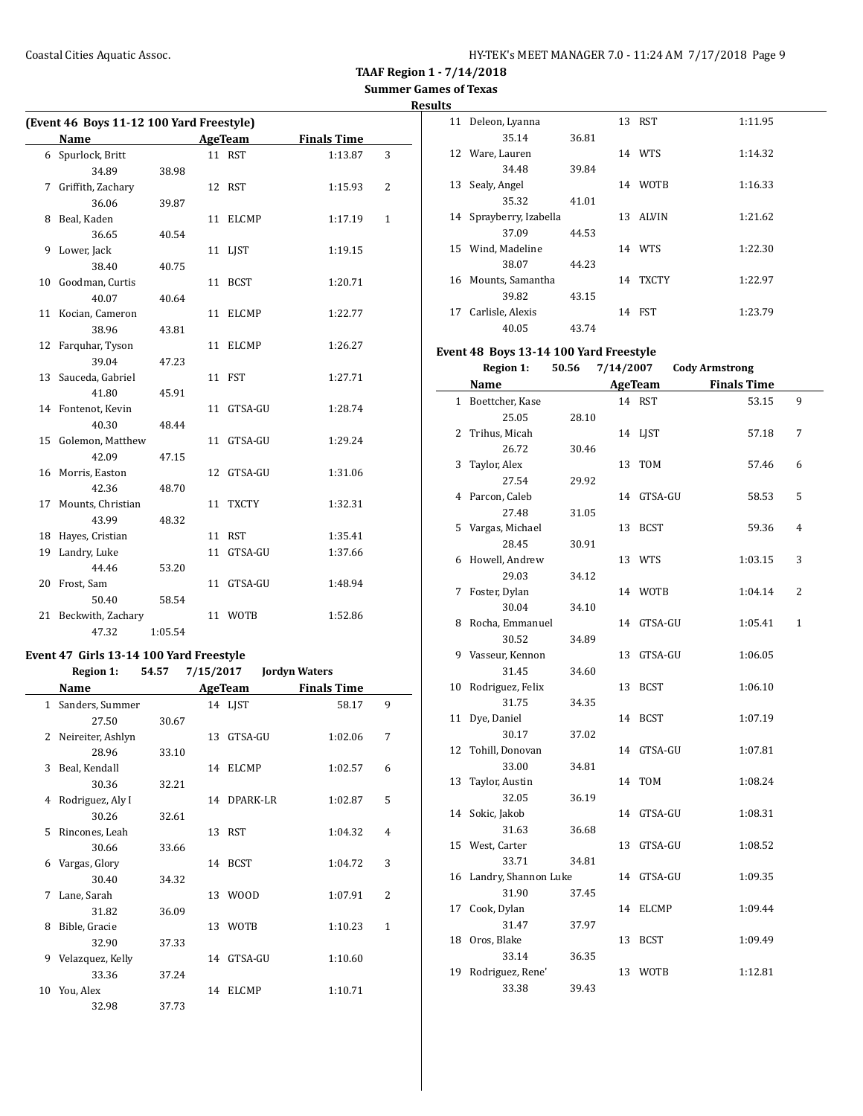## **Results**

|    | (Event 46 Boys 11-12 100 Yard Freestyle) |         |    |            |                    |   |  |  |
|----|------------------------------------------|---------|----|------------|--------------------|---|--|--|
|    | <b>Name</b>                              |         |    | AgeTeam    | <b>Finals Time</b> |   |  |  |
|    | 6 Spurlock, Britt                        |         |    | 11 RST     | 1:13.87            | 3 |  |  |
|    | 34.89                                    | 38.98   |    |            |                    |   |  |  |
| 7  | Griffith, Zachary                        |         |    | 12 RST     | 1:15.93            | 2 |  |  |
|    | 36.06                                    | 39.87   |    |            |                    |   |  |  |
|    | 8 Beal, Kaden                            |         |    | 11 ELCMP   | 1:17.19            | 1 |  |  |
|    | 36.65                                    | 40.54   |    |            |                    |   |  |  |
| 9  | Lower, Jack                              |         |    | 11 LIST    | 1:19.15            |   |  |  |
|    | 38.40                                    | 40.75   |    |            |                    |   |  |  |
| 10 | Goodman, Curtis                          |         |    | 11 BCST    | 1:20.71            |   |  |  |
|    | 40.07                                    | 40.64   |    |            |                    |   |  |  |
| 11 | Kocian, Cameron                          |         |    | 11 ELCMP   | 1:22.77            |   |  |  |
|    | 38.96                                    | 43.81   |    |            |                    |   |  |  |
| 12 | Farquhar, Tyson                          |         |    | 11 ELCMP   | 1:26.27            |   |  |  |
|    | 39.04                                    | 47.23   |    |            |                    |   |  |  |
| 13 | Sauceda, Gabriel                         |         |    | 11 FST     | 1:27.71            |   |  |  |
|    | 41.80                                    | 45.91   |    |            |                    |   |  |  |
|    | 14 Fontenot, Kevin                       |         |    | 11 GTSA-GU | 1:28.74            |   |  |  |
|    | 40.30                                    | 48.44   |    |            |                    |   |  |  |
| 15 | Golemon, Matthew                         |         |    | 11 GTSA-GU | 1:29.24            |   |  |  |
|    | 42.09                                    | 47.15   |    |            |                    |   |  |  |
| 16 | Morris, Easton                           |         |    | 12 GTSA-GU | 1:31.06            |   |  |  |
|    | 42.36                                    | 48.70   |    |            |                    |   |  |  |
| 17 | Mounts, Christian                        |         |    | 11 TXCTY   | 1:32.31            |   |  |  |
|    | 43.99                                    | 48.32   |    |            |                    |   |  |  |
| 18 | Hayes, Cristian                          |         |    | 11 RST     | 1:35.41            |   |  |  |
| 19 | Landry, Luke                             |         | 11 | GTSA-GU    | 1:37.66            |   |  |  |
|    | 44.46                                    | 53.20   |    |            |                    |   |  |  |
|    | 20 Frost, Sam                            |         |    | 11 GTSA-GU | 1:48.94            |   |  |  |
|    | 50.40                                    | 58.54   |    |            |                    |   |  |  |
| 21 | Beckwith, Zachary                        |         | 11 | WOTB       | 1:52.86            |   |  |  |
|    | 47.32                                    | 1:05.54 |    |            |                    |   |  |  |

### **Event 47 Girls 13-14 100 Yard Freestyle**

### **Region 1: 54.57 7/15/2017 Jordyn Waters**

|              | Name              | <b>AgeTeam</b> |    | <b>Finals Time</b> |         |                |
|--------------|-------------------|----------------|----|--------------------|---------|----------------|
| $\mathbf{1}$ | Sanders, Summer   |                |    | 14 LJST            | 58.17   | 9              |
|              | 27.50             | 30.67          |    |                    |         |                |
| 2            | Neireiter, Ashlyn |                | 13 | GTSA-GU            | 1:02.06 | 7              |
|              | 28.96             | 33.10          |    |                    |         |                |
| 3            | Beal, Kendall     |                |    | 14 ELCMP           | 1:02.57 | 6              |
|              | 30.36             | 32.21          |    |                    |         |                |
| 4            | Rodriguez, Aly I  |                |    | 14 DPARK-LR        | 1:02.87 | 5              |
|              | 30.26             | 32.61          |    |                    |         |                |
| 5            | Rincones, Leah    |                |    | 13 RST             | 1:04.32 | 4              |
|              | 30.66             | 33.66          |    |                    |         |                |
| 6            | Vargas, Glory     |                |    | 14 BCST            | 1:04.72 | 3              |
|              | 30.40             | 34.32          |    |                    |         |                |
| 7            | Lane, Sarah       |                | 13 | <b>WOOD</b>        | 1:07.91 | $\overline{c}$ |
|              | 31.82             | 36.09          |    |                    |         |                |
| 8            | Bible, Gracie     |                | 13 | WOTB               | 1:10.23 | 1              |
|              | 32.90             | 37.33          |    |                    |         |                |
| 9            | Velazquez, Kelly  |                |    | 14 GTSA-GU         | 1:10.60 |                |
|              | 33.36             | 37.24          |    |                    |         |                |
| 10           | You, Alex         |                | 14 | <b>ELCMP</b>       | 1:10.71 |                |
|              | 32.98             | 37.73          |    |                    |         |                |

| 11 | Deleon, Lyanna          |       |    | 13 RST       | 1:11.95 |
|----|-------------------------|-------|----|--------------|---------|
|    | 35.14                   | 36.81 |    |              |         |
| 12 | Ware, Lauren            |       |    | 14 WTS       | 1:14.32 |
|    | 34.48                   | 39.84 |    |              |         |
| 13 | Sealy, Angel            |       | 14 | <b>WOTB</b>  | 1:16.33 |
|    | 35.32                   | 41.01 |    |              |         |
|    | 14 Sprayberry, Izabella |       |    | 13 ALVIN     | 1:21.62 |
|    | 37.09                   | 44.53 |    |              |         |
| 15 | Wind, Madeline          |       |    | 14 WTS       | 1:22.30 |
|    | 38.07                   | 44.23 |    |              |         |
| 16 | Mounts, Samantha        |       | 14 | <b>TXCTY</b> | 1:22.97 |
|    | 39.82                   | 43.15 |    |              |         |
| 17 | Carlisle, Alexis        |       | 14 | <b>FST</b>   | 1:23.79 |
|    | 40.05                   | 43.74 |    |              |         |

### **Event 48 Boys 13-14 100 Yard Freestyle**

**Region 1: 50.56 7/14/2007 Cody Armstrong**

|    | <b>Name</b>             |       |    | <b>AgeTeam</b> | <b>Finals Time</b> |              |
|----|-------------------------|-------|----|----------------|--------------------|--------------|
|    | 1 Boettcher, Kase       |       |    | 14 RST         | 53.15              | 9            |
|    | 25.05                   | 28.10 |    |                |                    |              |
| 2  | Trihus, Micah           |       |    | 14 LIST        | 57.18              | 7            |
|    | 26.72                   | 30.46 |    |                |                    |              |
| 3  | Taylor, Alex            |       | 13 | <b>TOM</b>     | 57.46              | 6            |
|    | 27.54                   | 29.92 |    |                |                    |              |
|    | 4 Parcon, Caleb         |       |    | 14 GTSA-GU     | 58.53              | 5            |
|    | 27.48                   | 31.05 |    |                |                    |              |
| 5  | Vargas, Michael         |       | 13 | <b>BCST</b>    | 59.36              | 4            |
|    | 28.45                   | 30.91 |    |                |                    |              |
| 6  | Howell, Andrew          |       |    | 13 WTS         | 1:03.15            | 3            |
|    | 29.03                   | 34.12 |    |                |                    |              |
| 7  | Foster, Dylan           |       | 14 | WOTB           | 1:04.14            | 2            |
|    | 30.04                   | 34.10 |    |                |                    |              |
| 8  | Rocha, Emmanuel         |       |    | 14 GTSA-GU     | 1:05.41            | $\mathbf{1}$ |
|    | 30.52                   | 34.89 |    |                |                    |              |
| 9  | Vasseur, Kennon         |       | 13 | GTSA-GU        | 1:06.05            |              |
|    | 31.45                   | 34.60 |    |                |                    |              |
| 10 | Rodriguez, Felix        |       | 13 | <b>BCST</b>    | 1:06.10            |              |
|    | 31.75                   | 34.35 |    |                |                    |              |
| 11 | Dye, Daniel             |       |    | 14 BCST        | 1:07.19            |              |
|    | 30.17                   | 37.02 |    |                |                    |              |
| 12 | Tohill, Donovan         |       |    | 14 GTSA-GU     | 1:07.81            |              |
|    | 33.00                   | 34.81 |    |                |                    |              |
| 13 | Taylor, Austin          |       | 14 | TOM            | 1:08.24            |              |
|    | 32.05                   | 36.19 |    |                |                    |              |
| 14 | Sokic, Jakob            |       | 14 | GTSA-GU        | 1:08.31            |              |
|    | 31.63                   | 36.68 |    |                |                    |              |
| 15 | West, Carter            |       | 13 | GTSA-GU        | 1:08.52            |              |
|    | 33.71                   | 34.81 |    |                |                    |              |
|    | 16 Landry, Shannon Luke |       |    | 14 GTSA-GU     | 1:09.35            |              |
|    | 31.90                   | 37.45 |    |                |                    |              |
| 17 | Cook, Dylan             |       | 14 | <b>ELCMP</b>   | 1:09.44            |              |
|    | 31.47                   | 37.97 |    |                |                    |              |
| 18 | Oros, Blake             |       | 13 | <b>BCST</b>    | 1:09.49            |              |
|    | 33.14                   | 36.35 |    |                |                    |              |
| 19 | Rodriguez, Rene'        |       | 13 | <b>WOTB</b>    | 1:12.81            |              |
|    | 33.38                   | 39.43 |    |                |                    |              |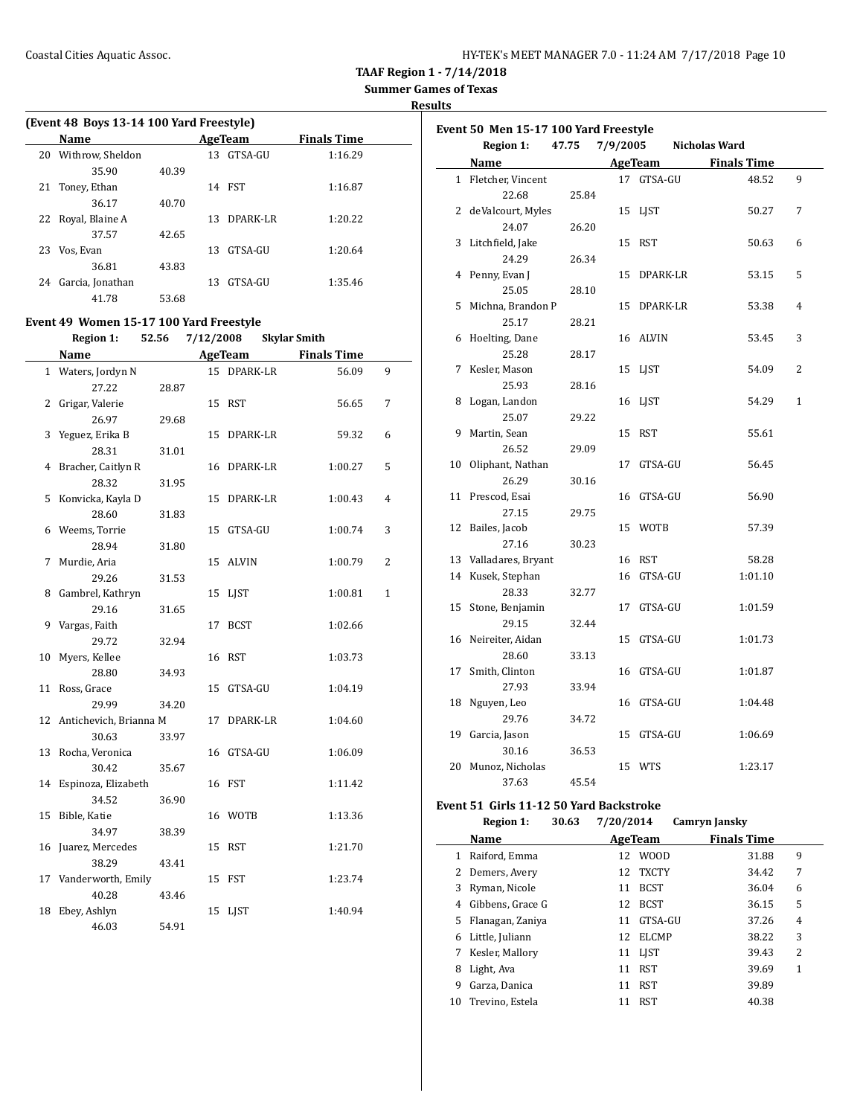| HY-TEK's MEET MANAGER 7.0 - 11:24 AM 7/17/2018 Page 10 |  |
|--------------------------------------------------------|--|
|--------------------------------------------------------|--|

**Results**

| (Event 48 Boys 13-14 100 Yard Freestyle) |                    |       |     |          |                    |  |  |  |  |  |
|------------------------------------------|--------------------|-------|-----|----------|--------------------|--|--|--|--|--|
|                                          | <b>Name</b>        |       |     | AgeTeam  | <b>Finals Time</b> |  |  |  |  |  |
| 20                                       | Withrow, Sheldon   |       | 13. | GTSA-GU  | 1:16.29            |  |  |  |  |  |
|                                          | 35.90              | 40.39 |     |          |                    |  |  |  |  |  |
| 21                                       | Toney, Ethan       |       | 14  | FST      | 1:16.87            |  |  |  |  |  |
|                                          | 36.17              | 40.70 |     |          |                    |  |  |  |  |  |
|                                          | 22 Royal, Blaine A |       | 13. | DPARK-LR | 1:20.22            |  |  |  |  |  |
|                                          | 37.57              | 42.65 |     |          |                    |  |  |  |  |  |
| 23                                       | Vos, Evan          |       | 13. | GTSA-GU  | 1:20.64            |  |  |  |  |  |
|                                          | 36.81              | 43.83 |     |          |                    |  |  |  |  |  |
| 24                                       | Garcia, Jonathan   |       | 13  | GTSA-GU  | 1:35.46            |  |  |  |  |  |
|                                          | 41.78              | 53.68 |     |          |                    |  |  |  |  |  |

### **Event 49 Women 15-17 100 Yard Freestyle**

**Region 1: 52.56 7/12/2008 Skylar Smith**

|    | Name                      |       |    | <b>AgeTeam</b> | <b>Finals Time</b> |                |
|----|---------------------------|-------|----|----------------|--------------------|----------------|
|    | 1 Waters, Jordyn N        |       |    | 15 DPARK-LR    | 56.09              | 9              |
|    | 27.22                     | 28.87 |    |                |                    |                |
| 2  | Grigar, Valerie           |       |    | 15 RST         | 56.65              | 7              |
|    | 26.97                     | 29.68 |    |                |                    |                |
| 3  | Yeguez, Erika B           |       | 15 | DPARK-LR       | 59.32              | 6              |
|    | 28.31                     | 31.01 |    |                |                    |                |
| 4  | Bracher, Caitlyn R        |       |    | 16 DPARK-LR    | 1:00.27            | 5              |
|    | 28.32                     | 31.95 |    |                |                    |                |
| 5  | Konvicka, Kayla D         |       | 15 | DPARK-LR       | 1:00.43            | 4              |
|    | 28.60                     | 31.83 |    |                |                    |                |
|    | 6 Weems, Torrie           |       | 15 | GTSA-GU        | 1:00.74            | 3              |
|    | 28.94                     | 31.80 |    |                |                    |                |
| 7  | Murdie, Aria              |       |    | 15 ALVIN       | 1:00.79            | $\overline{c}$ |
|    | 29.26                     | 31.53 |    |                |                    |                |
| 8  | Gambrel, Kathryn          |       | 15 | <b>LIST</b>    | 1:00.81            | $\mathbf{1}$   |
|    | 29.16                     | 31.65 |    |                |                    |                |
| 9  | Vargas, Faith             |       | 17 | <b>BCST</b>    | 1:02.66            |                |
|    | 29.72                     | 32.94 |    |                |                    |                |
| 10 | Myers, Kellee             |       |    | 16 RST         | 1:03.73            |                |
|    | 28.80                     | 34.93 |    |                |                    |                |
| 11 | Ross, Grace               |       | 15 | GTSA-GU        | 1:04.19            |                |
|    | 29.99                     | 34.20 |    |                |                    |                |
|    | 12 Antichevich, Brianna M |       | 17 | DPARK-LR       | 1:04.60            |                |
|    | 30.63                     | 33.97 |    |                |                    |                |
| 13 | Rocha, Veronica           |       |    | 16 GTSA-GU     | 1:06.09            |                |
|    | 30.42                     | 35.67 |    |                |                    |                |
|    | 14 Espinoza, Elizabeth    |       |    | 16 FST         | 1:11.42            |                |
|    | 34.52                     | 36.90 |    |                |                    |                |
| 15 | Bible, Katie              |       |    | 16 WOTB        | 1:13.36            |                |
|    | 34.97                     | 38.39 |    |                |                    |                |
| 16 | Juarez, Mercedes          |       |    | 15 RST         | 1:21.70            |                |
|    | 38.29                     | 43.41 |    |                |                    |                |
|    | 17 Vanderworth, Emily     |       |    | 15 FST         | 1:23.74            |                |
|    | 40.28                     | 43.46 |    |                |                    |                |
| 18 | Ebey, Ashlyn              |       | 15 | LJST           | 1:40.94            |                |
|    | 46.03                     | 54.91 |    |                |                    |                |

|              | <b>Region 1:</b>      | 47.75 | 7/9/2005 |                | Nicholas Ward      |              |
|--------------|-----------------------|-------|----------|----------------|--------------------|--------------|
|              | Name                  |       |          | <b>AgeTeam</b> | <b>Finals Time</b> |              |
| $\mathbf{1}$ | Fletcher, Vincent     |       |          | 17 GTSA-GU     | 48.52              | 9            |
|              | 22.68                 | 25.84 |          |                |                    |              |
|              | 2 deValcourt, Myles   |       | 15       | LJST           | 50.27              | 7            |
|              | 24.07                 | 26.20 |          |                |                    |              |
| 3            | Litchfield, Jake      |       | 15       | RST            | 50.63              | 6            |
|              | 24.29                 | 26.34 |          |                |                    |              |
| 4            | Penny, Evan J         |       | 15       | DPARK-LR       | 53.15              | 5            |
|              | 25.05                 | 28.10 |          |                |                    |              |
| 5            | Michna, Brandon P     |       | 15       | DPARK-LR       | 53.38              | 4            |
|              | 25.17                 | 28.21 |          |                |                    |              |
| 6            | Hoelting, Dane        |       | 16       | ALVIN          | 53.45              | 3            |
|              | 25.28                 | 28.17 |          |                |                    |              |
| 7            | Kesler, Mason         |       | 15       | LJST           | 54.09              | 2            |
|              | 25.93                 | 28.16 |          |                |                    |              |
| 8            | Logan, Landon         |       |          | 16 LJST        | 54.29              | $\mathbf{1}$ |
|              | 25.07                 | 29.22 |          |                |                    |              |
| 9            | Martin, Sean          |       | 15       | RST            | 55.61              |              |
|              | 26.52                 | 29.09 |          |                |                    |              |
| 10           | Oliphant, Nathan      |       | 17       | GTSA-GU        | 56.45              |              |
|              | 26.29                 | 30.16 |          |                |                    |              |
| 11           | Prescod, Esai         |       | 16       | GTSA-GU        | 56.90              |              |
|              | 27.15                 | 29.75 |          |                |                    |              |
|              | 12 Bailes, Jacob      |       | 15       | <b>WOTB</b>    | 57.39              |              |
|              | 27.16                 | 30.23 |          |                |                    |              |
|              | 13 Valladares, Bryant |       |          | 16 RST         | 58.28              |              |
|              | 14 Kusek, Stephan     |       |          | 16 GTSA-GU     | 1:01.10            |              |
|              | 28.33                 | 32.77 |          |                |                    |              |
| 15           | Stone, Benjamin       |       | 17       | GTSA-GU        | 1:01.59            |              |
|              | 29.15                 | 32.44 |          |                |                    |              |
| 16           | Neireiter, Aidan      |       | 15       | GTSA-GU        | 1:01.73            |              |
|              | 28.60                 | 33.13 |          |                |                    |              |
| 17           | Smith, Clinton        |       | 16       | GTSA-GU        | 1:01.87            |              |
|              | 27.93                 | 33.94 |          |                |                    |              |
| 18           | Nguyen, Leo           |       | 16       | GTSA-GU        | 1:04.48            |              |
|              | 29.76                 | 34.72 |          |                |                    |              |
|              | 19 Garcia, Jason      |       |          | 15 GTSA-GU     | 1:06.69            |              |
|              | 30.16                 | 36.53 |          |                |                    |              |
| 20           | Munoz, Nicholas       |       |          | 15 WTS         | 1:23.17            |              |
|              | 37.63                 | 45.54 |          |                |                    |              |

### **Event 51 Girls 11-12 50 Yard Backstroke**

|    | <b>Region 1:</b> | 30.63 | 7/20/2014 |              | Camryn Jansky      |   |
|----|------------------|-------|-----------|--------------|--------------------|---|
|    | Name             |       |           | AgeTeam      | <b>Finals Time</b> |   |
| 1  | Raiford, Emma    |       | 12        | <b>WOOD</b>  | 31.88              | 9 |
|    | Demers, Avery    |       | 12        | <b>TXCTY</b> | 34.42              | 7 |
| 3  | Ryman, Nicole    |       | 11        | <b>BCST</b>  | 36.04              | 6 |
| 4  | Gibbens, Grace G |       | 12        | <b>BCST</b>  | 36.15              | 5 |
| 5. | Flanagan, Zaniya |       | 11        | GTSA-GU      | 37.26              | 4 |
| 6  | Little, Juliann  |       | 12        | <b>ELCMP</b> | 38.22              | 3 |
| 7  | Kesler, Mallory  |       |           | 11 LIST      | 39.43              | 2 |
| 8  | Light, Ava       |       | 11        | <b>RST</b>   | 39.69              | 1 |
| 9  | Garza, Danica    |       | 11        | <b>RST</b>   | 39.89              |   |
| 10 | Trevino, Estela  |       | 11        | <b>RST</b>   | 40.38              |   |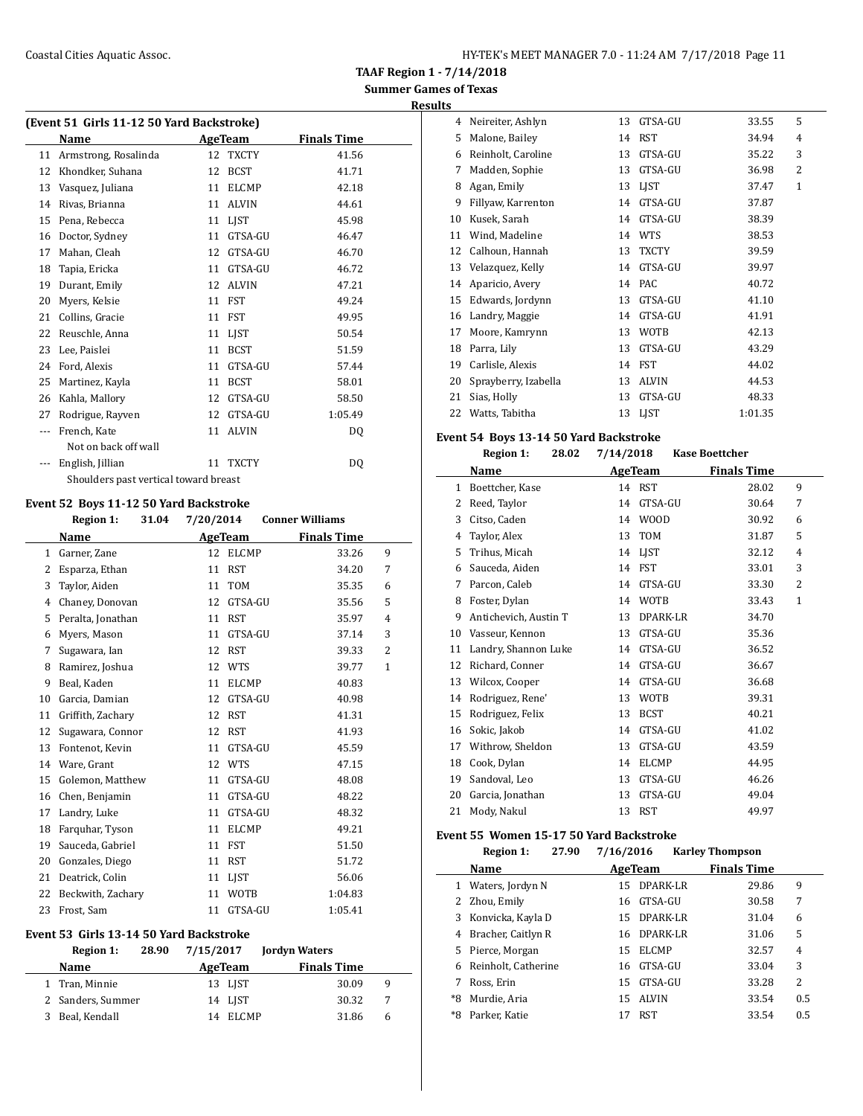**Results**

| (Event 51 Girls 11-12 50 Yard Backstroke) |                                       |    |                |                    |  |  |  |  |
|-------------------------------------------|---------------------------------------|----|----------------|--------------------|--|--|--|--|
|                                           | Name                                  |    | <b>AgeTeam</b> | <b>Finals Time</b> |  |  |  |  |
| 11                                        | Armstrong, Rosalinda                  | 12 | <b>TXCTY</b>   | 41.56              |  |  |  |  |
| 12                                        | Khondker, Suhana                      | 12 | <b>BCST</b>    | 41.71              |  |  |  |  |
| 13                                        | Vasquez, Juliana                      | 11 | <b>ELCMP</b>   | 42.18              |  |  |  |  |
| 14                                        | Rivas, Brianna                        | 11 | <b>ALVIN</b>   | 44.61              |  |  |  |  |
| 15                                        | Pena, Rebecca                         | 11 | <b>LIST</b>    | 45.98              |  |  |  |  |
| 16                                        | Doctor, Sydney                        | 11 | GTSA-GU        | 46.47              |  |  |  |  |
| 17                                        | Mahan, Cleah                          | 12 | GTSA-GU        | 46.70              |  |  |  |  |
| 18                                        | Tapia, Ericka                         | 11 | GTSA-GU        | 46.72              |  |  |  |  |
| 19                                        | Durant, Emily                         | 12 | <b>ALVIN</b>   | 47.21              |  |  |  |  |
| 20                                        | Myers, Kelsie                         | 11 | FST            | 49.24              |  |  |  |  |
| 21                                        | Collins, Gracie                       | 11 | FST            | 49.95              |  |  |  |  |
| 22                                        | Reuschle, Anna                        | 11 | <b>LIST</b>    | 50.54              |  |  |  |  |
| 23                                        | Lee, Paislei                          | 11 | <b>BCST</b>    | 51.59              |  |  |  |  |
| 24                                        | Ford, Alexis                          | 11 | GTSA-GU        | 57.44              |  |  |  |  |
| 25                                        | Martinez, Kayla                       | 11 | <b>BCST</b>    | 58.01              |  |  |  |  |
| 26                                        | Kahla, Mallory                        | 12 | GTSA-GU        | 58.50              |  |  |  |  |
| 27                                        | Rodrigue, Rayven                      | 12 | GTSA-GU        | 1:05.49            |  |  |  |  |
| ---                                       | French, Kate                          | 11 | <b>ALVIN</b>   | DQ                 |  |  |  |  |
|                                           | Not on back off wall                  |    |                |                    |  |  |  |  |
|                                           | English, Jillian                      | 11 | <b>TXCTY</b>   | DQ                 |  |  |  |  |
|                                           | Shoulders past vertical toward breast |    |                |                    |  |  |  |  |

### **Event 52 Boys 11-12 50 Yard Backstroke**

|    | <b>Region 1:</b><br>31.04 | 7/20/2014          | <b>Conner Williams</b> |
|----|---------------------------|--------------------|------------------------|
|    | Name                      | <b>AgeTeam</b>     | <b>Finals Time</b>     |
| 1  | Garner, Zane              | 12<br><b>ELCMP</b> | 33.26<br>9             |
| 2  | Esparza, Ethan            | <b>RST</b><br>11   | 34.20<br>7             |
| 3  | Taylor, Aiden             | <b>TOM</b><br>11   | 35.35<br>6             |
| 4  | Chaney, Donovan           | GTSA-GU<br>12      | 5<br>35.56             |
| 5  | Peralta, Jonathan         | <b>RST</b><br>11   | 35.97<br>4             |
| 6  | Myers, Mason              | GTSA-GU<br>11      | 3<br>37.14             |
| 7  | Sugawara, Ian             | <b>RST</b><br>12   | 2<br>39.33             |
| 8  | Ramirez, Joshua           | <b>WTS</b><br>12   | $\mathbf{1}$<br>39.77  |
| 9  | Beal, Kaden               | <b>ELCMP</b><br>11 | 40.83                  |
| 10 | Garcia, Damian            | GTSA-GU<br>12      | 40.98                  |
| 11 | Griffith, Zachary         | <b>RST</b><br>12   | 41.31                  |
| 12 | Sugawara, Connor          | <b>RST</b><br>12   | 41.93                  |
| 13 | Fontenot, Kevin           | GTSA-GU<br>11      | 45.59                  |
| 14 | Ware, Grant               | <b>WTS</b><br>12   | 47.15                  |
| 15 | Golemon, Matthew          | GTSA-GU<br>11      | 48.08                  |
| 16 | Chen, Benjamin            | GTSA-GU<br>11      | 48.22                  |
| 17 | Landry, Luke              | GTSA-GU<br>11      | 48.32                  |
| 18 | Farquhar, Tyson           | <b>ELCMP</b><br>11 | 49.21                  |
| 19 | Sauceda, Gabriel          | <b>FST</b><br>11   | 51.50                  |
| 20 | Gonzales, Diego           | <b>RST</b><br>11   | 51.72                  |
| 21 | Deatrick, Colin           | LIST<br>11         | 56.06                  |
| 22 | Beckwith, Zachary         | <b>WOTB</b><br>11  | 1:04.83                |
| 23 | Frost, Sam                | GTSA-GU<br>11      | 1:05.41                |

#### **Event 53 Girls 13-14 50 Yard Backstroke**

| Region 1:         | 28.90 | 7/15/2017 |          | <b>Jordyn Waters</b> |    |
|-------------------|-------|-----------|----------|----------------------|----|
| Name              |       |           | AgeTeam  | <b>Finals Time</b>   |    |
| 1 Tran, Minnie    |       |           | 13 LIST  | 30.09                | 9  |
| 2 Sanders, Summer |       |           | 14 LIST  | 30.32                | -7 |
| 3 Beal, Kendall   |       |           | 14 ELCMP | 31.86                | 6  |

| 4  | Neireiter, Ashlyn    | 13 | GTSA-GU      | 33.55   | 5              |
|----|----------------------|----|--------------|---------|----------------|
| 5  | Malone, Bailey       | 14 | <b>RST</b>   | 34.94   | 4              |
| 6  | Reinholt, Caroline   | 13 | GTSA-GU      | 35.22   | 3              |
| 7  | Madden, Sophie       | 13 | GTSA-GU      | 36.98   | $\overline{2}$ |
| 8  | Agan, Emily          | 13 | <b>LIST</b>  | 37.47   | $\mathbf{1}$   |
| 9  | Fillyaw, Karrenton   | 14 | GTSA-GU      | 37.87   |                |
| 10 | Kusek, Sarah         | 14 | GTSA-GU      | 38.39   |                |
| 11 | Wind, Madeline       | 14 | <b>WTS</b>   | 38.53   |                |
| 12 | Calhoun, Hannah      | 13 | <b>TXCTY</b> | 39.59   |                |
| 13 | Velazquez, Kelly     | 14 | GTSA-GU      | 39.97   |                |
| 14 | Aparicio, Avery      | 14 | <b>PAC</b>   | 40.72   |                |
| 15 | Edwards, Jordynn     | 13 | GTSA-GU      | 41.10   |                |
| 16 | Landry, Maggie       | 14 | GTSA-GU      | 41.91   |                |
| 17 | Moore, Kamrynn       | 13 | <b>WOTB</b>  | 42.13   |                |
| 18 | Parra, Lily          | 13 | GTSA-GU      | 43.29   |                |
| 19 | Carlisle, Alexis     | 14 | <b>FST</b>   | 44.02   |                |
| 20 | Sprayberry, Izabella | 13 | <b>ALVIN</b> | 44.53   |                |
| 21 | Sias, Holly          | 13 | GTSA-GU      | 48.33   |                |
| 22 | Watts, Tabitha       | 13 | <b>LIST</b>  | 1:01.35 |                |

#### **Event 54 Boys 13-14 50 Yard Backstroke**

|    | <b>Region 1:</b><br>28.02 | 7/14/2018 |              | <b>Kase Boettcher</b> |              |
|----|---------------------------|-----------|--------------|-----------------------|--------------|
|    | Name                      | AgeTeam   |              | <b>Finals Time</b>    |              |
| 1  | Boettcher, Kase           |           | 14 RST       | 28.02                 | 9            |
| 2  | Reed, Taylor              | 14        | GTSA-GU      | 30.64                 | 7            |
| 3  | Citso, Caden              | 14        | <b>WOOD</b>  | 30.92                 | 6            |
| 4  | Taylor, Alex              | 13        | <b>TOM</b>   | 31.87                 | 5            |
| 5  | Trihus, Micah             | 14        | LIST         | 32.12                 | 4            |
| 6  | Sauceda, Aiden            | 14        | <b>FST</b>   | 33.01                 | 3            |
| 7  | Parcon, Caleb             | 14        | GTSA-GU      | 33.30                 | 2            |
| 8  | Foster, Dylan             | 14        | <b>WOTB</b>  | 33.43                 | $\mathbf{1}$ |
| 9  | Antichevich, Austin T     | 13        | DPARK-LR     | 34.70                 |              |
| 10 | Vasseur, Kennon           | 13        | GTSA-GU      | 35.36                 |              |
| 11 | Landry, Shannon Luke      | 14        | GTSA-GU      | 36.52                 |              |
| 12 | Richard, Conner           | 14        | GTSA-GU      | 36.67                 |              |
| 13 | Wilcox, Cooper            | 14        | GTSA-GU      | 36.68                 |              |
| 14 | Rodriguez, Rene'          | 13        | <b>WOTB</b>  | 39.31                 |              |
| 15 | Rodriguez, Felix          | 13        | <b>BCST</b>  | 40.21                 |              |
| 16 | Sokic, Jakob              | 14        | GTSA-GU      | 41.02                 |              |
| 17 | Withrow, Sheldon          | 13        | GTSA-GU      | 43.59                 |              |
| 18 | Cook, Dylan               | 14        | <b>ELCMP</b> | 44.95                 |              |
| 19 | Sandoval, Leo             | 13        | GTSA-GU      | 46.26                 |              |
| 20 | Garcia, Jonathan          | 13        | GTSA-GU      | 49.04                 |              |
| 21 | Mody, Nakul               | 13        | <b>RST</b>   | 49.97                 |              |

### **Event 55 Women 15-17 50 Yard Backstroke**

|    | 27.90<br><b>Region 1:</b> | 7/16/2016          | <b>Karley Thompson</b> |     |
|----|---------------------------|--------------------|------------------------|-----|
|    | <b>Name</b>               | AgeTeam            | <b>Finals Time</b>     |     |
| 1  | Waters, Jordyn N          | DPARK-LR<br>15     | 29.86                  | 9   |
|    | Zhou, Emily               | GTSA-GU<br>16      | 30.58                  | 7   |
| 3  | Konvicka, Kayla D         | DPARK-LR<br>15     | 31.04                  | 6   |
| 4  | Bracher, Caitlyn R        | DPARK-LR<br>16     | 31.06                  | 5   |
| 5. | Pierce, Morgan            | <b>ELCMP</b><br>15 | 32.57                  | 4   |
| 6  | Reinholt, Catherine       | GTSA-GU<br>16      | 33.04                  | 3   |
|    | Ross. Erin                | GTSA-GU<br>15      | 33.28                  | 2   |
| *8 | Murdie, Aria              | <b>ALVIN</b><br>15 | 33.54                  | 0.5 |
| *8 | Parker, Katie             | RST                | 33.54                  | 0.5 |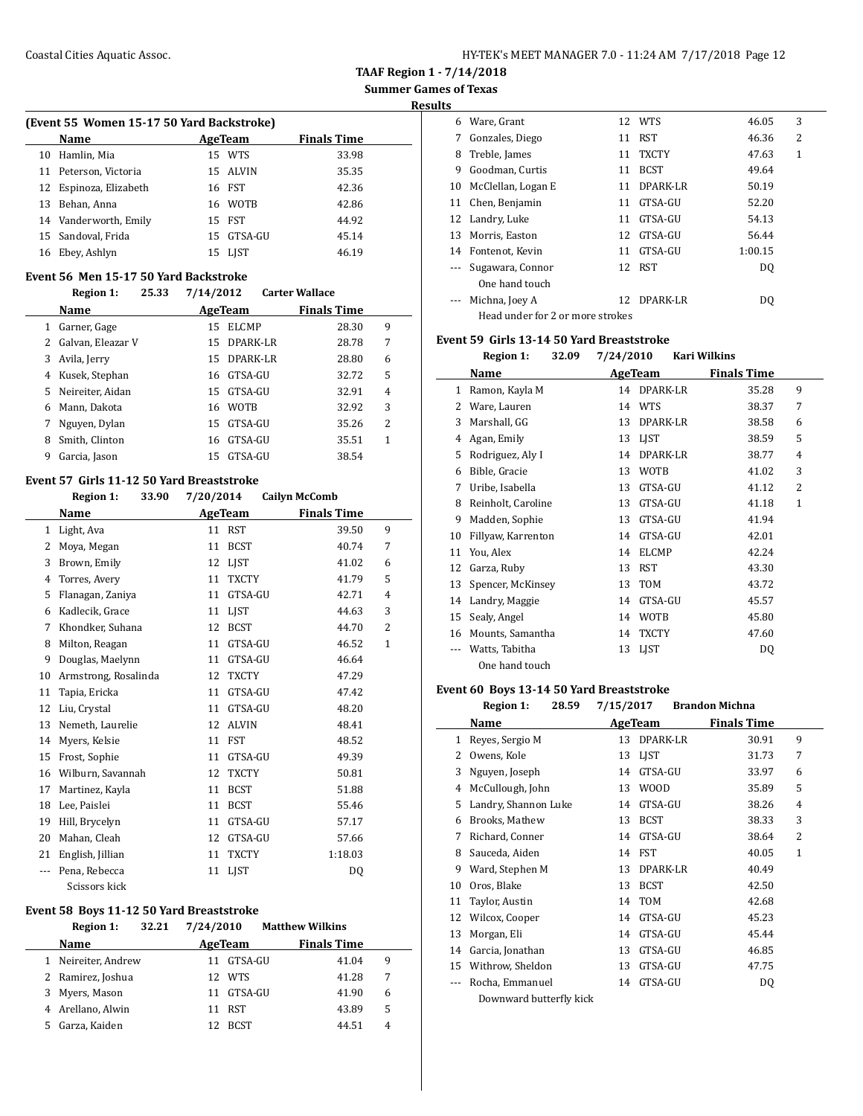**Results**

| (Event 55 Women 15-17 50 Yard Backstroke) |  |  |  |  |  |
|-------------------------------------------|--|--|--|--|--|
|-------------------------------------------|--|--|--|--|--|

|    | Name                   | AgeTeam |            | <b>Finals Time</b> |
|----|------------------------|---------|------------|--------------------|
|    | 10 Hamlin, Mia         |         | 15 WTS     | 33.98              |
|    | 11 Peterson, Victoria  |         | 15 ALVIN   | 35.35              |
|    | 12 Espinoza, Elizabeth |         | 16 FST     | 42.36              |
|    | 13 Behan, Anna         |         | 16 WOTB    | 42.86              |
|    | 14 Vanderworth, Emily  |         | 15 FST     | 44.92              |
|    | 15 Sandoval, Frida     |         | 15 GTSA-GU | 45.14              |
| 16 | Ebey, Ashlyn           |         | 15 LIST    | 46.19              |

### **Event 56 Men 15-17 50 Yard Backstroke**

 $\overline{a}$ 

 $\overline{a}$ 

#### **Region 1: 25.33 7/14/2012 Carter Wallace**

|    | 25.011<br>-----   | $\cdot$ , $\sim$ $\cdot$ , $\sim$ $\sim$ $\sim$ $\sim$ |              |                    |   |  |
|----|-------------------|--------------------------------------------------------|--------------|--------------------|---|--|
|    | <b>Name</b>       |                                                        | AgeTeam      | <b>Finals Time</b> |   |  |
|    | Garner, Gage      | 15                                                     | <b>ELCMP</b> | 28.30              | 9 |  |
|    | Galvan, Eleazar V | 15                                                     | DPARK-LR     | 28.78              | 7 |  |
|    | Avila, Jerry      |                                                        | 15 DPARK-LR  | 28.80              | 6 |  |
| 4  | Kusek, Stephan    |                                                        | 16 GTSA-GU   | 32.72              | 5 |  |
| 5. | Neireiter, Aidan  |                                                        | 15 GTSA-GU   | 32.91              | 4 |  |
| 6  | Mann, Dakota      |                                                        | 16 WOTB      | 32.92              | 3 |  |
|    | Nguyen, Dylan     | 15                                                     | GTSA-GU      | 35.26              | 2 |  |
| 8  | Smith, Clinton    | 16                                                     | GTSA-GU      | 35.51              | 1 |  |
| 9  | Garcia, Jason     | 15                                                     | GTSA-GU      | 38.54              |   |  |
|    |                   |                                                        |              |                    |   |  |

### **Event 57 Girls 11-12 50 Yard Breaststroke**

|              | <b>Region 1:</b><br>33.90 | 7/20/2014          | <b>Cailyn McComb</b>    |  |
|--------------|---------------------------|--------------------|-------------------------|--|
|              | Name                      | <b>AgeTeam</b>     | <b>Finals Time</b>      |  |
| $\mathbf{1}$ | Light, Ava                | 11 RST             | 9<br>39.50              |  |
| 2            | Moya, Megan               | <b>BCST</b><br>11  | 7<br>40.74              |  |
| 3            | Brown, Emily              | <b>LIST</b><br>12  | 41.02<br>6              |  |
| 4            | Torres, Avery             | 11<br><b>TXCTY</b> | 5<br>41.79              |  |
| 5            | Flanagan, Zaniya          | GTSA-GU<br>11      | 42.71<br>4              |  |
| 6            | Kadlecik, Grace           | <b>LIST</b><br>11  | 3<br>44.63              |  |
| 7            | Khondker, Suhana          | 12<br><b>BCST</b>  | $\overline{2}$<br>44.70 |  |
| 8            | Milton, Reagan            | GTSA-GU<br>11      | 46.52<br>$\mathbf{1}$   |  |
| 9            | Douglas, Maelynn          | GTSA-GU<br>11      | 46.64                   |  |
| 10           | Armstrong, Rosalinda      | <b>TXCTY</b><br>12 | 47.29                   |  |
| 11           | Tapia, Ericka             | GTSA-GU<br>11      | 47.42                   |  |
| 12           | Liu, Crystal              | GTSA-GU<br>11      | 48.20                   |  |
| 13           | Nemeth, Laurelie          | <b>ALVIN</b><br>12 | 48.41                   |  |
| 14           | Myers, Kelsie             | 11<br>FST          | 48.52                   |  |
| 15           | Frost, Sophie             | GTSA-GU<br>11      | 49.39                   |  |
| 16           | Wilburn, Savannah         | <b>TXCTY</b><br>12 | 50.81                   |  |
| 17           | Martinez, Kayla           | <b>BCST</b><br>11  | 51.88                   |  |
| 18           | Lee, Paislei              | <b>BCST</b><br>11  | 55.46                   |  |
| 19           | Hill, Brycelyn            | GTSA-GU<br>11      | 57.17                   |  |
| 20           | Mahan, Cleah              | GTSA-GU<br>12      | 57.66                   |  |
| 21           | English, Jillian          | 11<br><b>TXCTY</b> | 1:18.03                 |  |
| ---          | Pena, Rebecca             | <b>LIST</b><br>11  | DQ                      |  |
|              | Scissors kick             |                    |                         |  |

#### **Event 58 Boys 11-12 50 Yard Breaststroke**

|    | <b>Region 1:</b><br>32.21 | 7/24/2010     | <b>Matthew Wilkins</b> |   |
|----|---------------------------|---------------|------------------------|---|
|    | <b>Name</b>               | AgeTeam       | <b>Finals Time</b>     |   |
|    | 1 Neireiter, Andrew       | GTSA-GU<br>11 | 41.04                  | 9 |
|    | 2 Ramirez, Joshua         | 12 WTS        | 41.28                  | 7 |
|    | 3 Myers, Mason            | GTSA-GU<br>11 | 41.90                  | 6 |
|    | 4 Arellano, Alwin         | <b>RST</b>    | 43.89                  | 5 |
| 5. | Garza, Kaiden             | BCST<br>12.   | 44.51                  | 4 |

| 6  | Ware, Grant                      |    | 12 WTS       | 46.05   | 3 |  |
|----|----------------------------------|----|--------------|---------|---|--|
| 7  | Gonzales, Diego                  | 11 | <b>RST</b>   | 46.36   | 2 |  |
| 8  | Treble, James                    | 11 | <b>TXCTY</b> | 47.63   | 1 |  |
| 9  | Goodman, Curtis                  | 11 | <b>BCST</b>  | 49.64   |   |  |
| 10 | McClellan, Logan E               | 11 | DPARK-LR     | 50.19   |   |  |
| 11 | Chen, Benjamin                   | 11 | GTSA-GU      | 52.20   |   |  |
|    | 12 Landry, Luke                  | 11 | GTSA-GU      | 54.13   |   |  |
| 13 | Morris, Easton                   | 12 | GTSA-GU      | 56.44   |   |  |
| 14 | Fontenot, Kevin                  | 11 | GTSA-GU      | 1:00.15 |   |  |
|    | Sugawara, Connor                 | 12 | RST          | DO.     |   |  |
|    | One hand touch                   |    |              |         |   |  |
|    | Michna, Joey A                   | 12 | DPARK-LR     | DO.     |   |  |
|    | Head under for 2 or more strokes |    |              |         |   |  |

#### **Event 59 Girls 13-14 50 Yard Breaststroke**

|    | <b>Region 1:</b><br>32.09 | 7/24/2010         | Kari Wilkins |                    |                |
|----|---------------------------|-------------------|--------------|--------------------|----------------|
|    | Name                      | AgeTeam           |              | <b>Finals Time</b> |                |
| 1  | Ramon, Kayla M            | 14                | DPARK-LR     | 35.28              | 9              |
| 2  | Ware, Lauren              | WTS<br>14         |              | 38.37              | 7              |
| 3  | Marshall, GG              | 13                | DPARK-LR     | 38.58              | 6              |
| 4  | Agan, Emily               | <b>LIST</b><br>13 |              | 38.59              | 5              |
| 5  | Rodriguez, Aly I          | 14                | DPARK-LR     | 38.77              | $\overline{4}$ |
| 6  | Bible, Gracie             | 13                | <b>WOTB</b>  | 41.02              | 3              |
| 7  | Uribe, Isabella           | 13                | GTSA-GU      | 41.12              | $\overline{2}$ |
| 8  | Reinholt, Caroline        | 13                | GTSA-GU      | 41.18              | 1              |
| 9  | Madden, Sophie            | 13                | GTSA-GU      | 41.94              |                |
| 10 | Fillyaw, Karrenton        | 14                | GTSA-GU      | 42.01              |                |
| 11 | You, Alex                 | 14                | <b>ELCMP</b> | 42.24              |                |
| 12 | Garza, Ruby               | <b>RST</b><br>13  |              | 43.30              |                |
| 13 | Spencer, McKinsey         | <b>TOM</b><br>13  |              | 43.72              |                |
| 14 | Landry, Maggie            | 14                | GTSA-GU      | 45.57              |                |
| 15 | Sealy, Angel              | 14                | <b>WOTB</b>  | 45.80              |                |
| 16 | Mounts, Samantha          | 14                | <b>TXCTY</b> | 47.60              |                |
|    | Watts, Tabitha            | LIST<br>13        |              | DQ                 |                |
|    | One hand touch            |                   |              |                    |                |

#### **Event 60 Boys 13-14 50 Yard Breaststroke Region 1: 28.59 7/15/2017 Brandon Michna**

 $\overline{\phantom{a}}$ 

|     | Region 1:<br>28.59      | 7/15/2017 |                 | Brandon Michna     |                |
|-----|-------------------------|-----------|-----------------|--------------------|----------------|
|     | Name                    |           | AgeTeam         | <b>Finals Time</b> |                |
| 1   | Reyes, Sergio M         | 13        | DPARK-LR        | 30.91              | 9              |
| 2   | Owens, Kole             | 13        | <b>LIST</b>     | 31.73              | 7              |
| 3   | Nguyen, Joseph          | 14        | GTSA-GU         | 33.97              | 6              |
| 4   | McCullough, John        | 13        | <b>WOOD</b>     | 35.89              | 5              |
| 5   | Landry, Shannon Luke    | 14        | GTSA-GU         | 38.26              | 4              |
| 6   | Brooks, Mathew          | 13        | <b>BCST</b>     | 38.33              | 3              |
| 7   | Richard, Conner         | 14        | GTSA-GU         | 38.64              | $\overline{2}$ |
| 8   | Sauceda, Aiden          | 14        | <b>FST</b>      | 40.05              | 1              |
| 9   | Ward, Stephen M         | 13        | <b>DPARK-LR</b> | 40.49              |                |
| 10  | Oros, Blake             | 13        | <b>BCST</b>     | 42.50              |                |
| 11  | Taylor, Austin          | 14        | <b>TOM</b>      | 42.68              |                |
| 12  | Wilcox, Cooper          | 14        | GTSA-GU         | 45.23              |                |
| 13  | Morgan, Eli             | 14        | GTSA-GU         | 45.44              |                |
| 14  | Garcia, Jonathan        | 13        | GTSA-GU         | 46.85              |                |
| 15  | Withrow, Sheldon        | 13        | GTSA-GU         | 47.75              |                |
| --- | Rocha, Emmanuel         | 14        | GTSA-GU         | DQ                 |                |
|     | Downward butterfly kick |           |                 |                    |                |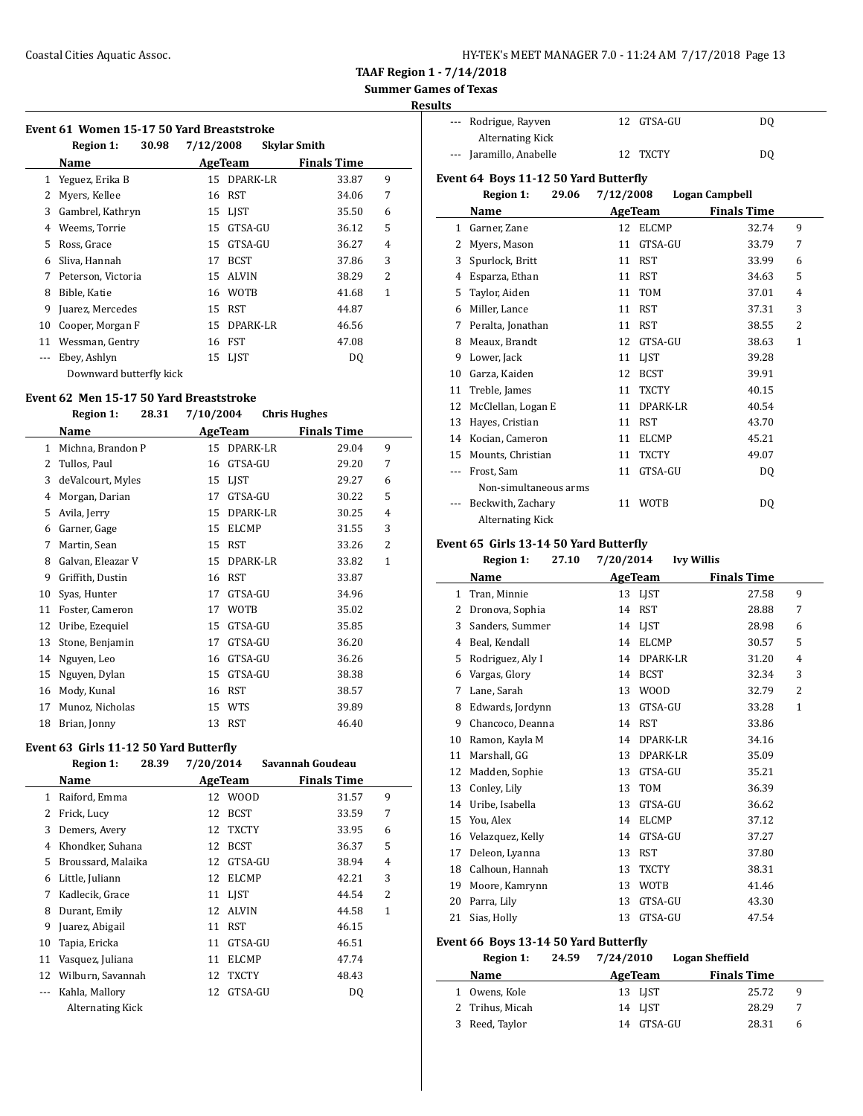| HY-TEK's MEET MANAGER 7.0 - 11:24 AM 7/17/2018 Page 13 |  |  |  |  |  |
|--------------------------------------------------------|--|--|--|--|--|
|--------------------------------------------------------|--|--|--|--|--|

## **Summer Games of Texas**

### **Results**

|  |  |  |  | Event 61 Women 15-17 50 Yard Breaststroke |
|--|--|--|--|-------------------------------------------|
|--|--|--|--|-------------------------------------------|

|     | <b>Region 1:</b><br>30.98 | 7/12/2008 |                 | <b>Skylar Smith</b> |   |
|-----|---------------------------|-----------|-----------------|---------------------|---|
|     | Name                      |           | <b>AgeTeam</b>  | <b>Finals Time</b>  |   |
| 1   | Yeguez, Erika B           | 15        | <b>DPARK-LR</b> | 33.87               | 9 |
| 2   | Myers, Kellee             | 16        | <b>RST</b>      | 34.06               | 7 |
| 3   | Gambrel, Kathryn          | 15        | LIST            | 35.50               | 6 |
| 4   | Weems, Torrie             | 15        | GTSA-GU         | 36.12               | 5 |
| 5   | Ross, Grace               | 15        | GTSA-GU         | 36.27               | 4 |
| 6   | Sliva, Hannah             | 17        | <b>BCST</b>     | 37.86               | 3 |
| 7   | Peterson, Victoria        | 15        | <b>ALVIN</b>    | 38.29               | 2 |
| 8   | Bible, Katie              | 16        | <b>WOTB</b>     | 41.68               | 1 |
| 9   | Juarez, Mercedes          | 15        | <b>RST</b>      | 44.87               |   |
| 10  | Cooper, Morgan F          | 15        | DPARK-LR        | 46.56               |   |
| 11  | Wessman, Gentry           | 16        | FST             | 47.08               |   |
| --- | Ebey, Ashlyn              | 15        | <b>LIST</b>     | DQ                  |   |
|     | Downward butterfly kick   |           |                 |                     |   |

#### **Event 62 Men 15-17 50 Yard Breaststroke**

#### **Region 1: 28.31 7/10/2004 Chris Hughes**

|              | Name              |    | AgeTeam      | <b>Finals Time</b> |                |  |
|--------------|-------------------|----|--------------|--------------------|----------------|--|
| $\mathbf{1}$ | Michna, Brandon P | 15 | DPARK-LR     | 29.04              | 9              |  |
| 2            | Tullos, Paul      | 16 | GTSA-GU      | 29.20              | 7              |  |
| 3            | deValcourt, Myles | 15 | <b>LIST</b>  | 29.27              | 6              |  |
| 4            | Morgan, Darian    | 17 | GTSA-GU      | 30.22              | 5              |  |
| 5            | Avila, Jerry      | 15 | DPARK-LR     | 30.25              | 4              |  |
| 6            | Garner, Gage      | 15 | <b>ELCMP</b> | 31.55              | 3              |  |
| 7            | Martin, Sean      | 15 | <b>RST</b>   | 33.26              | $\overline{2}$ |  |
| 8            | Galvan, Eleazar V | 15 | DPARK-LR     | 33.82              | $\mathbf{1}$   |  |
| 9            | Griffith, Dustin  | 16 | <b>RST</b>   | 33.87              |                |  |
| 10           | Syas, Hunter      | 17 | GTSA-GU      | 34.96              |                |  |
| 11           | Foster, Cameron   | 17 | <b>WOTB</b>  | 35.02              |                |  |
| 12           | Uribe, Ezequiel   | 15 | GTSA-GU      | 35.85              |                |  |
| 13           | Stone, Benjamin   | 17 | GTSA-GU      | 36.20              |                |  |
| 14           | Nguyen, Leo       | 16 | GTSA-GU      | 36.26              |                |  |
| 15           | Nguyen, Dylan     | 15 | GTSA-GU      | 38.38              |                |  |
| 16           | Mody, Kunal       | 16 | <b>RST</b>   | 38.57              |                |  |
| 17           | Munoz, Nicholas   | 15 | <b>WTS</b>   | 39.89              |                |  |
| 18           | Brian, Jonny      | 13 | <b>RST</b>   | 46.40              |                |  |

### **Event 63 Girls 11-12 50 Yard Butterfly**

|    | <b>Region 1:</b><br>28.39 | 7/20/2014 |              | Savannah Goudeau   |                |
|----|---------------------------|-----------|--------------|--------------------|----------------|
|    | Name                      | AgeTeam   |              | <b>Finals Time</b> |                |
| 1  | Raiford, Emma             | 12        | <b>WOOD</b>  | 31.57              | 9              |
| 2  | Frick, Lucy               | 12        | <b>BCST</b>  | 33.59              | 7              |
| 3  | Demers, Avery             | 12        | <b>TXCTY</b> | 33.95              | 6              |
| 4  | Khondker, Suhana          | 12        | <b>BCST</b>  | 36.37              | 5              |
| 5  | Broussard, Malaika        | 12        | GTSA-GU      | 38.94              | 4              |
| 6  | Little, Juliann           | 12        | <b>ELCMP</b> | 42.21              | 3              |
| 7  | Kadlecik, Grace           | 11        | LIST         | 44.54              | $\overline{2}$ |
| 8  | Durant, Emily             | 12        | <b>ALVIN</b> | 44.58              | 1              |
| 9  | Juarez, Abigail           | 11        | RST          | 46.15              |                |
| 10 | Tapia, Ericka             | 11        | GTSA-GU      | 46.51              |                |
| 11 | Vasquez, Juliana          | 11        | <b>ELCMP</b> | 47.74              |                |
| 12 | Wilburn, Savannah         | 12        | <b>TXCTY</b> | 48.43              |                |
|    | Kahla, Mallory            | 12        | GTSA-GU      | DQ                 |                |
|    | Alternating Kick          |           |              |                    |                |

| --- Rodrigue, Rayven    | 12 GTSA-GU | DO |
|-------------------------|------------|----|
| <b>Alternating Kick</b> |            |    |
| --- Jaramillo, Anabelle | 12 TXCTY   | DO |

### **Event 64 Boys 11-12 50 Yard Butterfly**

|    | <b>Region 1:</b><br>29.06 | 7/12/2008          | <b>Logan Campbell</b>    |              |
|----|---------------------------|--------------------|--------------------------|--------------|
|    | Name                      | <b>AgeTeam</b>     | <b>Finals Time</b>       |              |
| 1  | Garner, Zane              | <b>ELCMP</b><br>12 | 32.74                    | 9            |
| 2  | Myers, Mason              | 11                 | GTSA-GU<br>33.79         | 7            |
| 3  | Spurlock, Britt           | <b>RST</b><br>11   | 33.99                    | 6            |
| 4  | Esparza, Ethan            | <b>RST</b><br>11   | 34.63                    | 5            |
| 5  | Taylor, Aiden             | <b>TOM</b><br>11   | 37.01                    | 4            |
| 6  | Miller, Lance             | <b>RST</b><br>11   | 37.31                    | 3            |
| 7  | Peralta, Jonathan         | <b>RST</b><br>11   | 38.55                    | 2            |
| 8  | Meaux, Brandt             | 12                 | GTSA-GU<br>38.63         | $\mathbf{1}$ |
| 9  | Lower, Jack               | LIST<br>11         | 39.28                    |              |
| 10 | Garza, Kaiden             | <b>BCST</b><br>12  | 39.91                    |              |
| 11 | Treble, James             | <b>TXCTY</b><br>11 | 40.15                    |              |
| 12 | McClellan, Logan E        | 11                 | <b>DPARK-LR</b><br>40.54 |              |
| 13 | Hayes, Cristian           | <b>RST</b><br>11   | 43.70                    |              |
| 14 | Kocian, Cameron           | <b>ELCMP</b><br>11 | 45.21                    |              |
| 15 | Mounts, Christian         | <b>TXCTY</b><br>11 | 49.07                    |              |
|    | Frost, Sam                | 11                 | GTSA-GU<br>DQ            |              |
|    | Non-simultaneous arms     |                    |                          |              |
|    | Beckwith, Zachary         | <b>WOTB</b><br>11  | DQ                       |              |
|    | <b>Alternating Kick</b>   |                    |                          |              |

### **Event 65 Girls 13-14 50 Yard Butterfly**

| Region 1: | 27.10 | 7/20/2014 | <b>Ivy Willis</b> |
|-----------|-------|-----------|-------------------|
|           |       |           |                   |

|                                       | Name             |                    | <b>AgeTeam</b> | <b>Finals Time</b>     |                |  |
|---------------------------------------|------------------|--------------------|----------------|------------------------|----------------|--|
| 1                                     | Tran, Minnie     |                    | 13 LIST        | 27.58                  | 9              |  |
| 2                                     | Dronova, Sophia  | 14                 | <b>RST</b>     | 28.88                  | 7              |  |
| 3                                     | Sanders, Summer  | 14                 | <b>LIST</b>    | 28.98                  | 6              |  |
| 4                                     | Beal, Kendall    | 14                 | <b>ELCMP</b>   | 30.57                  | 5              |  |
| 5                                     | Rodriguez, Aly I | 14                 | DPARK-LR       | 31.20                  | 4              |  |
| 6                                     | Vargas, Glory    | 14                 | <b>BCST</b>    | 32.34                  | 3              |  |
| 7                                     | Lane, Sarah      | 13                 | <b>WOOD</b>    | 32.79                  | $\overline{2}$ |  |
| 8                                     | Edwards, Jordynn | 13                 | GTSA-GU        | 33.28                  | $\mathbf{1}$   |  |
| 9                                     | Chancoco, Deanna | 14                 | <b>RST</b>     | 33.86                  |                |  |
| 10                                    | Ramon, Kayla M   | 14                 | DPARK-LR       | 34.16                  |                |  |
| 11                                    | Marshall, GG     | 13                 | DPARK-LR       | 35.09                  |                |  |
| 12                                    | Madden, Sophie   | 13                 | GTSA-GU        | 35.21                  |                |  |
| 13                                    | Conley, Lily     | 13                 | <b>TOM</b>     | 36.39                  |                |  |
| 14                                    | Uribe, Isabella  | 13                 | GTSA-GU        | 36.62                  |                |  |
| 15                                    | You, Alex        | 14                 | <b>ELCMP</b>   | 37.12                  |                |  |
| 16                                    | Velazquez, Kelly | 14                 | GTSA-GU        | 37.27                  |                |  |
| 17                                    | Deleon, Lyanna   | 13                 | <b>RST</b>     | 37.80                  |                |  |
| 18                                    | Calhoun, Hannah  | 13                 | <b>TXCTY</b>   | 38.31                  |                |  |
| 19                                    | Moore, Kamrynn   | 13                 | <b>WOTB</b>    | 41.46                  |                |  |
| 20                                    | Parra, Lily      | 13                 | GTSA-GU        | 43.30                  |                |  |
| 21                                    | Sias, Holly      | 13                 | GTSA-GU        | 47.54                  |                |  |
| Event 66 Boys 13-14 50 Yard Butterfly |                  |                    |                |                        |                |  |
|                                       | Region 1:        | 7/24/2010<br>24.59 |                | <b>Logan Sheffield</b> |                |  |
|                                       | <b>Name</b>      |                    | AgeTeam        | Finals Time            |                |  |

| Name            | AgeTeam    | <b>Finals Time</b> |   |
|-----------------|------------|--------------------|---|
| 1 Owens, Kole   | 13 LIST    | 25.72              | q |
| 2 Trihus, Micah | 14 LJST    | 28.29              |   |
| 3 Reed, Taylor  | 14 GTSA-GU | 28.31              |   |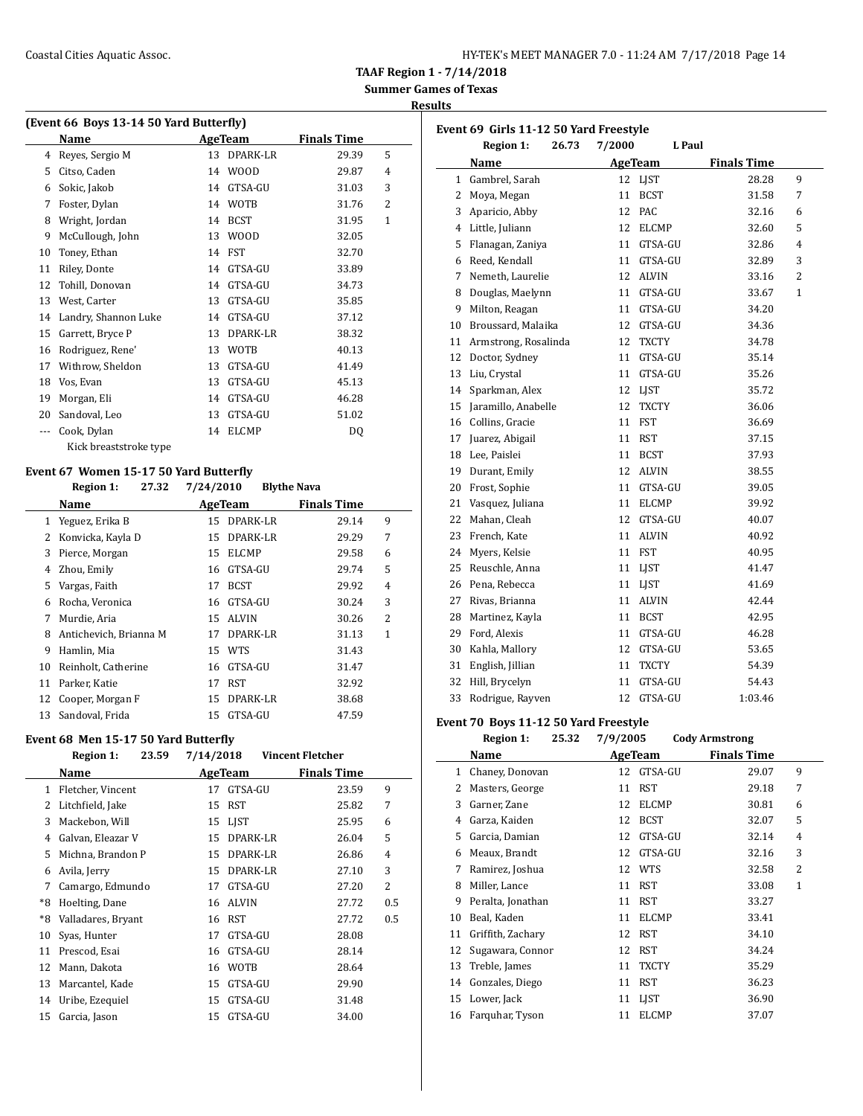**Results**

| (Event 66 Boys 13-14 50 Yard Butterfly) |  |  |  |
|-----------------------------------------|--|--|--|
|                                         |  |  |  |

|    | Name                   |    | <b>AgeTeam</b> | <b>Finals Time</b> |                |
|----|------------------------|----|----------------|--------------------|----------------|
| 4  | Reyes, Sergio M        | 13 | DPARK-LR       | 29.39              | 5              |
| 5  | Citso, Caden           | 14 | <b>WOOD</b>    | 29.87              | $\overline{4}$ |
| 6  | Sokic, Jakob           | 14 | GTSA-GU        | 31.03              | 3              |
| 7  | Foster, Dylan          | 14 | <b>WOTB</b>    | 31.76              | $\overline{c}$ |
| 8  | Wright, Jordan         | 14 | <b>BCST</b>    | 31.95              | $\mathbf{1}$   |
| 9  | McCullough, John       | 13 | <b>WOOD</b>    | 32.05              |                |
| 10 | Toney, Ethan           | 14 | FST            | 32.70              |                |
| 11 | Riley, Donte           | 14 | GTSA-GU        | 33.89              |                |
| 12 | Tohill, Donovan        | 14 | GTSA-GU        | 34.73              |                |
| 13 | West, Carter           | 13 | GTSA-GU        | 35.85              |                |
| 14 | Landry, Shannon Luke   | 14 | GTSA-GU        | 37.12              |                |
| 15 | Garrett, Bryce P       | 13 | DPARK-LR       | 38.32              |                |
| 16 | Rodriguez, Rene'       | 13 | <b>WOTB</b>    | 40.13              |                |
| 17 | Withrow, Sheldon       | 13 | GTSA-GU        | 41.49              |                |
| 18 | Vos, Evan              | 13 | GTSA-GU        | 45.13              |                |
| 19 | Morgan, Eli            | 14 | GTSA-GU        | 46.28              |                |
| 20 | Sandoval, Leo          | 13 | GTSA-GU        | 51.02              |                |
|    | Cook, Dylan            | 14 | <b>ELCMP</b>   | DQ                 |                |
|    | Kick breaststroke type |    |                |                    |                |

### **Event 67 Women 15-17 50 Yard Butterfly**

|    | <b>Region 1:</b><br>27.32 | 7/24/2010             | <b>Blythe Nava</b> |   |
|----|---------------------------|-----------------------|--------------------|---|
|    | Name                      | AgeTeam               | <b>Finals Time</b> |   |
| 1  | Yeguez, Erika B           | DPARK-LR<br>15        | 29.14              | 9 |
| 2  | Konvicka, Kayla D         | DPARK-LR<br>15        | 29.29              | 7 |
| 3  | Pierce, Morgan            | <b>ELCMP</b><br>15    | 29.58              | 6 |
| 4  | Zhou, Emily               | GTSA-GU<br>16         | 29.74              | 5 |
| 5. | Vargas, Faith             | <b>BCST</b><br>17     | 29.92              | 4 |
| 6  | Rocha, Veronica           | GTSA-GU<br>16         | 30.24              | 3 |
| 7  | Murdie, Aria              | ALVIN<br>15           | 30.26              | 2 |
| 8  | Antichevich, Brianna M    | DPARK-LR<br>17        | 31.13              | 1 |
| 9  | Hamlin, Mia               | <b>WTS</b><br>15      | 31.43              |   |
| 10 | Reinholt, Catherine       | GTSA-GU<br>16         | 31.47              |   |
| 11 | Parker, Katie             | RST<br>17             | 32.92              |   |
| 12 | Cooper, Morgan F          | <b>DPARK-LR</b><br>15 | 38.68              |   |
| 13 | Sandoval, Frida           | GTSA-GU<br>15         | 47.59              |   |

### **Event 68 Men 15-17 50 Yard Butterfly**

|              | <b>Region 1:</b><br>23.59 | 7/14/2018          | Vincent Fletcher   |                |
|--------------|---------------------------|--------------------|--------------------|----------------|
|              | Name                      | AgeTeam            | <b>Finals Time</b> |                |
| $\mathbf{1}$ | Fletcher, Vincent         | GTSA-GU<br>17      | 23.59              | 9              |
| 2            | Litchfield, Jake          | <b>RST</b><br>15   | 25.82              | 7              |
| 3            | Mackebon, Will            | 15 LIST            | 25.95              | 6              |
| 4            | Galvan, Eleazar V         | DPARK-LR<br>15     | 26.04              | 5              |
| 5            | Michna, Brandon P         | DPARK-LR<br>15     | 26.86              | 4              |
| 6            | Avila, Jerry              | DPARK-LR<br>15     | 27.10              | 3              |
| 7            | Camargo, Edmundo          | GTSA-GU<br>17      | 27.20              | $\overline{2}$ |
| *8           | Hoelting, Dane            | <b>ALVIN</b><br>16 | 27.72              | 0.5            |
| *8           | Valladares, Bryant        | RST<br>16          | 27.72              | 0.5            |
| 10           | Syas, Hunter              | GTSA-GU<br>17      | 28.08              |                |
| 11           | Prescod, Esai             | GTSA-GU<br>16      | 28.14              |                |
| 12           | Mann, Dakota              | <b>WOTB</b><br>16  | 28.64              |                |
| 13           | Marcantel, Kade           | GTSA-GU<br>15      | 29.90              |                |
| 14           | Uribe, Ezequiel           | GTSA-GU<br>15      | 31.48              |                |
| 15           | Garcia, Jason             | GTSA-GU<br>15      | 34.00              |                |

|    | Event 69 Girls 11-12 50 Yard Freestyle |        |                |                    |                |
|----|----------------------------------------|--------|----------------|--------------------|----------------|
|    | 26.73<br><b>Region 1:</b>              | 7/2000 | L Paul         |                    |                |
|    | Name                                   |        | <b>AgeTeam</b> | <b>Finals Time</b> |                |
| 1  | Gambrel, Sarah                         | 12     | LJST           | 28.28              | 9              |
| 2  | Moya, Megan                            | 11     | <b>BCST</b>    | 31.58              | 7              |
| 3  | Aparicio, Abby                         | 12     | <b>PAC</b>     | 32.16              | 6              |
| 4  | Little, Juliann                        | 12     | <b>ELCMP</b>   | 32.60              | 5              |
| 5  | Flanagan, Zaniya                       | 11     | GTSA-GU        | 32.86              | 4              |
| 6  | Reed, Kendall                          | 11     | GTSA-GU        | 32.89              | 3              |
| 7  | Nemeth, Laurelie                       | 12     | <b>ALVIN</b>   | 33.16              | $\overline{2}$ |
| 8  | Douglas, Maelynn                       | 11     | GTSA-GU        | 33.67              | $\mathbf{1}$   |
| 9  | Milton, Reagan                         | 11     | GTSA-GU        | 34.20              |                |
| 10 | Broussard, Malaika                     | 12     | GTSA-GU        | 34.36              |                |
| 11 | Armstrong, Rosalinda                   | 12     | <b>TXCTY</b>   | 34.78              |                |
| 12 | Doctor, Sydney                         | 11     | GTSA-GU        | 35.14              |                |
| 13 | Liu, Crystal                           | 11     | GTSA-GU        | 35.26              |                |
| 14 | Sparkman, Alex                         | 12     | <b>LIST</b>    | 35.72              |                |
| 15 | Jaramillo, Anabelle                    | 12     | <b>TXCTY</b>   | 36.06              |                |
| 16 | Collins, Gracie                        | 11     | <b>FST</b>     | 36.69              |                |
| 17 | Juarez, Abigail                        | 11     | RST            | 37.15              |                |
| 18 | Lee, Paislei                           | 11     | <b>BCST</b>    | 37.93              |                |
| 19 | Durant, Emily                          | 12     | <b>ALVIN</b>   | 38.55              |                |
| 20 | Frost, Sophie                          | 11     | GTSA-GU        | 39.05              |                |
| 21 | Vasquez, Juliana                       | 11     | <b>ELCMP</b>   | 39.92              |                |
| 22 | Mahan, Cleah                           | 12     | GTSA-GU        | 40.07              |                |
| 23 | French, Kate                           | 11     | <b>ALVIN</b>   | 40.92              |                |
| 24 | Myers, Kelsie                          | 11     | FST            | 40.95              |                |
| 25 | Reuschle, Anna                         | 11     | <b>LIST</b>    | 41.47              |                |
| 26 | Pena, Rebecca                          | 11     | LJST           | 41.69              |                |
| 27 | Rivas, Brianna                         | 11     | <b>ALVIN</b>   | 42.44              |                |
| 28 | Martinez, Kayla                        | 11     | <b>BCST</b>    | 42.95              |                |
| 29 | Ford, Alexis                           | 11     | GTSA-GU        | 46.28              |                |
| 30 | Kahla, Mallory                         |        | 12 GTSA-GU     | 53.65              |                |
| 31 | English, Jillian                       | 11     | <b>TXCTY</b>   | 54.39              |                |
| 32 | Hill, Brycelyn                         | 11     | GTSA-GU        | 54.43              |                |
| 33 | Rodrigue, Rayven                       | 12     | GTSA-GU        | 1:03.46            |                |

### **Event 70 Boys 11-12 50 Yard Freestyle**

|    | $\frac{1}{2}$     |       |          |              |                       |              |
|----|-------------------|-------|----------|--------------|-----------------------|--------------|
|    | Region 1:         | 25.32 | 7/9/2005 |              | <b>Cody Armstrong</b> |              |
|    | Name              |       |          | AgeTeam      | <b>Finals Time</b>    |              |
| 1  | Chaney, Donovan   |       | 12       | GTSA-GU      | 29.07                 | 9            |
| 2  | Masters, George   |       | 11       | <b>RST</b>   | 29.18                 | 7            |
| 3  | Garner, Zane      |       | 12       | <b>ELCMP</b> | 30.81                 | 6            |
| 4  | Garza, Kaiden     |       | 12       | <b>BCST</b>  | 32.07                 | 5            |
| 5  | Garcia, Damian    |       | 12       | GTSA-GU      | 32.14                 | 4            |
| 6  | Meaux, Brandt     |       | 12       | GTSA-GU      | 32.16                 | 3            |
| 7  | Ramirez, Joshua   |       | 12       | <b>WTS</b>   | 32.58                 | 2            |
| 8  | Miller, Lance     |       | 11       | <b>RST</b>   | 33.08                 | $\mathbf{1}$ |
| 9  | Peralta, Jonathan |       | 11       | <b>RST</b>   | 33.27                 |              |
| 10 | Beal, Kaden       |       | 11       | <b>ELCMP</b> | 33.41                 |              |
| 11 | Griffith, Zachary |       | 12       | <b>RST</b>   | 34.10                 |              |
| 12 | Sugawara, Connor  |       | 12       | <b>RST</b>   | 34.24                 |              |
| 13 | Treble, James     |       | 11       | <b>TXCTY</b> | 35.29                 |              |
| 14 | Gonzales, Diego   |       | 11       | <b>RST</b>   | 36.23                 |              |
| 15 | Lower, Jack       |       | 11       | <b>LIST</b>  | 36.90                 |              |
| 16 | Farquhar, Tyson   |       | 11       | <b>ELCMP</b> | 37.07                 |              |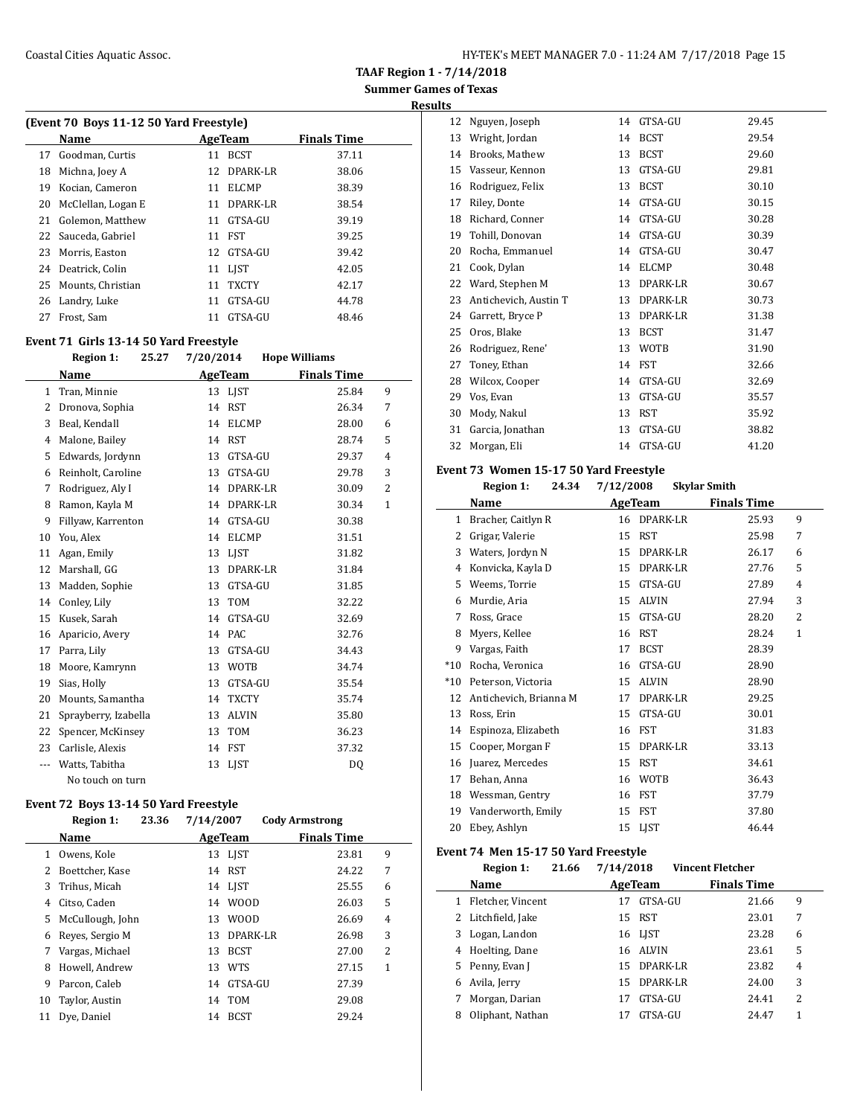**Results**

|    | (Event 70 Boys 11-12 50 Yard Freestyle) |     |              |       |  |  |  |  |  |
|----|-----------------------------------------|-----|--------------|-------|--|--|--|--|--|
|    | Name<br><b>Finals Time</b><br>AgeTeam   |     |              |       |  |  |  |  |  |
| 17 | Goodman, Curtis                         | 11  | <b>BCST</b>  | 37.11 |  |  |  |  |  |
| 18 | Michna, Joey A                          | 12. | DPARK-LR     | 38.06 |  |  |  |  |  |
| 19 | Kocian, Cameron                         | 11  | <b>ELCMP</b> | 38.39 |  |  |  |  |  |
| 20 | McClellan, Logan E                      | 11  | DPARK-LR     | 38.54 |  |  |  |  |  |
| 21 | Golemon, Matthew                        | 11  | GTSA-GU      | 39.19 |  |  |  |  |  |
|    | 22 Sauceda, Gabriel                     | 11  | <b>FST</b>   | 39.25 |  |  |  |  |  |
|    | 23 Morris, Easton                       | 12. | GTSA-GU      | 39.42 |  |  |  |  |  |
| 24 | Deatrick, Colin                         |     | 11 LIST      | 42.05 |  |  |  |  |  |
| 25 | Mounts, Christian                       | 11  | <b>TXCTY</b> | 42.17 |  |  |  |  |  |
|    | 26 Landry, Luke                         | 11  | GTSA-GU      | 44.78 |  |  |  |  |  |
| 27 | Frost, Sam                              | 11  | GTSA-GU      | 48.46 |  |  |  |  |  |
|    |                                         |     |              |       |  |  |  |  |  |

### **Event 71 Girls 13-14 50 Yard Freestyle**

|          | <b>Region 1:</b><br>25.27 | 7/20/2014 |                 | <b>Hope Williams</b> |                |
|----------|---------------------------|-----------|-----------------|----------------------|----------------|
|          | Name                      |           | AgeTeam         | <b>Finals Time</b>   |                |
| 1        | Tran, Minnie              | 13        | <b>LIST</b>     | 25.84                | 9              |
| 2        | Dronova, Sophia           | 14        | <b>RST</b>      | 26.34                | 7              |
| 3        | Beal, Kendall             | 14        | <b>ELCMP</b>    | 28.00                | 6              |
| 4        | Malone, Bailey            | 14        | <b>RST</b>      | 28.74                | 5              |
| 5        | Edwards, Jordynn          | 13        | GTSA-GU         | 29.37                | $\overline{4}$ |
| 6        | Reinholt, Caroline        | 13        | GTSA-GU         | 29.78                | 3              |
| 7        | Rodriguez, Aly I          | 14        | DPARK-LR        | 30.09                | $\overline{2}$ |
| 8        | Ramon, Kayla M            | 14        | <b>DPARK-LR</b> | 30.34                | $\mathbf{1}$   |
| 9        | Fillyaw, Karrenton        | 14        | GTSA-GU         | 30.38                |                |
| 10       | You, Alex                 | 14        | <b>ELCMP</b>    | 31.51                |                |
| 11       | Agan, Emily               | 13        | <b>LIST</b>     | 31.82                |                |
| 12       | Marshall, GG              | 13        | DPARK-LR        | 31.84                |                |
| 13       | Madden, Sophie            | 13        | GTSA-GU         | 31.85                |                |
| 14       | Conley, Lily              | 13        | <b>TOM</b>      | 32.22                |                |
| 15       | Kusek, Sarah              | 14        | GTSA-GU         | 32.69                |                |
| 16       | Aparicio, Avery           | 14        | PAC             | 32.76                |                |
| 17       | Parra, Lily               | 13        | GTSA-GU         | 34.43                |                |
| 18       | Moore, Kamrynn            | 13        | <b>WOTB</b>     | 34.74                |                |
| 19       | Sias, Holly               | 13        | GTSA-GU         | 35.54                |                |
| 20       | Mounts, Samantha          | 14        | <b>TXCTY</b>    | 35.74                |                |
| 21       | Sprayberry, Izabella      | 13        | <b>ALVIN</b>    | 35.80                |                |
| 22       | Spencer, McKinsey         | 13        | <b>TOM</b>      | 36.23                |                |
| 23       | Carlisle, Alexis          | 14        | FST             | 37.32                |                |
| $\cdots$ | Watts, Tabitha            | 13        | LIST            | DQ                   |                |
|          | No touch on turn          |           |                 |                      |                |

### **Event 72 Boys 13-14 50 Yard Freestyle**

|    | <b>Region 1:</b> | 23.36 | 7/14/2007 |                 | <b>Cody Armstrong</b> |   |
|----|------------------|-------|-----------|-----------------|-----------------------|---|
|    | Name             |       |           | AgeTeam         | <b>Finals Time</b>    |   |
| 1  | Owens, Kole      |       |           | 13 LJST         | 23.81                 | 9 |
| 2  | Boettcher, Kase  |       | 14        | RST             | 24.22                 | 7 |
| 3  | Trihus, Micah    |       |           | 14 LJST         | 25.55                 | 6 |
| 4  | Citso, Caden     |       | 14        | WOOD            | 26.03                 | 5 |
| 5  | McCullough, John |       | 13        | <b>WOOD</b>     | 26.69                 | 4 |
| 6  | Reves, Sergio M  |       | 13        | <b>DPARK-LR</b> | 26.98                 | 3 |
| 7  | Vargas, Michael  |       | 13        | <b>BCST</b>     | 27.00                 | 2 |
| 8  | Howell, Andrew   |       | 13        | <b>WTS</b>      | 27.15                 | 1 |
| 9  | Parcon, Caleb    |       | 14        | GTSA-GU         | 27.39                 |   |
| 10 | Taylor, Austin   |       | 14        | TOM             | 29.08                 |   |
| 11 | Dye, Daniel      |       | 14        | <b>BCST</b>     | 29.24                 |   |

| 12 | Nguyen, Joseph        | 14 | GTSA-GU      | 29.45 |
|----|-----------------------|----|--------------|-------|
| 13 | Wright, Jordan        | 14 | <b>BCST</b>  | 29.54 |
| 14 | Brooks, Mathew        | 13 | <b>BCST</b>  | 29.60 |
| 15 | Vasseur, Kennon       | 13 | GTSA-GU      | 29.81 |
| 16 | Rodriguez, Felix      | 13 | <b>BCST</b>  | 30.10 |
| 17 | Riley, Donte          | 14 | GTSA-GU      | 30.15 |
| 18 | Richard, Conner       | 14 | GTSA-GU      | 30.28 |
| 19 | Tohill, Donovan       | 14 | GTSA-GU      | 30.39 |
| 20 | Rocha, Emmanuel       | 14 | GTSA-GU      | 30.47 |
| 21 | Cook, Dylan           | 14 | <b>ELCMP</b> | 30.48 |
| 22 | Ward, Stephen M       | 13 | DPARK-LR     | 30.67 |
| 23 | Antichevich, Austin T | 13 | DPARK-LR     | 30.73 |
| 24 | Garrett, Bryce P      | 13 | DPARK-LR     | 31.38 |
| 25 | Oros, Blake           | 13 | <b>BCST</b>  | 31.47 |
| 26 | Rodriguez, Rene'      | 13 | <b>WOTB</b>  | 31.90 |
| 27 | Toney, Ethan          | 14 | <b>FST</b>   | 32.66 |
| 28 | Wilcox, Cooper        | 14 | GTSA-GU      | 32.69 |
| 29 | Vos, Evan             | 13 | GTSA-GU      | 35.57 |
| 30 | Mody, Nakul           | 13 | RST          | 35.92 |
| 31 | Garcia, Jonathan      | 13 | GTSA-GU      | 38.82 |
| 32 | Morgan, Eli           | 14 | GTSA-GU      | 41.20 |

### **Event 73 Women 15-17 50 Yard Freestyle**

|  | Region 1: | 24.34 | 7/12/2008 | <b>Skylar Smith</b> |
|--|-----------|-------|-----------|---------------------|
|--|-----------|-------|-----------|---------------------|

|       | $-1101$                | $, 1 - 1 - 1 - 0 - 0 - 0$ | <b><i><u>DIAYAWA DIMAGNI</u></i></b> |                    |              |  |
|-------|------------------------|---------------------------|--------------------------------------|--------------------|--------------|--|
|       | Name                   |                           | AgeTeam                              | <b>Finals Time</b> |              |  |
| 1     | Bracher, Caitlyn R     | 16                        | DPARK-LR                             | 25.93              | 9            |  |
| 2     | Grigar, Valerie        | 15                        | <b>RST</b>                           | 25.98              | 7            |  |
| 3     | Waters, Jordyn N       | 15                        | DPARK-LR                             | 26.17              | 6            |  |
| 4     | Konvicka, Kayla D      | 15                        | DPARK-LR                             | 27.76              | 5            |  |
| 5     | Weems, Torrie          | 15                        | GTSA-GU                              | 27.89              | 4            |  |
| 6     | Murdie, Aria           | 15                        | <b>ALVIN</b>                         | 27.94              | 3            |  |
| 7     | Ross, Grace            | 15                        | GTSA-GU                              | 28.20              | 2            |  |
| 8     | Myers, Kellee          | 16                        | <b>RST</b>                           | 28.24              | $\mathbf{1}$ |  |
| 9     | Vargas, Faith          | 17                        | <b>BCST</b>                          | 28.39              |              |  |
| $*10$ | Rocha, Veronica        | 16                        | GTSA-GU                              | 28.90              |              |  |
| $*10$ | Peterson, Victoria     | 15                        | <b>ALVIN</b>                         | 28.90              |              |  |
| 12    | Antichevich, Brianna M | 17                        | DPARK-LR                             | 29.25              |              |  |
| 13    | Ross, Erin             | 15                        | GTSA-GU                              | 30.01              |              |  |
| 14    | Espinoza, Elizabeth    | 16                        | <b>FST</b>                           | 31.83              |              |  |
| 15    | Cooper, Morgan F       | 15                        | DPARK-LR                             | 33.13              |              |  |
| 16    | Juarez, Mercedes       | 15                        | <b>RST</b>                           | 34.61              |              |  |
| 17    | Behan, Anna            | 16                        | <b>WOTB</b>                          | 36.43              |              |  |
| 18    | Wessman, Gentry        | 16                        | FST                                  | 37.79              |              |  |
| 19    | Vanderworth, Emily     | 15                        | FST                                  | 37.80              |              |  |
| 20    | Ebey, Ashlyn           | 15                        | <b>LIST</b>                          | 46.44              |              |  |

#### **Event 74 Men 15-17 50 Yard Freestyle**

l,

|   | <b>Region 1:</b>   | 21.66 | 7/14/2018 |             | <b>Vincent Fletcher</b> |       |   |
|---|--------------------|-------|-----------|-------------|-------------------------|-------|---|
|   | Name               |       | AgeTeam   |             | <b>Finals Time</b>      |       |   |
| 1 | Fletcher, Vincent  |       | 17        | GTSA-GU     |                         | 21.66 | 9 |
|   | 2 Litchfield, Jake |       | 15        | <b>RST</b>  |                         | 23.01 | 7 |
| 3 | Logan, Landon      |       |           | 16 LIST     |                         | 23.28 | 6 |
| 4 | Hoelting, Dane     |       |           | 16 ALVIN    |                         | 23.61 | 5 |
|   | 5 Penny, Evan J    |       |           | 15 DPARK-LR |                         | 23.82 | 4 |
| 6 | Avila, Jerry       |       | 15        | DPARK-LR    |                         | 24.00 | 3 |
| 7 | Morgan, Darian     |       | 17        | GTSA-GU     |                         | 24.41 | 2 |
| 8 | Oliphant, Nathan   |       | 17        | GTSA-GU     |                         | 24.47 | 1 |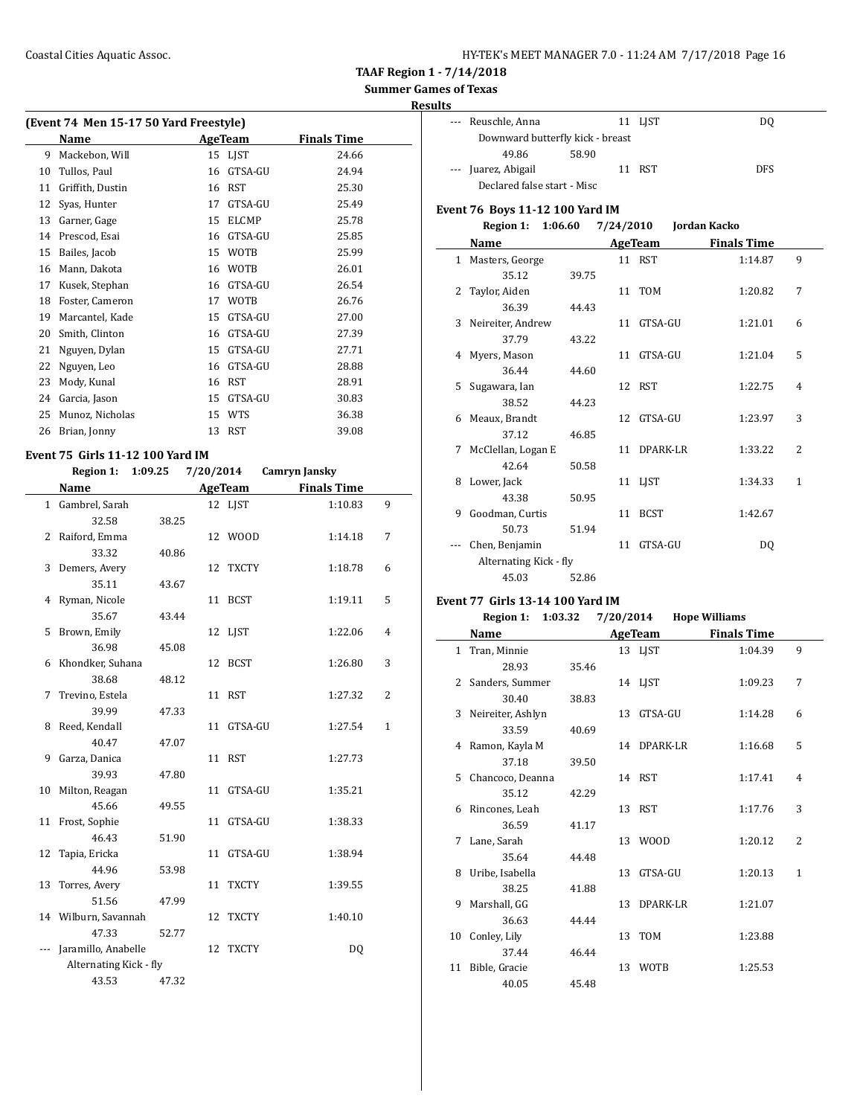**Summer Games of Texas**

### **Results**

| (Event 74 Men 15-17 50 Yard Freestyle) |                  |    |              |                    |  |  |  |  |
|----------------------------------------|------------------|----|--------------|--------------------|--|--|--|--|
|                                        | Name             |    | AgeTeam      | <b>Finals Time</b> |  |  |  |  |
| 9                                      | Mackebon, Will   | 15 | <b>LIST</b>  | 24.66              |  |  |  |  |
| 10                                     | Tullos, Paul     | 16 | GTSA-GU      | 24.94              |  |  |  |  |
| 11                                     | Griffith, Dustin | 16 | <b>RST</b>   | 25.30              |  |  |  |  |
| 12                                     | Syas, Hunter     | 17 | GTSA-GU      | 25.49              |  |  |  |  |
| 13                                     | Garner, Gage     | 15 | <b>ELCMP</b> | 25.78              |  |  |  |  |
| 14                                     | Prescod, Esai    | 16 | GTSA-GU      | 25.85              |  |  |  |  |
| 15                                     | Bailes, Jacob    | 15 | <b>WOTB</b>  | 25.99              |  |  |  |  |
| 16                                     | Mann, Dakota     | 16 | <b>WOTB</b>  | 26.01              |  |  |  |  |
| 17                                     | Kusek, Stephan   | 16 | GTSA-GU      | 26.54              |  |  |  |  |
| 18                                     | Foster, Cameron  | 17 | WOTB         | 26.76              |  |  |  |  |
| 19                                     | Marcantel, Kade  | 15 | GTSA-GU      | 27.00              |  |  |  |  |
| 20                                     | Smith, Clinton   | 16 | GTSA-GU      | 27.39              |  |  |  |  |
| 21                                     | Nguyen, Dylan    | 15 | GTSA-GU      | 27.71              |  |  |  |  |
| 22                                     | Nguyen, Leo      | 16 | GTSA-GU      | 28.88              |  |  |  |  |
| 23                                     | Mody, Kunal      | 16 | <b>RST</b>   | 28.91              |  |  |  |  |
| 24                                     | Garcia, Jason    | 15 | GTSA-GU      | 30.83              |  |  |  |  |
| 25                                     | Munoz, Nicholas  | 15 | <b>WTS</b>   | 36.38              |  |  |  |  |
| 26                                     | Brian, Jonny     | 13 | <b>RST</b>   | 39.08              |  |  |  |  |

#### **Event 75 Girls 11-12 100 Yard IM**

|    | Region 1: 1:09.25 7/20/2014 |       |    |            | Camryn Jansky      |                |
|----|-----------------------------|-------|----|------------|--------------------|----------------|
|    | Name                        |       |    | AgeTeam    | <b>Finals Time</b> |                |
|    | 1 Gambrel, Sarah            |       |    | 12 LJST    | 1:10.83            | 9              |
|    | 32.58                       | 38.25 |    |            |                    |                |
|    | 2 Raiford, Emma             |       |    | 12 WOOD    | 1:14.18            | 7              |
|    | 33.32                       | 40.86 |    |            |                    |                |
| 3  | Demers, Avery               |       |    | 12 TXCTY   | 1:18.78            | 6              |
|    | 35.11                       | 43.67 |    |            |                    |                |
|    | 4 Ryman, Nicole             |       |    | 11 BCST    | 1:19.11            | 5              |
|    | 35.67                       | 43.44 |    |            |                    |                |
| 5  | Brown, Emily                |       |    | 12 LJST    | 1:22.06            | 4              |
|    | 36.98                       | 45.08 |    |            |                    |                |
|    | 6 Khondker, Suhana          |       |    | 12 BCST    | 1:26.80            | 3              |
|    | 38.68                       | 48.12 |    |            |                    |                |
| 7  | Trevino, Estela             |       |    | 11 RST     | 1:27.32            | $\overline{2}$ |
|    | 39.99                       | 47.33 |    |            |                    |                |
| 8  | Reed, Kendall               |       |    | 11 GTSA-GU | 1:27.54            | $\mathbf{1}$   |
|    | 40.47                       | 47.07 |    |            |                    |                |
| 9  | Garza, Danica               |       |    | 11 RST     | 1:27.73            |                |
|    | 39.93                       | 47.80 |    |            |                    |                |
| 10 | Milton, Reagan              |       |    | 11 GTSA-GU | 1:35.21            |                |
|    | 45.66                       | 49.55 |    |            |                    |                |
|    | 11 Frost, Sophie            |       |    | 11 GTSA-GU | 1:38.33            |                |
|    | 46.43                       | 51.90 |    |            |                    |                |
| 12 | Tapia, Ericka               |       | 11 | GTSA-GU    | 1:38.94            |                |
|    | 44.96                       | 53.98 |    |            |                    |                |
|    | 13 Torres, Avery            |       |    | 11 TXCTY   | 1:39.55            |                |
|    | 51.56                       | 47.99 |    |            |                    |                |
|    | 14 Wilburn, Savannah        |       |    | 12 TXCTY   | 1:40.10            |                |
|    | 47.33                       | 52.77 |    |            |                    |                |
|    | Jaramillo, Anabelle         |       |    | 12 TXCTY   | DQ                 |                |
|    | Alternating Kick - fly      |       |    |            |                    |                |
|    | 43.53                       | 47.32 |    |            |                    |                |

| ւՏ |                                  |       |         |            |
|----|----------------------------------|-------|---------|------------|
|    | --- Reuschle, Anna               |       | 11 LJST | DO         |
|    | Downward butterfly kick - breast |       |         |            |
|    | 49.86                            | 58.90 |         |            |
|    | --- Juarez, Abigail              |       | 11 RST  | <b>DFS</b> |
|    | Declared false start - Misc      |       |         |            |
|    |                                  |       |         |            |

### **Event 76 Boys 11-12 100 Yard IM**

**Region 1: 1:06.60 7/24/2010 Jordan Kacko**

|   | Name                   |       |    | <b>AgeTeam</b> | <b>Finals Time</b> |                |
|---|------------------------|-------|----|----------------|--------------------|----------------|
|   | 1 Masters, George      |       |    | 11 RST         | 1:14.87            | 9              |
|   | 35.12                  | 39.75 |    |                |                    |                |
| 2 | Taylor, Aiden          |       |    | 11 TOM         | 1:20.82            | 7              |
|   | 36.39                  | 44.43 |    |                |                    |                |
| 3 | Neireiter, Andrew      |       |    | 11 GTSA-GU     | 1:21.01            | 6              |
|   | 37.79                  | 43.22 |    |                |                    |                |
| 4 | Myers, Mason           |       |    | 11 GTSA-GU     | 1:21.04            | 5              |
|   | 36.44                  | 44.60 |    |                |                    |                |
|   | 5 Sugawara, Ian        |       |    | 12 RST         | 1:22.75            | $\overline{4}$ |
|   | 38.52                  | 44.23 |    |                |                    |                |
| 6 | Meaux, Brandt          |       |    | 12 GTSA-GU     | 1:23.97            | 3              |
|   | 37.12                  | 46.85 |    |                |                    |                |
| 7 | McClellan, Logan E     |       | 11 | DPARK-LR       | 1:33.22            | 2              |
|   | 42.64                  | 50.58 |    |                |                    |                |
| 8 | Lower, Jack            |       |    | 11 LJST        | 1:34.33            | 1              |
|   | 43.38                  | 50.95 |    |                |                    |                |
| 9 | Goodman, Curtis        |       | 11 | <b>BCST</b>    | 1:42.67            |                |
|   | 50.73                  | 51.94 |    |                |                    |                |
|   | Chen, Benjamin         |       | 11 | GTSA-GU        | DQ                 |                |
|   | Alternating Kick - fly |       |    |                |                    |                |
|   | 45.03                  | 52.86 |    |                |                    |                |

#### **Event 77 Girls 13-14 100 Yard IM**

| Region 1: 1:03.32 | 7/20/2014 | <b>Hope Williams</b> |
|-------------------|-----------|----------------------|
|                   |           |                      |

|    | Name               |       | <b>AgeTeam</b> | <b>Finals Time</b> |              |
|----|--------------------|-------|----------------|--------------------|--------------|
|    | 1 Tran, Minnie     |       | 13 LJST        | 1:04.39            | 9            |
|    | 28.93              | 35.46 |                |                    |              |
|    | 2 Sanders, Summer  |       | 14 LJST        | 1:09.23            | 7            |
|    | 30.40              | 38.83 |                |                    |              |
| 3  | Neireiter, Ashlyn  |       | 13 GTSA-GU     | 1:14.28            | 6            |
|    | 33.59              | 40.69 |                |                    |              |
|    | 4 Ramon, Kayla M   |       | 14 DPARK-LR    | 1:16.68            | 5            |
|    | 37.18              | 39.50 |                |                    |              |
|    | 5 Chancoco, Deanna |       | 14 RST         | 1:17.41            | 4            |
|    | 35.12              | 42.29 |                |                    |              |
|    | 6 Rincones, Leah   |       | 13 RST         | 1:17.76            | 3            |
|    | 36.59              | 41.17 |                |                    |              |
| 7  | Lane, Sarah        |       | 13 WOOD        | 1:20.12            | 2            |
|    | 35.64              | 44.48 |                |                    |              |
|    | 8 Uribe, Isabella  |       | 13 GTSA-GU     | 1:20.13            | $\mathbf{1}$ |
|    | 38.25              | 41.88 |                |                    |              |
| 9  | Marshall, GG       |       | 13 DPARK-LR    | 1:21.07            |              |
|    | 36.63              | 44.44 |                |                    |              |
| 10 | Conley, Lily       |       | 13 TOM         | 1:23.88            |              |
|    | 37.44              | 46.44 |                |                    |              |
| 11 | Bible, Gracie      |       | 13 WOTB        | 1:25.53            |              |
|    | 40.05              | 45.48 |                |                    |              |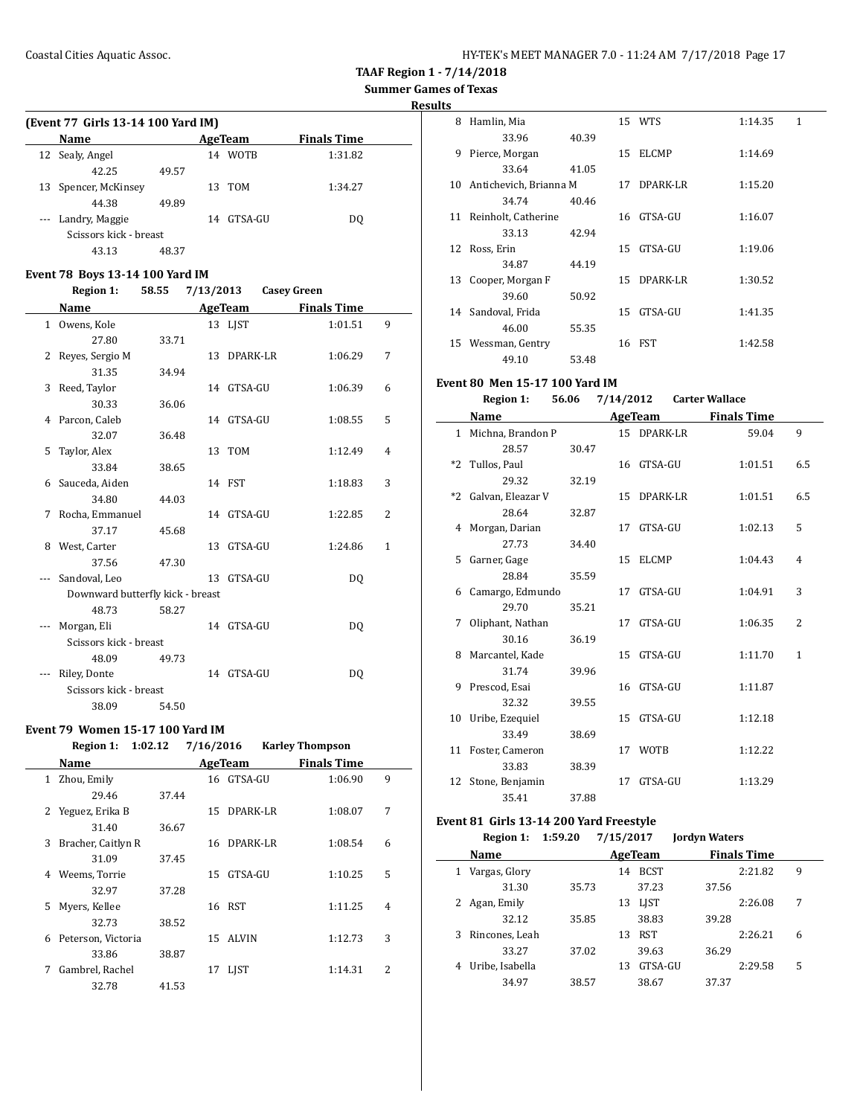| HY-TEK's MEET MANAGER 7.0 - 11:24 AM 7/17/2018 Page 17 |  |  |  |
|--------------------------------------------------------|--|--|--|
|--------------------------------------------------------|--|--|--|

**Results**

| (Event 77 Girls 13-14 100 Yard IM) |                        |       |    |             |                    |  |
|------------------------------------|------------------------|-------|----|-------------|--------------------|--|
|                                    | <b>Name</b>            |       |    | AgeTeam     | <b>Finals Time</b> |  |
|                                    | 12 Sealy, Angel        |       | 14 | <b>WOTB</b> | 1:31.82            |  |
|                                    | 42.25                  | 49.57 |    |             |                    |  |
| 13                                 | Spencer, McKinsey      |       |    | 13 TOM      | 1:34.27            |  |
|                                    | 44.38                  | 49.89 |    |             |                    |  |
|                                    | --- Landry, Maggie     |       | 14 | GTSA-GU     | DO.                |  |
|                                    | Scissors kick - breast |       |    |             |                    |  |
|                                    | 43.13                  | 48.37 |    |             |                    |  |

### **Event 78 Boys 13-14 100 Yard IM**

**Region 1: 58.55 7/13/2013 Casey Green**

|              | Name                             |       |    | <b>AgeTeam</b> | <b>Finals Time</b> |                |
|--------------|----------------------------------|-------|----|----------------|--------------------|----------------|
| $\mathbf{1}$ | Owens, Kole                      |       |    | 13 LJST        | 1:01.51            | 9              |
|              | 27.80                            | 33.71 |    |                |                    |                |
| 2            | Reyes, Sergio M                  |       |    | 13 DPARK-LR    | 1:06.29            | 7              |
|              | 31.35                            | 34.94 |    |                |                    |                |
| 3            | Reed, Taylor                     |       |    | 14 GTSA-GU     | 1:06.39            | 6              |
|              | 30.33                            | 36.06 |    |                |                    |                |
|              | 4 Parcon, Caleb                  |       |    | 14 GTSA-GU     | 1:08.55            | 5              |
|              | 32.07                            | 36.48 |    |                |                    |                |
| 5            | Taylor, Alex                     |       |    | 13 TOM         | 1:12.49            | $\overline{4}$ |
|              | 33.84                            | 38.65 |    |                |                    |                |
|              | 6 Sauceda, Aiden                 |       |    | 14 FST         | 1:18.83            | 3              |
|              | 34.80                            | 44.03 |    |                |                    |                |
| 7            | Rocha, Emmanuel                  |       |    | 14 GTSA-GU     | 1:22.85            | 2              |
|              | 37.17                            | 45.68 |    |                |                    |                |
| 8            | West, Carter                     |       |    | 13 GTSA-GU     | 1:24.86            | $\mathbf{1}$   |
|              | 37.56                            | 47.30 |    |                |                    |                |
|              | Sandoval, Leo                    |       | 13 | GTSA-GU        | DO.                |                |
|              | Downward butterfly kick - breast |       |    |                |                    |                |
|              | 48.73                            | 58.27 |    |                |                    |                |
|              | Morgan, Eli                      |       |    | 14 GTSA-GU     | DQ                 |                |
|              | Scissors kick - breast           |       |    |                |                    |                |
|              | 48.09                            | 49.73 |    |                |                    |                |
|              | Riley, Donte                     |       | 14 | GTSA-GU        | DQ                 |                |
|              | Scissors kick - breast           |       |    |                |                    |                |
|              | 38.09                            | 54.50 |    |                |                    |                |

#### **Event 79 Women 15-17 100 Yard IM**

### **Region 1: 1:02.12 7/16/2016 Karley Thompson**

|   | Name               |       |    | AgeTeam      | <b>Finals Time</b> |   |
|---|--------------------|-------|----|--------------|--------------------|---|
| 1 | Zhou, Emily        |       |    | 16 GTSA-GU   | 1:06.90            | 9 |
|   | 29.46              | 37.44 |    |              |                    |   |
| 2 | Yeguez, Erika B    |       |    | 15 DPARK-LR  | 1:08.07            | 7 |
|   | 31.40              | 36.67 |    |              |                    |   |
| 3 | Bracher, Caitlyn R |       |    | 16 DPARK-LR  | 1:08.54            | 6 |
|   | 31.09              | 37.45 |    |              |                    |   |
| 4 | Weems, Torrie      |       | 15 | GTSA-GU      | 1:10.25            | 5 |
|   | 32.97              | 37.28 |    |              |                    |   |
| 5 | Myers, Kellee      |       |    | 16 RST       | 1:11.25            | 4 |
|   | 32.73              | 38.52 |    |              |                    |   |
| 6 | Peterson, Victoria |       | 15 | <b>ALVIN</b> | 1:12.73            | 3 |
|   | 33.86              | 38.87 |    |              |                    |   |
| 7 | Gambrel, Rachel    |       | 17 | LJST         | 1:14.31            | 2 |
|   | 32.78              | 41.53 |    |              |                    |   |

| 8   | Hamlin, Mia            |       |    | 15 WTS       | 1:14.35 | $\mathbf{1}$ |
|-----|------------------------|-------|----|--------------|---------|--------------|
|     | 33.96                  | 40.39 |    |              |         |              |
| 9   | Pierce, Morgan         |       | 15 | <b>ELCMP</b> | 1:14.69 |              |
|     | 33.64                  | 41.05 |    |              |         |              |
| 10. | Antichevich, Brianna M |       |    | 17 DPARK-LR  | 1:15.20 |              |
|     | 34.74                  | 40.46 |    |              |         |              |
| 11  | Reinholt, Catherine    |       |    | 16 GTSA-GU   | 1:16.07 |              |
|     | 33.13                  | 42.94 |    |              |         |              |
| 12  | Ross, Erin             |       | 15 | GTSA-GU      | 1:19.06 |              |
|     | 34.87                  | 44.19 |    |              |         |              |
| 13  | Cooper, Morgan F       |       |    | 15 DPARK-LR  | 1:30.52 |              |
|     | 39.60                  | 50.92 |    |              |         |              |
| 14  | Sandoval, Frida        |       | 15 | GTSA-GU      | 1:41.35 |              |
|     | 46.00                  | 55.35 |    |              |         |              |
| 15  | Wessman, Gentry        |       |    | 16 FST       | 1:42.58 |              |
|     | 49.10                  | 53.48 |    |              |         |              |

### **Event 80 Men 15-17 100 Yard IM**

|   | <b>Region 1:</b>     | 56.06 | 7/14/2012       |             | <b>Carter Wallace</b> |                |
|---|----------------------|-------|-----------------|-------------|-----------------------|----------------|
|   | Name                 |       |                 | AgeTeam     | <b>Finals Time</b>    |                |
|   | 1 Michna, Brandon P  |       |                 | 15 DPARK-LR | 59.04                 | 9              |
|   | 28.57                | 30.47 |                 |             |                       |                |
|   | *2 Tullos, Paul      |       |                 | 16 GTSA-GU  | 1:01.51               | 6.5            |
|   | 29.32                | 32.19 |                 |             |                       |                |
|   | *2 Galvan, Eleazar V |       |                 | 15 DPARK-LR | 1:01.51               | 6.5            |
|   | 28.64                | 32.87 |                 |             |                       |                |
|   | 4 Morgan, Darian     |       |                 | 17 GTSA-GU  | 1:02.13               | 5              |
|   | 27.73                | 34.40 |                 |             |                       |                |
|   | 5 Garner, Gage       |       | 15 <sup>7</sup> | ELCMP       | 1:04.43               | $\overline{4}$ |
|   | 28.84                | 35.59 |                 |             |                       |                |
|   | 6 Camargo, Edmundo   |       | 17              | GTSA-GU     | 1:04.91               | 3              |
|   | 29.70                | 35.21 |                 |             |                       |                |
| 7 | Oliphant, Nathan     |       | 17              | GTSA-GU     | 1:06.35               | $\overline{2}$ |
|   | 30.16                | 36.19 |                 |             |                       |                |
|   | 8 Marcantel, Kade    |       |                 | 15 GTSA-GU  | 1:11.70               | 1              |
|   | 31.74                | 39.96 |                 |             |                       |                |
|   | 9 Prescod, Esai      |       |                 | 16 GTSA-GU  | 1:11.87               |                |
|   | 32.32                | 39.55 |                 |             |                       |                |
|   | 10 Uribe, Ezequiel   |       |                 | 15 GTSA-GU  | 1:12.18               |                |
|   | 33.49                | 38.69 |                 |             |                       |                |
|   | 11 Foster, Cameron   |       |                 | 17 WOTB     | 1:12.22               |                |
|   | 33.83                | 38.39 |                 |             |                       |                |
|   | 12 Stone, Benjamin   |       | 17              | GTSA-GU     | 1:13.29               |                |
|   | 35.41                | 37.88 |                 |             |                       |                |

### **Event 81 Girls 13-14 200 Yard Freestyle**

 $\frac{1}{2}$ 

| Region 1: 1:59.20 | 7/15/2017 | <b>Jordyn Waters</b> |
|-------------------|-----------|----------------------|

|   | Name            |       |    | AgeTeam     |       | <b>Finals Time</b> |   |
|---|-----------------|-------|----|-------------|-------|--------------------|---|
| 1 | Vargas, Glory   |       | 14 | <b>BCST</b> |       | 2:21.82            | 9 |
|   | 31.30           | 35.73 |    | 37.23       | 37.56 |                    |   |
|   | Agan, Emily     |       | 13 | <b>LIST</b> |       | 2:26.08            | 7 |
|   | 32.12           | 35.85 |    | 38.83       | 39.28 |                    |   |
| 3 | Rincones, Leah  |       | 13 | <b>RST</b>  |       | 2:26.21            | 6 |
|   | 33.27           | 37.02 |    | 39.63       | 36.29 |                    |   |
| 4 | Uribe, Isabella |       | 13 | GTSA-GU     |       | 2:29.58            | 5 |
|   | 34.97           | 38.57 |    | 38.67       | 37.37 |                    |   |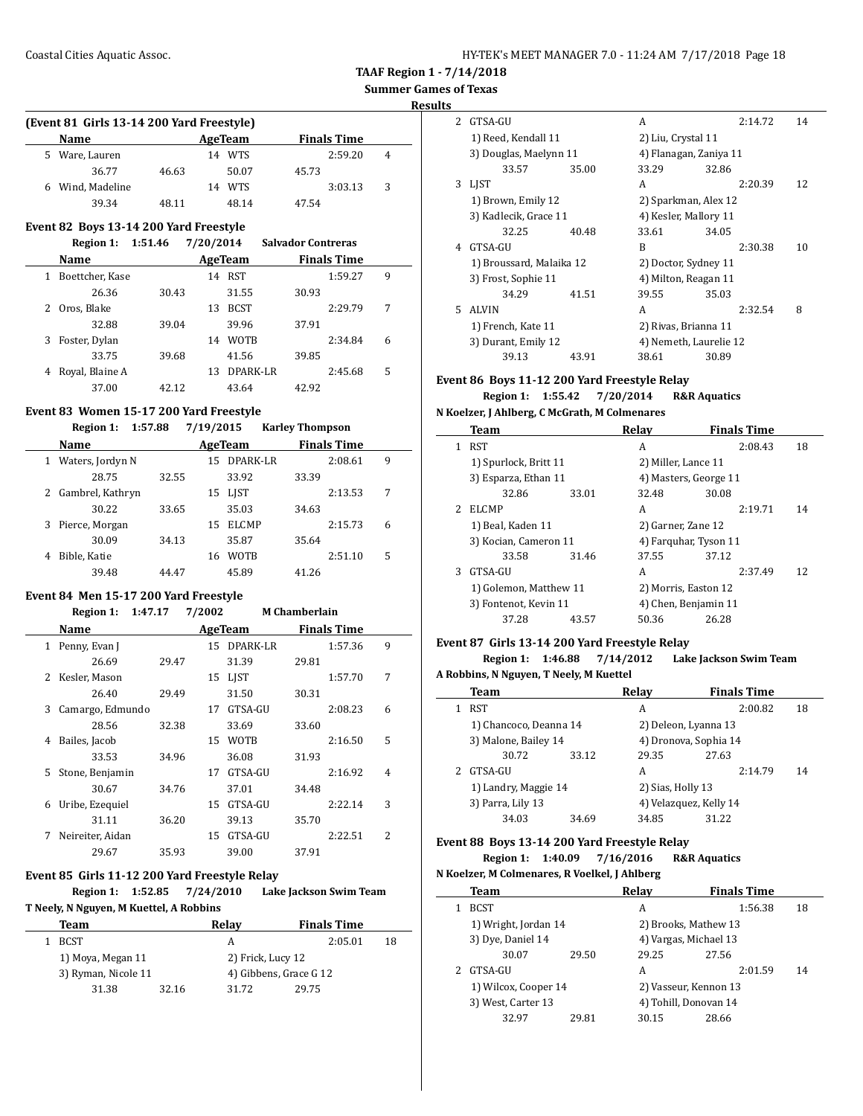**Results**

|              | (Event 81 Girls 13-14 200 Yard Freestyle) |       |           |                |                           |   |
|--------------|-------------------------------------------|-------|-----------|----------------|---------------------------|---|
|              | Name                                      |       |           | AgeTeam        | <b>Finals Time</b>        |   |
| 5.           | Ware, Lauren                              |       |           | 14 WTS         | 2:59.20                   | 4 |
|              | 36.77                                     | 46.63 |           | 50.07          | 45.73                     |   |
| 6            | Wind, Madeline                            |       |           | 14 WTS         | 3:03.13                   | 3 |
|              | 39.34                                     | 48.11 |           | 48.14          | 47.54                     |   |
|              | Event 82 Boys 13-14 200 Yard Freestyle    |       |           |                |                           |   |
|              | Region 1: 1:51.46                         |       | 7/20/2014 |                | <b>Salvador Contreras</b> |   |
|              | Name                                      |       |           | <b>AgeTeam</b> | <b>Finals Time</b>        |   |
| $\mathbf{1}$ | Boettcher, Kase                           |       |           | 14 RST         | 1:59.27                   | 9 |
|              | 26.36                                     | 30.43 |           | 31.55          | 30.93                     |   |
| 2            | Oros, Blake                               |       | 13        | <b>BCST</b>    | 2:29.79                   | 7 |
|              | 32.88                                     | 39.04 |           | 39.96          | 37.91                     |   |
| 3            | Foster, Dylan                             |       | 14        | <b>WOTB</b>    | 2:34.84                   | 6 |
|              | 33.75                                     | 39.68 |           | 41.56          | 39.85                     |   |
| 4            | Royal, Blaine A                           |       | 13        | DPARK-LR       | 2:45.68                   | 5 |
|              | 37.00                                     | 42.12 |           | 43.64          | 42.92                     |   |

#### **Event 83 Women 15-17 200 Yard Freestyle**

#### **Region 1: 1:57.88 7/19/2015 Karley Thompson**

| <b>Name</b>           |       | AgeTeam            |          | <b>Finals Time</b> |   |
|-----------------------|-------|--------------------|----------|--------------------|---|
| Waters, Jordyn N<br>1 |       | 15.                | DPARK-LR | 2:08.61            | 9 |
| 28.75                 | 32.55 | 33.92              | 33.39    |                    |   |
| 2 Gambrel, Kathryn    |       | LIST<br>15         |          | 2:13.53            | 7 |
| 30.22                 | 33.65 | 35.03              | 34.63    |                    |   |
| 3 Pierce, Morgan      |       | <b>ELCMP</b><br>15 |          | 2:15.73            | 6 |
| 30.09                 | 34.13 | 35.87              | 35.64    |                    |   |
| Bible, Katie<br>4     |       | <b>WOTB</b><br>16  |          | 2:51.10            | 5 |
| 39.48                 | 44.47 | 45.89              | 41.26    |                    |   |

### **Event 84 Men 15-17 200 Yard Freestyle**

### **Region 1: 1:47.17 7/2002 M Chamberlain Name Age Team Finals Time** 1 Penny, Evan J 15 DPARK-LR 1:57.36 9 26.69 29.47 31.39 29.81 2 Kesler, Mason 15 LJST 1:57.70 7 26.40 29.49 31.50 30.31 3 Camargo, Edmundo 17 GTSA-GU 2:08.23 6 28.56 32.38 33.69 33.60 4 Bailes, Jacob 15 WOTB 2:16.50 5 33.53 34.96 36.08 31.93 5 Stone, Benjamin 17 GTSA-GU 2:16.92 4 30.67 34.76 37.01 34.48 6 Uribe, Ezequiel 15 GTSA-GU 2:22.14 3 31.11 36.20 39.13 35.70 7 Neireiter, Aidan 15 GTSA-GU 2:22.51 2 29.67 35.93 39.00 37.91

### **Event 85 Girls 11-12 200 Yard Freestyle Relay**

| Region 1: 1:52.85                       | 7/24/2010 | Lake Jackson Swim Team |
|-----------------------------------------|-----------|------------------------|
| T Neely, N Nguyen, M Kuettel, A Robbins |           |                        |

| Team                |       | Relav                  | <b>Finals Time</b> |    |
|---------------------|-------|------------------------|--------------------|----|
| BCST                |       | А                      | 2:05.01            | 18 |
| 1) Moya, Megan 11   |       | 2) Frick, Lucy 12      |                    |    |
| 3) Ryman, Nicole 11 |       | 4) Gibbens, Grace G 12 |                    |    |
| 31.38               | 32.16 | 31.72                  | 29.75              |    |

| $\overline{\mathcal{L}}$ | GTSA-GU                  |       | A                      |       | 2:14.72 | 14 |
|--------------------------|--------------------------|-------|------------------------|-------|---------|----|
|                          | 1) Reed, Kendall 11      |       | 2) Liu, Crystal 11     |       |         |    |
|                          | 3) Douglas, Maelynn 11   |       | 4) Flanagan, Zaniya 11 |       |         |    |
|                          | 33.57                    | 35.00 | 33.29                  | 32.86 |         |    |
| 3                        | <b>LIST</b>              |       | A                      |       | 2:20.39 | 12 |
|                          | 1) Brown, Emily 12       |       | 2) Sparkman, Alex 12   |       |         |    |
|                          | 3) Kadlecik, Grace 11    |       | 4) Kesler, Mallory 11  |       |         |    |
|                          | 32.25                    | 40.48 | 33.61                  | 34.05 |         |    |
| 4                        | GTSA-GU                  |       | R                      |       | 2:30.38 | 10 |
|                          | 1) Broussard, Malaika 12 |       | 2) Doctor, Sydney 11   |       |         |    |
|                          | 3) Frost, Sophie 11      |       | 4) Milton, Reagan 11   |       |         |    |
|                          | 34.29                    | 41.51 | 39.55                  | 35.03 |         |    |
| 5.                       | <b>ALVIN</b>             |       | A                      |       | 2:32.54 | 8  |
|                          | 1) French, Kate 11       |       | 2) Rivas, Brianna 11   |       |         |    |
|                          | 3) Durant, Emily 12      |       | 4) Nemeth, Laurelie 12 |       |         |    |
|                          | 39.13                    | 43.91 | 38.61                  | 30.89 |         |    |

### **Event 86 Boys 11-12 200 Yard Freestyle Relay**

**Region 1: 1:55.42 7/20/2014 R&R Aquatics**

**N Koelzer, J Ahlberg, C McGrath, M Colmenares**

| Team                  |       | Relav                                                                                            | <b>Finals Time</b> |                                                                                                                                             |
|-----------------------|-------|--------------------------------------------------------------------------------------------------|--------------------|---------------------------------------------------------------------------------------------------------------------------------------------|
| RST                   |       | A                                                                                                | 2:08.43            | 18                                                                                                                                          |
| 1) Spurlock, Britt 11 |       |                                                                                                  |                    |                                                                                                                                             |
|                       |       |                                                                                                  |                    |                                                                                                                                             |
| 32.86                 | 33.01 | 32.48                                                                                            | 30.08              |                                                                                                                                             |
| <b>ELCMP</b>          |       | A                                                                                                | 2:19.71            | 14                                                                                                                                          |
| 1) Beal, Kaden 11     |       |                                                                                                  |                    |                                                                                                                                             |
|                       |       |                                                                                                  |                    |                                                                                                                                             |
| 33.58                 | 31.46 | 37.55                                                                                            | 37.12              |                                                                                                                                             |
| GTSA-GU               |       | A                                                                                                | 2:37.49            | 12                                                                                                                                          |
|                       |       |                                                                                                  |                    |                                                                                                                                             |
|                       |       |                                                                                                  |                    |                                                                                                                                             |
| 37.28                 | 43.57 | 50.36                                                                                            | 26.28              |                                                                                                                                             |
|                       |       | 3) Esparza, Ethan 11<br>3) Kocian, Cameron 11<br>1) Golemon, Matthew 11<br>3) Fontenot, Kevin 11 |                    | 2) Miller, Lance 11<br>4) Masters, George 11<br>2) Garner, Zane 12<br>4) Farquhar, Tyson 11<br>2) Morris, Easton 12<br>4) Chen, Benjamin 11 |

#### **Event 87 Girls 13-14 200 Yard Freestyle Relay**

**Region 1: 1:46.88 7/14/2012 Lake Jackson Swim Team A Robbins, N Nguyen, T Neely, M Kuettel**

| Team                   |       | Relav                  | <b>Finals Time</b> |    |
|------------------------|-------|------------------------|--------------------|----|
| RST                    |       | А                      | 2:00.82            | 18 |
| 1) Chancoco, Deanna 14 |       | 2) Deleon, Lyanna 13   |                    |    |
| 3) Malone, Bailey 14   |       | 4) Dronova, Sophia 14  |                    |    |
| 30.72                  | 33.12 | 29.35                  | 27.63              |    |
| GTSA-GU                |       | А                      | 2:14.79            | 14 |
| 1) Landry, Maggie 14   |       | 2) Sias, Holly 13      |                    |    |
| 3) Parra, Lily 13      |       | 4) Velazquez, Kelly 14 |                    |    |
| 34.03                  | 34.69 | 34.85                  | 31.22              |    |

#### **Event 88 Boys 13-14 200 Yard Freestyle Relay Region 1: 1:40.09 7/16/2016 R&R Aquatics**

 $\overline{a}$ 

|   | N Koelzer, M Colmenares, R Voelkel, J Ahlberg |       |                       |                    |    |
|---|-----------------------------------------------|-------|-----------------------|--------------------|----|
|   | Team                                          |       | Relav                 | <b>Finals Time</b> |    |
|   | <b>BCST</b>                                   |       | A                     | 1:56.38            | 18 |
|   | 1) Wright, Jordan 14                          |       | 2) Brooks, Mathew 13  |                    |    |
|   | 3) Dye, Daniel 14                             |       | 4) Vargas, Michael 13 |                    |    |
|   | 30.07                                         | 29.50 | 29.25                 | 27.56              |    |
| 2 | GTSA-GU                                       |       | A                     | 2:01.59            | 14 |
|   | 1) Wilcox, Cooper 14                          |       | 2) Vasseur, Kennon 13 |                    |    |
|   | 3) West, Carter 13                            |       | 4) Tohill, Donovan 14 |                    |    |
|   | 32.97                                         | 29.81 | 30.15                 | 28.66              |    |